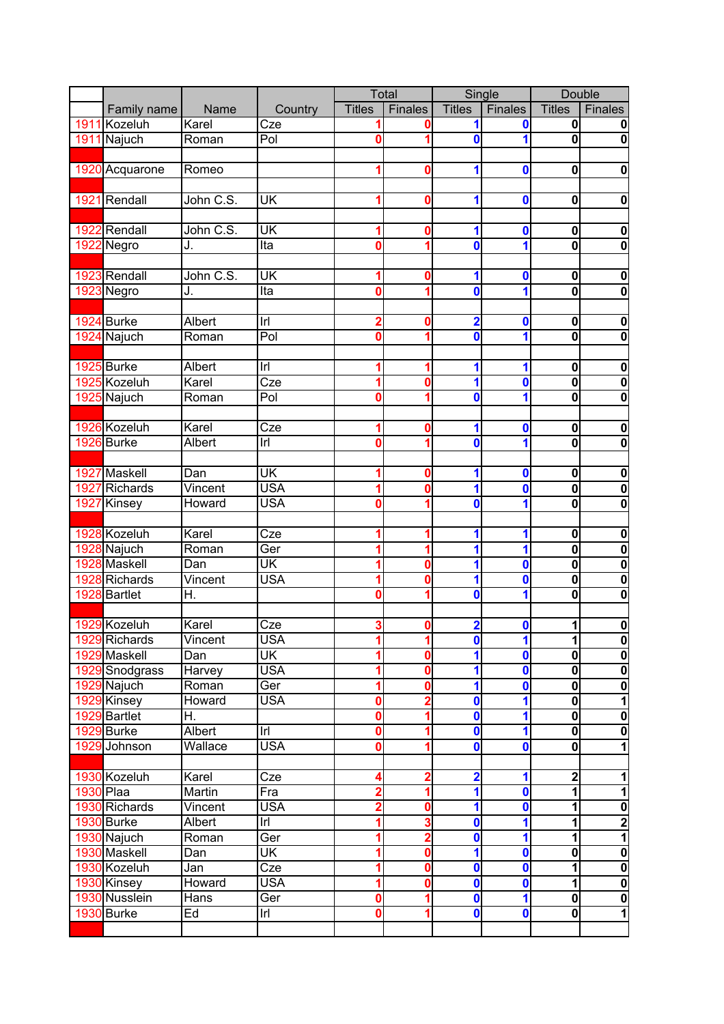|           |                 |               |                                                             |                      | Total                   | Single                  |             |                         | Double                  |
|-----------|-----------------|---------------|-------------------------------------------------------------|----------------------|-------------------------|-------------------------|-------------|-------------------------|-------------------------|
|           | Family name     | Name          | Country                                                     | <b>Titles</b>        | Finales                 | <b>Titles</b>           | Finales     | <b>Titles</b>           | Finales                 |
| 191'      | Kozeluh         | Karel         | Cze                                                         | 1                    | 0                       | 1                       | 0           | $\mathbf 0$             | 0                       |
|           | 1911 Najuch     | Roman         | Pol                                                         | 0                    |                         | 0                       | 1           | 0                       | $\mathbf 0$             |
|           |                 |               |                                                             |                      |                         |                         |             |                         |                         |
|           | 1920 Acquarone  | Romeo         |                                                             | 1                    | 0                       | 1                       | $\bf{0}$    | 0                       | 0                       |
|           |                 |               |                                                             |                      |                         |                         |             |                         |                         |
|           | 1921 Rendall    | John C.S.     | UK                                                          | 1                    | 0                       | 1                       | 0           | $\mathbf 0$             | $\bf{0}$                |
|           |                 |               |                                                             |                      |                         |                         |             |                         |                         |
| 1922      | Rendall         | John C.S.     | $\overline{\mathsf{UK}}$                                    | $\blacktriangleleft$ | 0                       | 1                       | 0           | 0                       | $\bf{0}$                |
| 1922      | Negro           | J.            | Ita                                                         | 0                    | 1                       | $\bf{0}$                | 1           | $\mathbf 0$             | $\overline{\mathbf{0}}$ |
|           |                 |               |                                                             |                      |                         |                         |             |                         |                         |
| 1923      | Rendall         | John C.S.     | $\overline{\mathsf{U}}$ K                                   | 1                    | 0                       | $\mathbf{1}$            | 0           | 0                       | $\bf{0}$                |
|           | 1923 Negro      | J.            | Ita                                                         | 0                    | 1                       | $\bf{0}$                | 1           | $\mathbf{0}$            | $\overline{\mathbf{0}}$ |
|           |                 |               |                                                             |                      |                         |                         |             |                         |                         |
|           | 1924 Burke      | Albert        | Irl                                                         | 2                    | 0                       | $\overline{\mathbf{2}}$ | 0           | 0                       | $\bf{0}$                |
|           |                 |               | Pol                                                         |                      |                         |                         |             |                         | $\overline{\mathbf{0}}$ |
|           | 1924 Najuch     | Roman         |                                                             | 0                    |                         | $\bf{0}$                | 1           | 0                       |                         |
|           |                 |               |                                                             |                      |                         |                         |             |                         |                         |
| 1925      | Burke           | Albert        | Irl                                                         | 1                    | 1                       | 1                       | 1           | 0                       | $\bf{0}$                |
|           | 1925 Kozeluh    | Karel         | Cze                                                         | 1                    | 0                       | $\overline{\mathbf{1}}$ | 0           | $\mathbf{0}$            | $\overline{\mathbf{0}}$ |
|           | 1925 Najuch     | Roman         | Pol                                                         | 0                    | 1                       | $\mathbf{0}$            | 1           | $\mathbf 0$             | $\mathbf 0$             |
|           |                 |               |                                                             |                      |                         |                         |             |                         |                         |
|           | 1926 Kozeluh    | Karel         | Cze                                                         | 1                    | 0                       | 1                       | $\bf{0}$    | 0                       | $\bf{0}$                |
|           | 1926 Burke      | Albert        | Irl                                                         | O                    | 1                       | $\mathbf{0}$            | 1           | $\overline{\mathbf{0}}$ | $\overline{\mathbf{0}}$ |
|           |                 |               |                                                             |                      |                         |                         |             |                         |                         |
| 1927      | Maskell         | Dan           | $\overline{\mathsf{U}}$ K                                   | 1                    | 0                       | 1                       | $\bf{0}$    | $\bf{0}$                | $\bf{0}$                |
| 1927      | <b>Richards</b> | Vincent       | <b>USA</b>                                                  | 1                    | Ω                       | $\overline{\mathbf{1}}$ | 0           | 0                       | $\overline{\mathbf{0}}$ |
| 1927      | Kinsey          | Howard        | <b>USA</b>                                                  | 0                    |                         | 0                       | 1           | 0                       | 0                       |
|           |                 |               |                                                             |                      |                         |                         |             |                         |                         |
|           | 1928 Kozeluh    | Karel         | $\overline{\text{Cze}}$                                     | 1                    |                         | 1                       | 1           | 0                       | $\bf{0}$                |
| 1928      | Najuch          | Roman         | Ger                                                         | 1                    | 1                       | $\overline{\mathbf{1}}$ | 1           | $\mathbf{0}$            | $\overline{\mathbf{0}}$ |
| 1928      | Maskell         | Dan           | ŪK                                                          | 1                    | 0                       | $\overline{\mathbf{1}}$ | 0           | $\mathbf{0}$            | $\overline{\mathbf{0}}$ |
|           | 1928 Richards   | Vincent       | <b>USA</b>                                                  | 1                    | 0                       | $\overline{\mathbf{1}}$ | 0           | $\mathbf{0}$            | $\overline{\mathbf{0}}$ |
|           | 1928 Bartlet    | Η.            |                                                             | 0                    | 1                       | $\mathbf 0$             | 1           | $\overline{\mathbf{0}}$ | $\overline{\mathbf{0}}$ |
|           |                 |               |                                                             |                      |                         |                         |             |                         |                         |
|           | 1929 Kozeluh    | Karel         | Cze                                                         | 3                    | 0                       | $\overline{\mathbf{2}}$ | 0           | $\mathbf{1}$            | $\bf{0}$                |
|           | 1929 Richards   | Vincent       | <b>USA</b>                                                  | $\mathbf{1}$         | $\mathbf{1}$            | $\mathbf 0$             | 1           | $\mathbf{1}$            | $\boldsymbol{0}$        |
|           | 1929 Maskell    | Dan           | UK                                                          | 1                    | O                       | 1                       | 0           | $\overline{\mathbf{0}}$ | $\overline{\mathbf{o}}$ |
|           | 1929 Snodgrass  | <b>Harvey</b> | <b>USA</b>                                                  | 1                    | 0                       | $\mathbf{1}$            | $\bf{0}$    | $\mathbf{0}$            | $\overline{\mathbf{o}}$ |
|           | 1929 Najuch     | Roman         | Ger                                                         | 1                    | 0                       | $\overline{\mathbf{1}}$ | $\mathbf 0$ | $\overline{\mathbf{0}}$ | $\overline{\mathbf{0}}$ |
|           | 1929 Kinsey     | Howard        | <b>USA</b>                                                  | 0                    | $\overline{2}$          | $\mathbf 0$             | 1           | $\mathbf{0}$            | $\overline{\mathbf{1}}$ |
|           | 1929 Bartlet    | Η.            |                                                             | 0                    | 1                       | $\mathbf 0$             | 1           | $\mathbf{0}$            | $\pmb{0}$               |
|           | 1929 Burke      | <b>Albert</b> | $\overline{\mathsf{I}^{\mathsf{r}}\mathsf{I}^{\mathsf{r}}}$ | 0                    | 1                       | $\overline{\mathbf{o}}$ | 1           | $\overline{\mathbf{0}}$ | $\overline{\mathbf{0}}$ |
|           | 1929 Johnson    | Wallace       | <b>USA</b>                                                  | 0                    | 1                       | $\mathbf 0$             | 0           | $\mathbf{0}$            | 1                       |
|           |                 |               |                                                             |                      |                         |                         |             |                         |                         |
|           | 1930 Kozeluh    | Karel         | Cze                                                         | 4                    | $\overline{2}$          | $\overline{\mathbf{c}}$ | 1           | $\mathbf{2}$            | 1                       |
| 1930 Plaa |                 | Martin        | Fra                                                         | 2                    | 1                       | $\mathbf{1}$            | $\mathbf 0$ | $\overline{\mathbf{1}}$ | 1                       |
|           |                 |               |                                                             |                      |                         | $\mathbf{1}$            | $\mathbf 0$ | $\mathbf{1}$            |                         |
|           | 1930 Richards   | Vincent       | <b>USA</b>                                                  | $\overline{2}$       | 0                       |                         |             |                         | $\overline{\mathbf{o}}$ |
|           | 1930 Burke      | Albert        | r                                                           | 1                    | $\overline{\mathbf{3}}$ | $\mathbf 0$             | 1           | $\mathbf{1}$            | $\overline{\mathbf{2}}$ |
|           | 1930 Najuch     | Roman         | $\overline{\mathsf{Ger}}$                                   | 1                    | $\overline{2}$          | $\mathbf 0$             | 1           | $\overline{\mathbf{1}}$ | $\overline{\mathbf{1}}$ |
|           | 1930 Maskell    | Dan           | UK                                                          | 1                    | 0                       | $\mathbf{1}$            | $\bf{0}$    | $\overline{\mathbf{0}}$ | $\overline{\mathbf{o}}$ |
|           | 1930 Kozeluh    | Jan           | $\overline{C}$ ze                                           | 1                    | 0                       | $\mathbf 0$             | $\mathbf 0$ | $\overline{1}$          | $\overline{\mathbf{0}}$ |
|           | 1930 Kinsey     | Howard        | <b>USA</b>                                                  | 1                    | 0                       | $\mathbf 0$             | $\mathbf 0$ | $\overline{1}$          | $\overline{\mathbf{o}}$ |
|           | 1930 Nusslein   | <b>Hans</b>   | Ger                                                         | 0                    |                         | $\mathbf 0$             | 1           | $\overline{\mathbf{0}}$ | $\overline{\mathbf{o}}$ |
|           | 1930 Burke      | Ed            | Irl                                                         | 0                    |                         | $\mathbf 0$             | 0           | $\mathbf 0$             | 1                       |
|           |                 |               |                                                             |                      |                         |                         |             |                         |                         |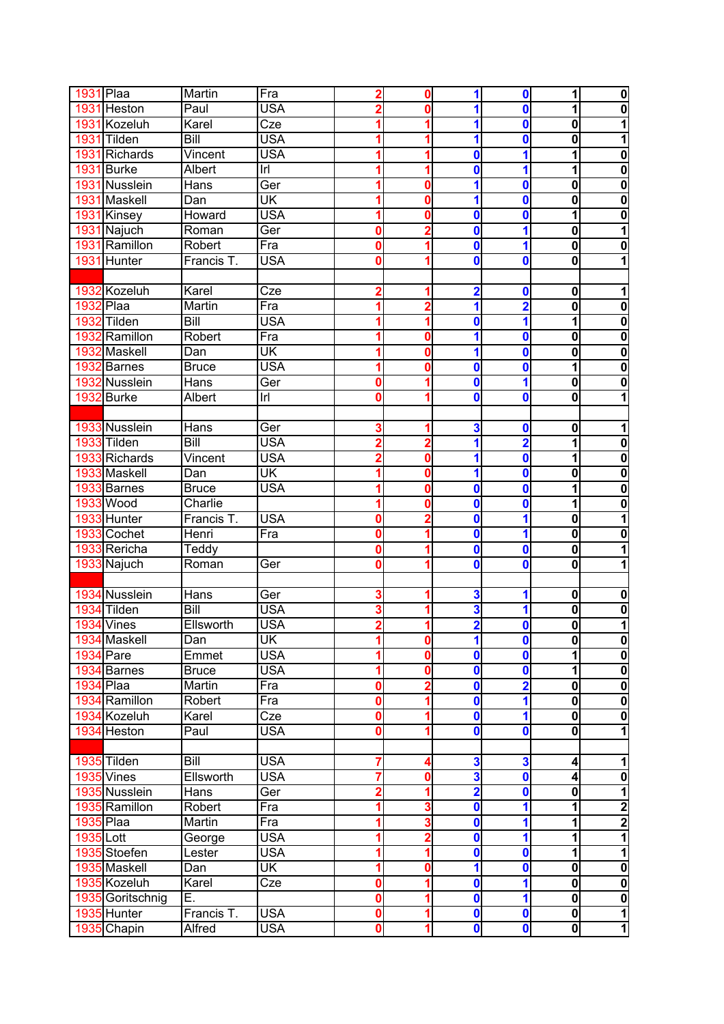|                  | <b>1931 Plaa</b>           | Martin               | Fra                      |                              | 0              | $\mathbf{1}$                           | 0                        | $\mathbf{1}$                            | $\boldsymbol{0}$                                                                                                                                                                                                                                                                                                                                                                                  |
|------------------|----------------------------|----------------------|--------------------------|------------------------------|----------------|----------------------------------------|--------------------------|-----------------------------------------|---------------------------------------------------------------------------------------------------------------------------------------------------------------------------------------------------------------------------------------------------------------------------------------------------------------------------------------------------------------------------------------------------|
| 1931             | Heston                     | Paul                 | <b>USA</b>               |                              | 0              | 1                                      | $\bf{0}$                 | 1                                       | $\overline{\mathbf{0}}$                                                                                                                                                                                                                                                                                                                                                                           |
| 1931             | Kozeluh                    | Karel                | Cze                      |                              |                | 1                                      | $\mathbf 0$              | $\mathbf{0}$                            | 1                                                                                                                                                                                                                                                                                                                                                                                                 |
|                  | 1931 Tilden                | Bill                 | <b>USA</b>               |                              |                | 1                                      | $\mathbf 0$              | 0                                       | 1                                                                                                                                                                                                                                                                                                                                                                                                 |
| 1931             | Richards                   | Vincent              | <b>USA</b>               |                              | 1              | $\mathbf 0$                            | 1                        | 1                                       | $\pmb{0}$                                                                                                                                                                                                                                                                                                                                                                                         |
|                  | 1931 Burke                 | Albert               | Irl                      |                              |                | $\mathbf 0$                            | 1                        | 1                                       | $\overline{\mathbf{0}}$                                                                                                                                                                                                                                                                                                                                                                           |
|                  | 1931 Nusslein              | Hans                 | Ger                      |                              | Ω              | 1                                      | $\bf{0}$                 | $\mathbf{0}$                            | $\overline{\mathbf{0}}$                                                                                                                                                                                                                                                                                                                                                                           |
| 1931             | Maskell                    | Dan                  | UK                       |                              | 0              | 1                                      | $\mathbf 0$              | $\mathbf{0}$                            | $\overline{\mathbf{0}}$                                                                                                                                                                                                                                                                                                                                                                           |
| 1931             | Kinsey                     | Howard               | <b>USA</b>               |                              | O              | $\mathbf 0$                            | $\bf{0}$                 | $\overline{1}$                          | $\overline{\mathbf{0}}$                                                                                                                                                                                                                                                                                                                                                                           |
| 1931             | Najuch                     | Roman                | Ger                      | 0                            | $\overline{2}$ | $\mathbf 0$                            | 1                        | $\mathbf{0}$                            | $\overline{\mathbf{1}}$                                                                                                                                                                                                                                                                                                                                                                           |
| 1931             | Ramillon                   | Robert               | Fra                      | 0                            |                | $\mathbf 0$                            | 1                        | $\mathbf{0}$                            | $\pmb{0}$                                                                                                                                                                                                                                                                                                                                                                                         |
|                  | 1931 Hunter                | Francis T.           | <b>USA</b>               | 0                            |                | $\mathbf 0$                            | 0                        | 0                                       | 1                                                                                                                                                                                                                                                                                                                                                                                                 |
|                  |                            |                      |                          |                              |                |                                        |                          |                                         |                                                                                                                                                                                                                                                                                                                                                                                                   |
| 1932             | Kozeluh                    | Karel                | Cze                      |                              |                | $\overline{2}$                         | $\boldsymbol{0}$         | $\mathbf 0$                             | 1                                                                                                                                                                                                                                                                                                                                                                                                 |
| 1932             | Plaa                       | Martin               | Fra                      |                              |                |                                        |                          |                                         |                                                                                                                                                                                                                                                                                                                                                                                                   |
|                  |                            | <b>Bill</b>          |                          |                              |                | 1                                      | $\overline{\mathbf{2}}$  | 0                                       | $\bf{0}$                                                                                                                                                                                                                                                                                                                                                                                          |
|                  | 1932 Tilden                |                      | <b>USA</b>               |                              |                | $\mathbf 0$                            | 1                        | 1                                       | $\overline{\mathbf{0}}$                                                                                                                                                                                                                                                                                                                                                                           |
| 1932             | Ramillon                   | Robert               | Fra                      |                              | 0              | $\overline{\mathbf{1}}$                | 0                        | 0                                       | $\overline{\mathbf{0}}$                                                                                                                                                                                                                                                                                                                                                                           |
| 1932             | Maskell                    | Dan                  | UK                       |                              | Ω              | $\overline{\mathbf{1}}$                | $\bf{0}$                 | 0                                       | $\overline{\mathbf{0}}$                                                                                                                                                                                                                                                                                                                                                                           |
| 1932             | Barnes                     | <b>Bruce</b>         | <b>USA</b>               |                              | 0              | $\mathbf 0$                            | $\mathbf 0$              | 1                                       | $\overline{\mathbf{0}}$                                                                                                                                                                                                                                                                                                                                                                           |
| 1932             | Nusslein                   | Hans                 | Ger                      | 0                            |                | $\mathbf 0$                            | 1                        | $\overline{\mathbf{0}}$                 | $\overline{\mathbf{0}}$                                                                                                                                                                                                                                                                                                                                                                           |
| 1932             | Burke                      | Albert               | r                        | ŋ                            |                | O                                      | $\bf{0}$                 | 0                                       | 1                                                                                                                                                                                                                                                                                                                                                                                                 |
|                  |                            |                      |                          |                              |                |                                        |                          |                                         |                                                                                                                                                                                                                                                                                                                                                                                                   |
|                  | 1933 Nusslein              | Hans                 | Ger                      | 3                            | 1              | 3                                      | $\bf{0}$                 | 0                                       | 1                                                                                                                                                                                                                                                                                                                                                                                                 |
|                  | 1933 Tilden                | <b>Bill</b>          | <b>USA</b>               | $\overline{2}$               | 2              | 1                                      | $\overline{2}$           | $\overline{\mathbf{1}}$                 | $\pmb{0}$                                                                                                                                                                                                                                                                                                                                                                                         |
|                  | 1933 Richards              | Vincent              | <b>USA</b>               | $\overline{\mathbf{2}}$      | 0              | 1                                      | $\bf{0}$                 | $\mathbf{1}$                            | $\overline{\mathbf{0}}$                                                                                                                                                                                                                                                                                                                                                                           |
|                  | 1933 Maskell               | Dan                  | UK                       |                              | 0              | 1                                      | $\bf{0}$                 | $\mathbf 0$                             | $\overline{\mathbf{0}}$                                                                                                                                                                                                                                                                                                                                                                           |
|                  | 1933 Barnes                | <b>Bruce</b>         | <b>USA</b>               |                              | 0              | $\mathbf 0$                            | 0                        | 1                                       | $\overline{\mathbf{0}}$                                                                                                                                                                                                                                                                                                                                                                           |
|                  | <b>1933 Wood</b>           | Charlie              |                          |                              | 0              | $\mathbf 0$                            | $\boldsymbol{0}$         | $\mathbf{1}$                            | $\overline{\mathbf{0}}$                                                                                                                                                                                                                                                                                                                                                                           |
|                  | 1933 Hunter                | Francis T.           | <b>USA</b>               |                              | 2              | 0                                      | 1                        | 0                                       | 1                                                                                                                                                                                                                                                                                                                                                                                                 |
|                  | 1933 Cochet                | Henri                | Fra                      | 0                            |                | $\mathbf 0$                            | 1                        | $\overline{\mathbf{0}}$                 | $\pmb{0}$                                                                                                                                                                                                                                                                                                                                                                                         |
|                  | 1933 Rericha               | Teddy                |                          | 0                            | 1              | $\mathbf 0$                            | 0                        | $\mathbf 0$                             | 1                                                                                                                                                                                                                                                                                                                                                                                                 |
| 1933 Najuch      |                            | Roman                | Ger                      | 0                            |                | $\mathbf 0$                            | $\bf{0}$                 | $\overline{\mathbf{0}}$                 | 1                                                                                                                                                                                                                                                                                                                                                                                                 |
|                  |                            |                      |                          |                              |                |                                        |                          |                                         |                                                                                                                                                                                                                                                                                                                                                                                                   |
|                  |                            |                      |                          |                              |                |                                        |                          |                                         |                                                                                                                                                                                                                                                                                                                                                                                                   |
|                  |                            |                      |                          | 3                            |                |                                        | 1                        | 0                                       |                                                                                                                                                                                                                                                                                                                                                                                                   |
|                  | 1934 Nusslein              | <b>Hans</b>          | Ger                      |                              |                | 3                                      |                          |                                         | $\bf{0}$                                                                                                                                                                                                                                                                                                                                                                                          |
|                  | 1934 Tilden                | <b>Bill</b>          | <b>USA</b>               |                              |                | 3                                      |                          | 0                                       |                                                                                                                                                                                                                                                                                                                                                                                                   |
|                  | 1934 Vines                 | Ellsworth            | <b>USA</b>               | $\overline{2}$               |                | $\overline{\mathbf{2}}$                | $\mathbf 0$              | $\overline{\mathbf{0}}$                 |                                                                                                                                                                                                                                                                                                                                                                                                   |
|                  | 1934 Maskell               | Dan                  | UK                       | 1                            | 0              | $\overline{\mathbf{1}}$                | $\mathbf 0$              | $\mathbf{0}$                            |                                                                                                                                                                                                                                                                                                                                                                                                   |
| <b>1934 Pare</b> |                            | Emmet                | <b>USA</b>               |                              | 0              | $\mathbf 0$                            | $\bf{0}$                 | $\mathbf{1}$                            |                                                                                                                                                                                                                                                                                                                                                                                                   |
|                  | 1934 Barnes                | <b>Bruce</b>         | <b>USA</b>               | 1                            | 0              | $\mathbf 0$                            | $\bf{0}$                 | $\mathbf{1}$                            |                                                                                                                                                                                                                                                                                                                                                                                                   |
| <b>1934 Plaa</b> |                            | Martin               | Fra                      | 0                            | $\overline{2}$ | $\overline{\mathbf{0}}$                | $\overline{\mathbf{2}}$  | $\mathbf 0$                             |                                                                                                                                                                                                                                                                                                                                                                                                   |
|                  | 1934 Ramillon              | Robert               | Fra                      | $\mathbf 0$                  | 1              | $\overline{\mathbf{0}}$                | 1                        | $\overline{\mathbf{0}}$                 |                                                                                                                                                                                                                                                                                                                                                                                                   |
|                  | 1934 Kozeluh               | Karel                | Cze                      | 0                            | 1              | $\mathbf 0$                            | 1                        | $\mathbf{0}$                            |                                                                                                                                                                                                                                                                                                                                                                                                   |
|                  | 1934 Heston                | Paul                 | <b>USA</b>               | 0                            | 1              | $\mathbf 0$                            | 0                        | $\mathbf{0}$                            |                                                                                                                                                                                                                                                                                                                                                                                                   |
|                  |                            |                      |                          |                              |                |                                        |                          |                                         |                                                                                                                                                                                                                                                                                                                                                                                                   |
|                  | 1935 Tilden                | Bill                 | <b>USA</b>               | 7                            | 4              | 3                                      | $\mathbf{3}$             | $\overline{\mathbf{4}}$                 |                                                                                                                                                                                                                                                                                                                                                                                                   |
|                  | 1935 Vines                 | Ellsworth            | <b>USA</b>               | 7                            | 0              | 3                                      | $\mathbf 0$              | 4                                       |                                                                                                                                                                                                                                                                                                                                                                                                   |
|                  | 1935 Nusslein              | Hans                 | Ger                      | $\overline{2}$               | 1              | $\overline{\mathbf{2}}$                | $\mathbf 0$              | $\overline{\mathbf{0}}$                 |                                                                                                                                                                                                                                                                                                                                                                                                   |
|                  | 1935 Ramillon              | Robert               | Fra                      | 1                            | 3              | $\mathbf 0$                            | 1                        | $\mathbf{1}$                            |                                                                                                                                                                                                                                                                                                                                                                                                   |
| <b>1935 Plaa</b> |                            | Martin               | Fra                      |                              | 3              | $\mathbf 0$                            | 1                        | $\mathbf{1}$                            |                                                                                                                                                                                                                                                                                                                                                                                                   |
| <b>1935 Lott</b> |                            | George               | <b>USA</b>               |                              | $\overline{2}$ | $\mathbf 0$                            | 1                        | $\mathbf{1}$                            |                                                                                                                                                                                                                                                                                                                                                                                                   |
|                  | 1935 Stoefen               | Lester               | <b>USA</b>               |                              |                | $\mathbf 0$                            | 0                        | $\mathbf{1}$                            |                                                                                                                                                                                                                                                                                                                                                                                                   |
|                  | 1935 Maskell               | Dan                  | <b>UK</b>                |                              | 0              | 1                                      | $\mathbf 0$              | $\overline{\mathbf{0}}$                 |                                                                                                                                                                                                                                                                                                                                                                                                   |
|                  | 1935 Kozeluh               | Karel                | Cze                      | 0                            | 1              | $\mathbf 0$                            | 1                        | $\overline{\mathbf{o}}$                 | 1<br>1                                                                                                                                                                                                                                                                                                                                                                                            |
|                  | 1935 Goritschnig           | Ē.                   |                          | 0                            | 1              | $\overline{\mathbf{0}}$                | 1                        | $\overline{\mathbf{0}}$                 |                                                                                                                                                                                                                                                                                                                                                                                                   |
|                  | 1935 Hunter<br>1935 Chapin | Francis T.<br>Alfred | <b>USA</b><br><b>USA</b> | 0<br>$\overline{\mathbf{0}}$ | 1<br>1         | $\mathbf 0$<br>$\overline{\mathbf{0}}$ | $\mathbf 0$<br>$\bullet$ | $\mathbf{0}$<br>$\overline{\mathbf{0}}$ | $\mathbf 0$<br>$\boldsymbol{0}$<br>$\overline{\mathbf{0}}$<br>$\overline{\mathbf{o}}$<br>$\overline{\mathbf{0}}$<br>$\overline{\mathbf{0}}$<br>$\bf{0}$<br>1<br>$\pmb{0}$<br>$\overline{\mathbf{1}}$<br>دا دا<br>$\overline{\mathbf{1}}$<br>$\overline{\mathbf{1}}$<br>$\overline{\mathbf{0}}$<br>$\overline{\mathbf{0}}$<br>$\overline{\mathbf{0}}$<br>$\overline{\mathbf{1}}$<br>$\overline{1}$ |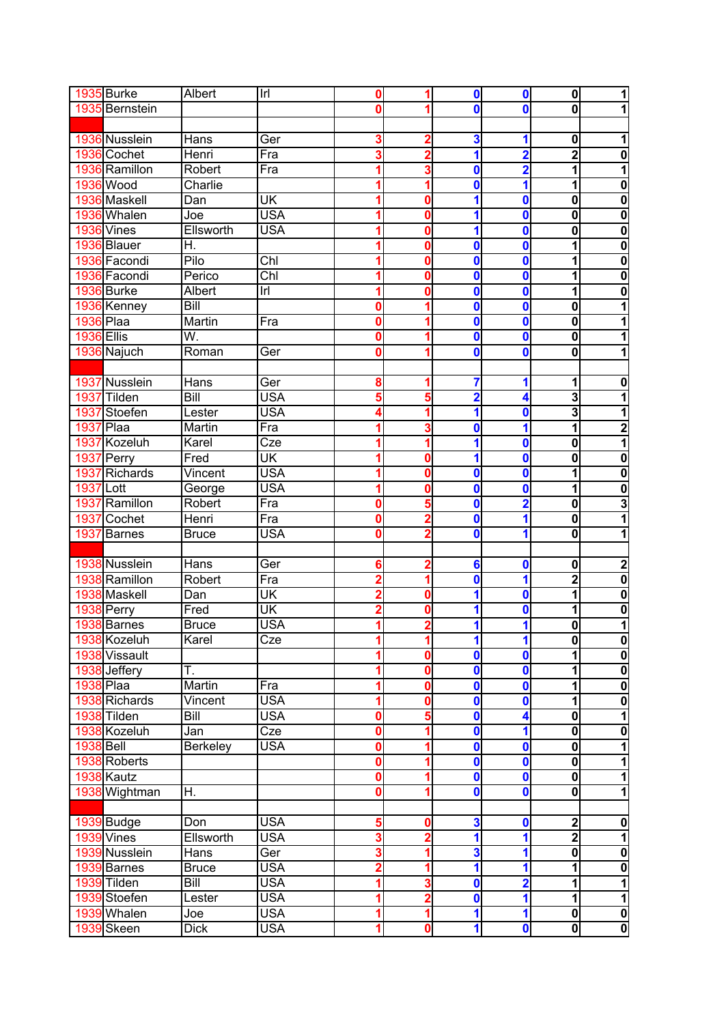| 1935 Burke                | Albert             | $\overline{\mathsf{I}^{\mathsf{r}}}$ | $\bf{0}$            | 1                | $\mathbf 0$                                        | $\mathbf 0$             | $\mathbf{0}$                            | 1                                    |
|---------------------------|--------------------|--------------------------------------|---------------------|------------------|----------------------------------------------------|-------------------------|-----------------------------------------|--------------------------------------|
| 1935 Bernstein            |                    |                                      | Ω                   |                  | 0                                                  | 0                       | $\mathbf{0}$                            | 1                                    |
|                           |                    |                                      |                     |                  |                                                    |                         |                                         |                                      |
| 1936 Nusslein             | Hans               | Ger                                  | 3                   | $\overline{2}$   | 3                                                  | 1                       | 0                                       | 1                                    |
| 1936 Cochet               | Henri              | Fra                                  | 3                   | $\overline{2}$   | $\overline{\mathbf{1}}$                            | 2                       | $\overline{\mathbf{2}}$                 | $\pmb{0}$                            |
| 1936 Ramillon             | Robert             | Fra                                  | 1                   | 3                | $\mathbf 0$                                        | $\overline{2}$          | 1                                       | 1                                    |
| <b>1936 Wood</b>          | Charlie            |                                      | 1                   | 1                | $\mathbf 0$                                        | 1                       | 1                                       | $\overline{\mathbf{0}}$              |
| 1936 Maskell              | Dan                | UK                                   |                     | 0                | 1                                                  | 0                       | 0                                       | $\overline{\mathbf{0}}$              |
| 1936 Whalen               | Joe                | <b>USA</b>                           |                     | 0                | 1                                                  | $\mathbf 0$             | $\overline{\mathbf{0}}$                 | $\overline{\mathbf{0}}$              |
| 1936 Vines                | Ellsworth          | <b>USA</b>                           | 1                   | 0                | 1                                                  | $\bf{0}$                | $\mathbf{0}$                            | $\overline{\mathbf{0}}$              |
| 1936 Blauer               | H.                 |                                      |                     | Ω                | $\mathbf 0$                                        | $\bf{0}$                | 1                                       | $\overline{\mathbf{0}}$              |
| 1936 Facondi              | Pilo               | $\overline{\text{Chl}}$              |                     |                  | $\mathbf 0$                                        |                         | 1                                       | $\overline{\mathbf{0}}$              |
|                           |                    |                                      | 1                   | 0                |                                                    | $\bf{0}$                |                                         | $\overline{\mathbf{0}}$              |
| 1936 Facondi              | Perico             | $\overline{\text{ChI}}$              |                     | 0                | $\mathbf 0$                                        | $\mathbf 0$             | 1                                       |                                      |
| 1936 Burke                | Albert             | r                                    |                     | 0                | 0                                                  | $\bf{0}$                | 1                                       | $\overline{\mathbf{0}}$              |
| 1936 Kenney               | <b>Bill</b>        |                                      | 0                   | 1                | $\mathbf 0$                                        | $\mathbf 0$             | 0                                       | 1                                    |
| 1936 Plaa                 | Martin             | Fra                                  | Ω                   | 1                | $\bf{0}$                                           | $\mathbf 0$             | 0                                       | 1                                    |
| 1936 Ellis                | W.                 |                                      | 0                   | 1                | $\mathbf 0$                                        | 0                       | 0                                       | 1                                    |
| 1936 Najuch               | Roman              | Ger                                  | 0                   | 1                | $\mathbf{0}$                                       | 0                       | $\overline{\mathbf{0}}$                 | 1                                    |
|                           |                    |                                      |                     |                  |                                                    |                         |                                         |                                      |
| 1937 Nusslein             | Hans               | Ger                                  | 8                   | 1                | 7                                                  | 1                       | 1                                       | $\bf{0}$                             |
| 1937 Tilden               | <b>Bill</b>        | <b>USA</b>                           | 5                   | 5                | $\overline{\mathbf{2}}$                            | 4                       | $\overline{\mathbf{3}}$                 | 1                                    |
| Stoefen<br>1937           | Lester             | <b>USA</b>                           | 4                   | 1                | $\overline{\mathbf{1}}$                            | $\mathbf 0$             | 3                                       | 1                                    |
| Plaa<br>1937              | Martin             | Fra                                  | 1                   | 3                | $\mathbf 0$                                        | 1                       | $\overline{\mathbf{1}}$                 | $\overline{2}$                       |
| Kozeluh<br>1937           | Karel              | Cze                                  | 1                   | 1                | $\overline{\mathbf{1}}$                            | $\bf{0}$                | $\overline{\mathbf{0}}$                 | $\overline{\mathbf{1}}$              |
| 1937 Perry                | Fred               | UK                                   |                     | 0                | 1                                                  | $\bf{0}$                | 0                                       | $\overline{\mathbf{0}}$              |
| Richards<br>1937          | Vincent            | <b>USA</b>                           |                     | 0                | $\mathbf 0$                                        | $\bf{0}$                | 1                                       | $\overline{\mathbf{0}}$              |
| <b>1937</b> Lott          | George             | <b>USA</b>                           |                     | 0                | $\mathbf 0$                                        | $\bf{0}$                | 1                                       | $\overline{\mathbf{0}}$              |
| 1937 Ramillon             | Robert             | Fra                                  | 0                   | 5                | $\mathbf 0$                                        | $\overline{\mathbf{2}}$ | 0                                       | $\overline{\mathbf{3}}$              |
| 1937 Cochet               | Henri              | Fra                                  | 0                   | $\overline{2}$   | $\mathbf 0$                                        | 1                       | $\overline{\mathbf{0}}$                 | $\overline{\mathbf{1}}$              |
| 1937 Barnes               | <b>Bruce</b>       | <b>USA</b>                           | 0                   | $\overline{2}$   | $\mathbf 0$                                        | 1                       | $\overline{\mathbf{0}}$                 | 1                                    |
|                           |                    |                                      |                     |                  |                                                    |                         |                                         |                                      |
|                           |                    |                                      |                     |                  |                                                    |                         |                                         |                                      |
| 1938 Nusslein             | <b>Hans</b>        | Ger                                  | 6                   | $\overline{2}$   | 6                                                  | $\bf{0}$                | 0                                       | $\mathbf 2$                          |
| 1938 Ramillon             | <b>Robert</b>      | Fra                                  | $\overline{2}$      | 1                | $\mathbf 0$                                        | 1                       | $\overline{2}$                          | $\overline{\mathbf{0}}$              |
| 1938 Maskell              | Dan                | UK                                   | 2                   | 0                | $\overline{\mathbf{1}}$                            | $\mathbf 0$             | $\overline{\mathbf{1}}$                 | $\overline{\mathbf{0}}$              |
| 1938 Perry                | Fred               | UK                                   | 2                   | 0                | 1                                                  | 0                       | 1                                       | $\mathbf 0$                          |
| 1938 Barnes               | <b>Bruce</b>       | <b>USA</b>                           | 1                   | $\overline{2}$   | 11                                                 | 1                       | $\mathbf{0}$                            | 1                                    |
| 1938 Kozeluh              | Karel              | Cze                                  | $\mathbf{1}$        | 1                | $\mathbf{1}$                                       | 1                       | $\mathbf{0}$                            | $\mathbf 0$                          |
| 1938 Vissault             |                    |                                      | 1                   | 0                | 0                                                  | $\mathbf 0$             | $\mathbf{1}$                            | $\overline{\mathbf{0}}$              |
| 1938 Jeffery              | Τ.                 |                                      | 1                   | 0                | $\mathbf 0$                                        | $\mathbf 0$             | $\mathbf{1}$                            | $\overline{\mathbf{0}}$              |
| 1938 Plaa                 | Martin             | Fra                                  | 1                   | 0                | $\overline{\mathbf{o}}$                            | $\overline{\mathbf{0}}$ | $\mathbf{1}$                            | $\overline{\mathbf{0}}$              |
| 1938 Richards             | Vincent            | <b>USA</b>                           | 1                   | 0                | $\overline{\mathbf{o}}$                            | $\overline{\mathbf{0}}$ | $\mathbf{1}$                            | $\overline{\mathbf{0}}$              |
| 1938 Tilden               | Bill               | <b>USA</b>                           | 0                   | 5                | $\mathbf 0$                                        | 4                       | $\mathbf 0$                             | 1                                    |
| 1938 Kozeluh              | Jan                | Cze                                  | 0                   | 1                | $\mathbf 0$                                        | 1                       | $\overline{\mathbf{0}}$                 | $\overline{\mathbf{0}}$              |
| <b>1938 Bell</b>          | <b>Berkeley</b>    | <b>USA</b>                           | 0                   | 1                | $\mathbf 0$                                        | $\mathbf{0}$            | $\overline{\mathbf{0}}$                 | $\overline{\mathbf{1}}$              |
| 1938 Roberts              |                    |                                      | 0                   | 1                | $\mathbf 0$                                        | 0                       | $\overline{\mathbf{0}}$                 | 1                                    |
| 1938 Kautz                |                    |                                      | O                   | 1                | $\mathbf 0$                                        | $\mathbf 0$             | $\overline{\mathbf{0}}$                 | 1                                    |
| 1938 Wightman             | H.                 |                                      | 0                   | 1                | $\mathbf 0$                                        | $\mathbf{0}$            | $\overline{\mathbf{0}}$                 | 1                                    |
|                           |                    |                                      |                     |                  |                                                    |                         |                                         |                                      |
| 1939 Budge                | Don                | <b>USA</b>                           | 5                   | 0                | $\overline{\mathbf{3}}$                            | $\bf{0}$                | $\mathbf{2}$                            | $\pmb{0}$                            |
| 1939 Vines                | Ellsworth          | <b>USA</b>                           | 3                   | $\overline{2}$   | 1                                                  | 1                       | $\overline{2}$                          | $\overline{1}$                       |
| 1939 Nusslein             | <b>Hans</b>        | Ger                                  | 3                   | 1                | 3                                                  | 1                       | $\overline{\mathbf{0}}$                 | $\pmb{0}$                            |
|                           |                    | <b>USA</b>                           | $\overline{2}$      |                  | 1                                                  | 1                       | $\mathbf{1}$                            | $\overline{\mathbf{0}}$              |
| 1939 Barnes               | Bruce              |                                      |                     | 1                |                                                    |                         |                                         |                                      |
| 1939 Tilden               | <b>Bill</b>        | <b>USA</b>                           | 1                   | 3                | $\mathbf 0$                                        | $\overline{\mathbf{2}}$ | $\mathbf{1}$                            | 1<br>$\overline{\mathbf{1}}$         |
| 1939 Stoefen              |                    |                                      |                     |                  |                                                    |                         |                                         |                                      |
|                           | Lester             | <b>USA</b>                           | 1                   | $\overline{2}$   | $\mathbf 0$                                        | 1                       | $\mathbf{1}$                            |                                      |
| 1939 Whalen<br>1939 Skeen | Joe<br><b>Dick</b> | <b>USA</b><br><b>USA</b>             | 1<br>$\blacksquare$ | 1<br>$\mathbf 0$ | $\overline{\mathbf{1}}$<br>$\overline{\mathbf{1}}$ | 1<br>$\mathbf{0}$       | $\mathbf{0}$<br>$\overline{\mathbf{0}}$ | $\pmb{0}$<br>$\overline{\mathbf{0}}$ |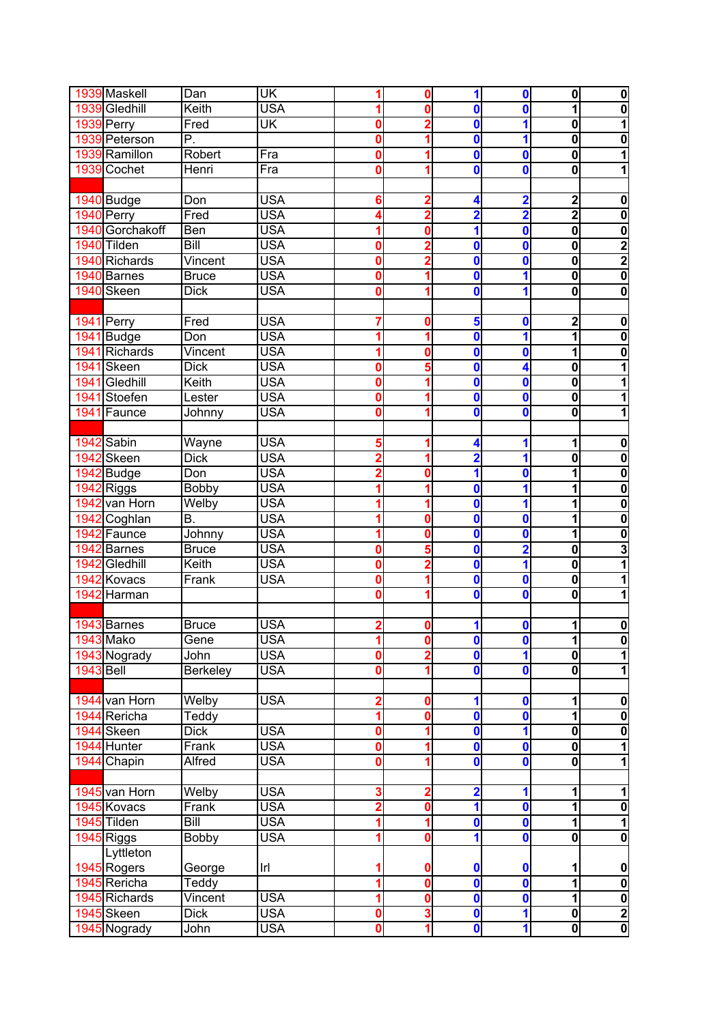|                  | 1939 Maskell    | Dan                       | UK         |                         | 0                       | $\mathbf{1}$                 | $\mathbf 0$             | $\mathbf{0}$                            | $\mathbf 0$             |
|------------------|-----------------|---------------------------|------------|-------------------------|-------------------------|------------------------------|-------------------------|-----------------------------------------|-------------------------|
|                  | 1939 Gledhill   | Keith                     | <b>USA</b> |                         | 0                       | $\mathbf 0$                  | 0                       | 1                                       | $\overline{\mathbf{0}}$ |
| 1939 Perry       |                 | Fred                      | UK         | 0                       | $\overline{2}$          | $\mathbf{0}$                 | 1                       | $\mathbf{0}$                            | $\overline{\mathbf{1}}$ |
|                  | 1939 Peterson   | $\overline{\mathsf{P}}$ . |            | 0                       | 1                       | $\mathbf{0}$                 | 1                       | $\mathbf 0$                             | $\bf{0}$                |
|                  | 1939 Ramillon   | Robert                    | Fra        | 0                       | 1                       | $\mathbf 0$                  | $\bf{0}$                | $\mathbf 0$                             | $\overline{\mathbf{1}}$ |
|                  | 1939 Cochet     | Henri                     | Fra        | 0                       | 1                       | $\mathbf 0$                  | $\bf{0}$                | $\mathbf 0$                             | 1                       |
|                  |                 |                           |            |                         |                         |                              |                         |                                         |                         |
|                  | 1940 Budge      | Don                       | <b>USA</b> | 6                       | $\overline{2}$          | 4                            | $\overline{\mathbf{2}}$ | $\mathbf{2}$                            | $\bf{0}$                |
| 1940 Perry       |                 | Fred                      | <b>USA</b> | 4                       | $\overline{\mathbf{2}}$ | $\overline{\mathbf{2}}$      | $\overline{\mathbf{2}}$ | $\overline{\mathbf{2}}$                 | $\overline{\mathbf{0}}$ |
|                  | 1940 Gorchakoff | Ben                       | <b>USA</b> |                         | 0                       | 1                            | $\mathbf 0$             | $\overline{\mathbf{0}}$                 | $\overline{\mathbf{0}}$ |
| 1940 Tilden      |                 | <b>Bill</b>               | <b>USA</b> | 0                       | $\overline{2}$          | $\mathbf 0$                  | $\bf{0}$                | $\overline{\mathbf{o}}$                 | $\overline{2}$          |
|                  | 1940 Richards   | Vincent                   | <b>USA</b> | 0                       | 2                       | $\mathbf 0$                  | 0                       | $\overline{\mathbf{0}}$                 | $\overline{\mathbf{2}}$ |
|                  | 1940 Barnes     | <b>Bruce</b>              | <b>USA</b> | 0                       |                         | 0                            | 1                       | $\mathbf 0$                             | $\overline{\mathbf{0}}$ |
|                  | 1940 Skeen      | <b>Dick</b>               | <b>USA</b> | 0                       |                         | 0                            | 1                       | 0                                       | $\overline{\mathbf{0}}$ |
|                  |                 |                           |            |                         |                         |                              |                         |                                         |                         |
| 1941             |                 | Fred                      | <b>USA</b> |                         |                         |                              |                         |                                         |                         |
|                  | Perry           | Don                       | <b>USA</b> | 7                       | 0<br>1                  | 5<br>$\overline{\mathbf{0}}$ | $\boldsymbol{0}$        | $\mathbf{2}$<br>$\overline{\mathbf{1}}$ | $\bf{0}$                |
| 1941             | <b>Budge</b>    |                           |            |                         |                         |                              | 1                       |                                         | $\pmb{0}$               |
| 194 <sup>2</sup> | <b>Richards</b> | Vincent                   | <b>USA</b> | 1                       | 0                       | $\mathbf 0$                  | $\mathbf 0$             | $\mathbf{1}$                            | $\bf{0}$                |
| 1941             | Skeen           | <b>Dick</b>               | <b>USA</b> | 0                       | 5                       | $\mathbf 0$                  | 4                       | $\mathbf{0}$                            | 1                       |
| 1941             | Gledhill        | Keith                     | <b>USA</b> | 0                       |                         | $\mathbf 0$                  | 0                       | $\mathbf{0}$                            | 1                       |
| 1941             | Stoefen         | Lester                    | <b>USA</b> | $\mathbf 0$             |                         | $\mathbf 0$                  | $\mathbf 0$             | $\mathbf{0}$                            | 1                       |
| 1941             | Faunce          | Johnny                    | <b>USA</b> | 0                       |                         | 0                            | $\bf{0}$                | 0                                       | 1                       |
|                  |                 |                           |            |                         |                         |                              |                         |                                         |                         |
| 1942             | Sabin           | Wayne                     | <b>USA</b> | 5                       | 1                       | 4                            | 1                       | $\mathbf{1}$                            | $\bf{0}$                |
| 1942             | Skeen           | <b>Dick</b>               | <b>USA</b> | $\overline{\mathbf{2}}$ |                         | $\overline{\mathbf{2}}$      | 1                       | $\mathbf 0$                             | $\overline{\mathbf{0}}$ |
| 1942             | Budge           | Don                       | <b>USA</b> | 2                       | 0                       | 1                            | $\bf{0}$                | 1                                       | $\overline{\mathbf{0}}$ |
| 1942             | <b>Riggs</b>    | Bobby                     | <b>USA</b> |                         |                         | $\mathbf 0$                  | 1                       | 1                                       | $\overline{\mathbf{0}}$ |
| 1942             | van Horn        | Welby                     | <b>USA</b> |                         |                         | 0                            | 1                       | 1                                       | $\overline{\mathbf{0}}$ |
| 1942             | Coghlan         | B.                        | <b>USA</b> |                         | 0                       | $\mathbf 0$                  | 0                       | $\mathbf{1}$                            | $\overline{\mathbf{0}}$ |
| 1942             | Faunce          | Johnny                    | <b>USA</b> |                         | Ω                       | $\mathbf 0$                  | 0                       | $\mathbf{1}$                            | $\bf{0}$                |
| 1942             | Barnes          | <b>Bruce</b>              | <b>USA</b> | 0                       | 5                       | $\mathbf 0$                  | $\overline{\mathbf{2}}$ | $\overline{\mathbf{0}}$                 | $\overline{\mathbf{3}}$ |
| 1942             | Gledhill        | Keith                     | <b>USA</b> | 0                       | $\overline{2}$          | $\mathbf 0$                  | 1                       | 0                                       | 1                       |
| 1942             | Kovacs          | Frank                     | <b>USA</b> | 0                       | 1                       | $\mathbf 0$                  | $\mathbf 0$             | $\mathbf 0$                             | 1                       |
| 1942             | Harman          |                           |            | 0                       | 1                       | $\overline{\mathbf{0}}$      | $\mathbf 0$             | $\mathbf{0}$                            | 1                       |
|                  |                 |                           |            |                         |                         |                              |                         |                                         |                         |
|                  | 1943 Barnes     | <b>Bruce</b>              | <b>USA</b> | 2                       | 0                       | $\mathbf{1}$                 | 0                       | $\overline{1}$                          | $\mathbf 0$             |
| <b>1943</b> Mako |                 | Gene                      | <b>USA</b> | 1                       | 0                       | $\mathbf 0$                  | 0                       | $\overline{1}$                          | $\mathbf 0$             |
|                  | 1943 Nogrady    | John                      | <b>USA</b> | 0                       | $\overline{2}$          | 0                            | 1                       | $\mathbf{0}$                            | $\overline{1}$          |
| <b>1943 Bell</b> |                 | Berkeley                  | <b>USA</b> | 0                       | 1                       | $\mathbf 0$                  | $\mathbf 0$             | $\overline{\mathbf{o}}$                 | 1                       |
|                  |                 |                           |            |                         |                         |                              |                         |                                         |                         |
| 1944             | van Horn        | Welby                     | <b>USA</b> | $\overline{\mathbf{c}}$ | 0                       | 1                            | $\bf{0}$                | $\mathbf{1}$                            | $\pmb{0}$               |
|                  | 1944 Rericha    | Teddy                     |            | 1                       | 0                       | $\mathbf 0$                  | 0                       | $\mathbf{1}$                            | $\mathbf 0$             |
|                  | 1944 Skeen      | <b>Dick</b>               | <b>USA</b> | 0                       | 1                       | $\mathbf 0$                  | 1                       | $\overline{\mathbf{0}}$                 | $\overline{\mathbf{0}}$ |
|                  | 1944 Hunter     | Frank                     | <b>USA</b> | O                       |                         | $\mathbf 0$                  | $\mathbf 0$             | $\overline{\mathbf{0}}$                 | $\overline{\mathbf{1}}$ |
|                  | 1944 Chapin     | Alfred                    | <b>USA</b> | 0                       |                         | $\mathbf 0$                  | $\bf{0}$                | $\overline{\mathbf{0}}$                 | $\overline{\mathbf{1}}$ |
|                  |                 |                           |            |                         |                         |                              |                         |                                         |                         |
| 1945             | van Horn        | Welby                     | <b>USA</b> | 3                       | $\overline{2}$          | $\overline{\mathbf{2}}$      | 1                       | $\mathbf{1}$                            | 1                       |
|                  | 1945 Kovacs     | Frank                     | <b>USA</b> | $\overline{2}$          | 0                       | $\overline{\mathbf{1}}$      | $\bf{0}$                | $\overline{\mathbf{1}}$                 | $\overline{\bullet}$    |
|                  | 1945 Tilden     | <b>Bill</b>               | <b>USA</b> | 1                       |                         | $\mathbf 0$                  | $\mathbf 0$             | $\mathbf{1}$                            | $\overline{\mathbf{1}}$ |
| 1945 Riggs       |                 | Bobby                     | <b>USA</b> |                         | 0                       | 1                            | $\mathbf 0$             | $\mathbf{0}$                            | $\overline{\mathbf{0}}$ |
|                  | Lyttleton       |                           |            |                         |                         |                              |                         |                                         |                         |
|                  | 1945 Rogers     | George                    | Irl        |                         | 0                       | 0                            | $\boldsymbol{0}$        | $\mathbf{1}$                            | $\boldsymbol{0}$        |
|                  | 1945 Rericha    | Teddy                     |            | 1                       | 0                       | $\overline{\mathbf{0}}$      | $\boldsymbol{0}$        | $\overline{1}$                          | $\overline{\mathbf{0}}$ |
|                  | 1945 Richards   | Vincent                   | <b>USA</b> | 1                       | 0                       | $\mathbf 0$                  | $\mathbf 0$             | $\overline{\mathbf{1}}$                 | $\overline{\mathbf{0}}$ |
|                  | 1945 Skeen      | <b>Dick</b>               | <b>USA</b> | 0                       | 3                       | $\overline{\mathbf{o}}$      | 1                       | $\overline{\mathbf{0}}$                 | $\overline{2}$          |
|                  | 1945 Nogrady    | John                      | <b>USA</b> | $\mathbf{0}$            | 1                       | $\mathbf 0$                  | 1                       | $\overline{\mathbf{0}}$                 | $\overline{\mathbf{0}}$ |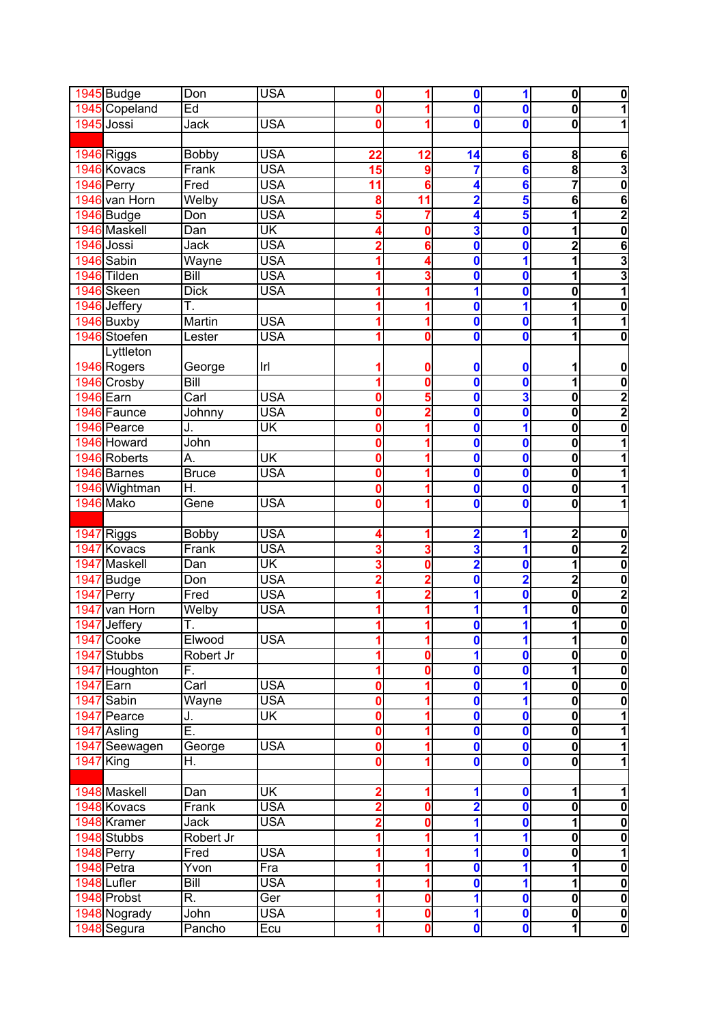| 1945 Budge                  | Don                                | <b>USA</b>                | $\bf{0}$                | 1                | $\mathbf 0$             | 1                       | $\mathbf{0}$                   | $\pmb{0}$                                          |
|-----------------------------|------------------------------------|---------------------------|-------------------------|------------------|-------------------------|-------------------------|--------------------------------|----------------------------------------------------|
| 1945 Copeland               | Ed                                 |                           | 0                       |                  | $\bf{0}$                | 0                       | $\mathbf{0}$                   | 1                                                  |
| 1945 Jossi                  | Jack                               | <b>USA</b>                | 0                       | 1                | $\mathbf 0$             | $\mathbf{0}$            | $\mathbf{0}$                   | 1                                                  |
|                             |                                    |                           |                         |                  |                         |                         |                                |                                                    |
| 1946 Riggs                  | <b>Bobby</b>                       | <b>USA</b>                | 22                      | 12               | 14                      | $6\phantom{1}6$         | 8                              | $6\phantom{1}6$                                    |
| 1946 Kovacs                 | Frank                              | <b>USA</b>                | 15                      | 9                | 7                       | 6                       | 8                              | $\overline{\mathbf{3}}$                            |
| 1946 Perry                  | Fred                               | <b>USA</b>                | 11                      | 6                | 4                       | 6                       | 7                              | $\overline{\mathbf{0}}$                            |
| 1946 van Horn               | Welby                              | <b>USA</b>                | 8                       | 11               | $\overline{\mathbf{2}}$ | 5                       | 6                              | $\overline{\mathbf{6}}$                            |
| 1946 Budge                  | Don                                | <b>USA</b>                | 5                       |                  | 4                       | 5                       | 1                              | $\overline{2}$                                     |
| 1946 Maskell                | Dan                                | $\overline{\mathsf{U}}$ K |                         | 0                | 3                       |                         | 1                              | $\overline{\mathbf{0}}$                            |
|                             |                                    |                           |                         |                  |                         | $\bf{0}$                |                                |                                                    |
| 1946 Jossi                  | <b>Jack</b>                        | <b>USA</b>                | 2                       | 6                | 0                       | 0                       | $\overline{2}$                 | $\overline{\mathbf{6}}$                            |
| 1946 Sabin                  | Wayne                              | <b>USA</b>                | 1                       | 4                | 0                       | 1                       | 1                              | $\overline{\mathbf{3}}$                            |
| 1946 Tilden                 | Bill                               | <b>USA</b>                |                         | 3                | 0                       | $\bf{0}$                | 1                              | 3                                                  |
| 1946 Skeen                  | <b>Dick</b>                        | <b>USA</b>                |                         |                  | 1                       | $\bf{0}$                | 0                              | 1                                                  |
| 1946 Jeffery                | Ŧ.                                 |                           |                         |                  | $\mathbf{0}$            | 1                       | 1                              | 0                                                  |
| 1946 Buxby                  | Martin                             | USA                       |                         | 1                | $\bf{0}$                | 0                       | 1                              | 1                                                  |
| 1946 Stoefen                | Lester                             | <b>USA</b>                |                         | 0                | $\mathbf 0$             | 0                       | 1                              | 0                                                  |
| Lyttleton                   |                                    |                           |                         |                  |                         |                         |                                |                                                    |
| 1946 Rogers                 | George                             | Irl                       |                         | 0                | 0                       | 0                       | 1                              | 0                                                  |
| 1946 Crosby                 | Bill                               |                           |                         | 0                | $\mathbf{0}$            | 0                       | $\overline{1}$                 | $\overline{\mathbf{0}}$                            |
| <b>1946 Earn</b>            | Carl                               | <b>USA</b>                | 0                       | 5                | $\mathbf 0$             | $\overline{\mathbf{3}}$ | $\mathbf{0}$                   | $\overline{\mathbf{2}}$                            |
| 1946 Faunce                 | Johnny                             | <b>USA</b>                | 0                       | $\overline{2}$   | $\mathbf 0$             | $\mathbf{0}$            | $\mathbf{0}$                   | $\overline{\mathbf{2}}$                            |
| 1946 Pearce                 | J.                                 | UK                        | 0                       |                  | $\mathbf 0$             | 1                       | $\mathbf{0}$                   | $\overline{\mathbf{0}}$                            |
| 1946 Howard                 | John                               |                           | O                       |                  | $\mathbf 0$             | $\bf{0}$                | $\overline{\mathbf{0}}$        | $\overline{\mathbf{1}}$                            |
| 1946 Roberts                | Ā.                                 | $\overline{\mathsf{U}}$ K | 0                       |                  | 0                       | $\bf{0}$                | 0                              | 1                                                  |
| 1946 Barnes                 | <b>Bruce</b>                       | <b>USA</b>                | 0                       |                  | 0                       | 0                       | 0                              |                                                    |
| 1946 Wightman               | Η.                                 |                           | Ω                       |                  | 0                       | 0                       | 0                              |                                                    |
| <b>1946 Mako</b>            | Gene                               | <b>USA</b>                |                         | 1                | 0                       | $\mathbf{0}$            | 0                              |                                                    |
|                             |                                    |                           | 0                       |                  |                         |                         |                                | 1                                                  |
|                             |                                    |                           |                         |                  |                         |                         |                                |                                                    |
|                             |                                    |                           |                         |                  |                         |                         |                                |                                                    |
| 1947 Riggs                  | Bobby                              | <b>USA</b>                | 4                       | 1                | $\overline{\mathbf{2}}$ | 1                       | $\overline{\mathbf{c}}$        | $\bf{0}$                                           |
| 1947<br>Kovacs              | Frank                              | <b>USA</b>                | 3                       | 3                | 3                       | 1                       | $\mathbf{0}$                   | $\overline{2}$                                     |
| 1947<br>Maskell             | Dan                                | UK                        | 3                       | 0                | $\overline{\mathbf{2}}$ | 0                       | 1                              | $\overline{\mathbf{0}}$                            |
| 1947 Budge                  | Don                                | <b>USA</b>                | $\overline{2}$          | $\overline{2}$   | $\mathbf 0$             | $\overline{2}$          | $\overline{2}$                 | $\overline{\mathbf{0}}$                            |
| 1947<br>Perry               | Fred                               | <b>USA</b>                | 1                       | $\overline{2}$   | $\overline{\mathbf{1}}$ | $\mathbf 0$             | $\overline{\mathbf{0}}$        | $\overline{2}$                                     |
| van Horn<br>1947            | Welby                              | <b>USA</b>                | 1                       |                  | 1                       | 1                       | $\mathbf 0$                    | $\overline{\mathbf{0}}$                            |
| 1947 Jeffery                | T.                                 |                           | 1                       | 1                | $\mathbf 0$             | 1                       | $\mathbf{1}$                   | $\mathbf 0$                                        |
| 1947 Cooke                  | Elwood                             | <b>USA</b>                | $\mathbf{1}$            | 1                | $\mathbf 0$             | 1                       | $\mathbf{1}$                   | $\mathbf 0$                                        |
| 1947 Stubbs                 | Robert Jr                          |                           | 1                       | 0                | 1                       | $\mathbf{0}$            | $\mathbf 0$                    | $\overline{\mathbf{0}}$                            |
| 1947 Houghton               | F.                                 |                           | 1                       | 0                | $\mathbf 0$             | $\mathbf 0$             | $\mathbf{1}$                   | $\overline{\mathbf{0}}$                            |
| Earn<br>1947                | Carl                               | <b>USA</b>                | 0                       | 1                | $\overline{\mathbf{o}}$ | 1                       | $\overline{\mathbf{o}}$        | $\overline{\mathbf{0}}$                            |
| Sabin<br>1947               |                                    | <b>USA</b>                | 0                       | 1                | $\mathbf{0}$            | 1                       | $\mathbf 0$                    |                                                    |
|                             | $\overline{\mathsf{W}}$ ayne<br>J. |                           |                         | 1                | $\mathbf 0$             |                         |                                | $\overline{\mathbf{0}}$                            |
| 1947 Pearce                 |                                    | UK                        | O                       |                  |                         | 0                       | $\mathbf 0$                    | 1                                                  |
| 1947<br>Asling              | Ē.                                 |                           | 0                       | 1                | $\mathbf 0$             | $\mathbf 0$             | $\overline{\mathbf{0}}$        | $\overline{\mathbf{1}}$                            |
| Seewagen<br>1947            | George                             | <b>USA</b>                | 0                       | 1                | $\mathbf 0$             | 0                       | $\overline{\mathbf{0}}$        | 1                                                  |
| <b>1947 King</b>            | Η.                                 |                           | O                       | 1                | $\mathbf 0$             | 0                       | $\overline{\mathbf{0}}$        | 1                                                  |
|                             |                                    |                           |                         |                  |                         |                         |                                |                                                    |
| 1948 Maskell                | Dan                                | UK                        | 2                       | 1                | $\mathbf{1}$            | $\bf{0}$                | $\mathbf{1}$                   | 1                                                  |
| 1948 Kovacs                 | Frank                              | <b>USA</b>                | $\overline{\mathbf{2}}$ | 0                | 2                       | $\bf{0}$                | $\overline{\mathbf{0}}$        | $\pmb{0}$                                          |
| 1948 Kramer                 | Jack                               | <b>USA</b>                | $\overline{2}$          | 0                | $\overline{\mathbf{1}}$ | $\mathbf 0$             | $\mathbf{1}$                   | $\overline{\mathbf{o}}$                            |
| 1948 Stubbs                 | Robert Jr                          |                           | 1                       | 1                | $\mathbf{1}$            | 1                       | $\mathbf 0$                    | $\overline{\mathbf{0}}$                            |
| 1948 Perry                  | Fred                               | <b>USA</b>                | $\overline{\mathbf{1}}$ | 1                | $\mathbf{1}$            | $\bf{0}$                | $\mathbf 0$                    | $\overline{\mathbf{1}}$                            |
| 1948 Petra                  | Yvon                               | Fra                       | 1                       | 1                | $\mathbf 0$             | 1                       | $\mathbf{1}$                   | $\overline{\mathbf{0}}$                            |
| 1948 Lufler                 | <b>Bill</b>                        | <b>USA</b>                | 1                       | 1                | $\mathbf{0}$            | 1                       | $\mathbf{1}$                   | $\overline{\mathbf{0}}$                            |
| 1948 Probst                 | R.                                 | Ger                       | 1                       | 0                | 1                       | $\bf{0}$                | $\overline{\mathbf{o}}$        | $\overline{\mathbf{0}}$                            |
| 1948 Nogrady<br>1948 Segura | John<br>Pancho                     | <b>USA</b><br>Ecu         | 1<br>$\blacksquare$     | 0<br>$\mathbf 0$ | 1<br>$\mathbf 0$        | $\bf{0}$                | $\mathbf{0}$<br>$\overline{1}$ | $\overline{\mathbf{o}}$<br>$\overline{\mathbf{0}}$ |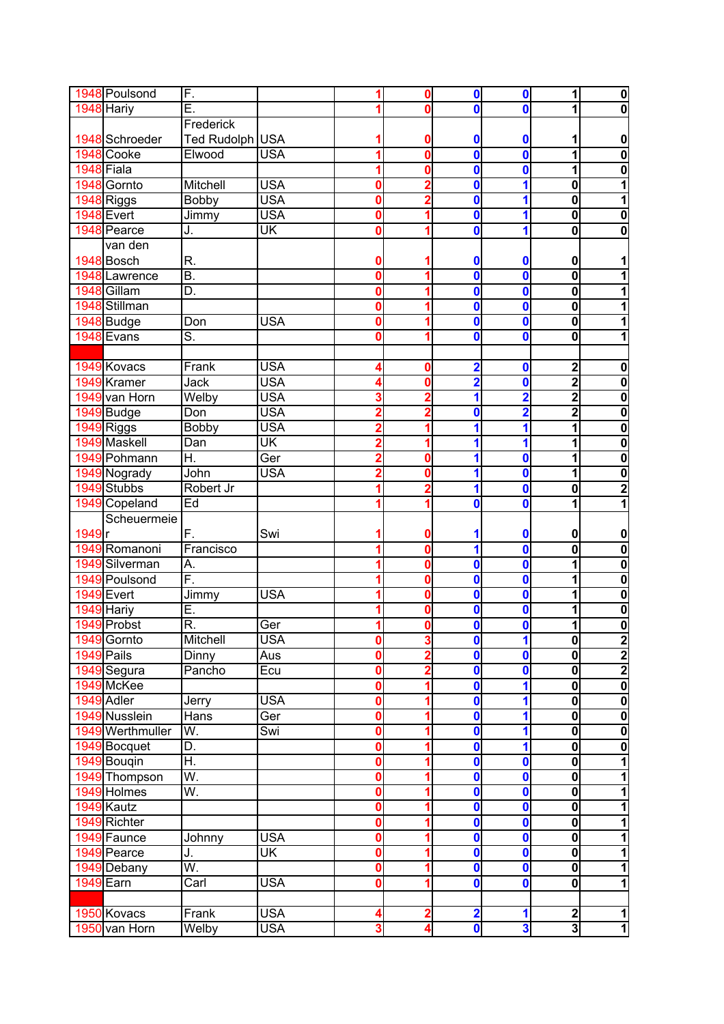|                   | 1948 Poulsond                | F.                        |                           | 1                            | 0                            | $\mathbf 0$                                        | 0                       | $\mathbf{1}$            | $\bf{0}$                                                                                                                                                                                                                                                                                                                                                                         |
|-------------------|------------------------------|---------------------------|---------------------------|------------------------------|------------------------------|----------------------------------------------------|-------------------------|-------------------------|----------------------------------------------------------------------------------------------------------------------------------------------------------------------------------------------------------------------------------------------------------------------------------------------------------------------------------------------------------------------------------|
|                   | 1948 Hariy                   | Ē.                        |                           |                              | 0                            | 0                                                  | 0                       | 1                       | 0                                                                                                                                                                                                                                                                                                                                                                                |
|                   |                              | Frederick                 |                           |                              |                              |                                                    |                         |                         |                                                                                                                                                                                                                                                                                                                                                                                  |
|                   | 1948 Schroeder               | Ted Rudolph USA           |                           |                              | 0                            | 0                                                  | 0                       | 1                       | 0                                                                                                                                                                                                                                                                                                                                                                                |
|                   | 1948 Cooke                   | Elwood                    | <b>USA</b>                | 1                            | 0                            | $\mathbf 0$                                        | 0                       | 1                       | $\mathbf 0$                                                                                                                                                                                                                                                                                                                                                                      |
|                   | 1948 Fiala                   |                           |                           | 1                            | 0                            | $\bf{0}$                                           | 0                       | 1                       | 0                                                                                                                                                                                                                                                                                                                                                                                |
|                   | 1948 Gornto                  | Mitchell                  | <b>USA</b>                | 0                            | $\overline{2}$               | $\bf{0}$                                           | 1                       | $\mathbf 0$             | 1                                                                                                                                                                                                                                                                                                                                                                                |
|                   | 1948 Riggs                   | <b>Bobby</b>              | <b>USA</b>                | 0                            | $\overline{2}$               | $\bf{0}$                                           | 1                       | $\mathbf 0$             | 1                                                                                                                                                                                                                                                                                                                                                                                |
|                   | 1948 Evert                   | Jimmy                     | <b>USA</b>                | O                            |                              | $\bf{0}$                                           | 1                       | 0                       | 0                                                                                                                                                                                                                                                                                                                                                                                |
|                   | 1948 Pearce                  | J.                        | $\overline{\mathsf{U}}$ K | 0                            |                              | 0                                                  | 1                       | O                       | 0                                                                                                                                                                                                                                                                                                                                                                                |
|                   |                              |                           |                           |                              |                              |                                                    |                         |                         |                                                                                                                                                                                                                                                                                                                                                                                  |
|                   | van den                      |                           |                           |                              |                              |                                                    |                         |                         |                                                                                                                                                                                                                                                                                                                                                                                  |
|                   | 1948 Bosch                   | R.                        |                           | 0                            |                              | 0                                                  | 0                       | 0                       |                                                                                                                                                                                                                                                                                                                                                                                  |
|                   | 1948 Lawrence                | B.                        |                           | O                            | 1                            | $\mathbf 0$                                        | $\bf{0}$                | $\overline{\mathbf{0}}$ |                                                                                                                                                                                                                                                                                                                                                                                  |
|                   | 1948 Gillam                  | D.                        |                           | 0                            | 1                            | 0                                                  | $\mathbf 0$             | 0                       |                                                                                                                                                                                                                                                                                                                                                                                  |
|                   | 1948 Stillman                |                           |                           | 0                            |                              | $\bf{0}$                                           | $\bf{0}$                | 0                       |                                                                                                                                                                                                                                                                                                                                                                                  |
|                   | 1948 Budge                   | Don                       | <b>USA</b>                | 0                            | 1                            | $\mathbf{0}$                                       | $\mathbf{0}$            | $\mathbf{0}$            | 1                                                                                                                                                                                                                                                                                                                                                                                |
|                   | 1948 Evans                   | $\overline{\mathsf{S}}$ . |                           | 0                            | 1                            | $\bf{0}$                                           | 0                       | 0                       | 1                                                                                                                                                                                                                                                                                                                                                                                |
|                   |                              |                           |                           |                              |                              |                                                    |                         |                         |                                                                                                                                                                                                                                                                                                                                                                                  |
|                   | 1949 Kovacs                  | Frank                     | USA                       | 4                            | 0                            | $\overline{\mathbf{2}}$                            | $\bf{0}$                | $\overline{\mathbf{c}}$ | $\bf{0}$                                                                                                                                                                                                                                                                                                                                                                         |
|                   | 1949 Kramer                  | Jack                      | <b>USA</b>                |                              | 0                            | $\overline{\mathbf{2}}$                            | $\bf{0}$                | $\overline{2}$          | $\overline{\mathbf{0}}$                                                                                                                                                                                                                                                                                                                                                          |
|                   | 1949 van Horn                | Welby                     | <b>USA</b>                | 3                            | $\overline{2}$               | 1                                                  | $\overline{2}$          | $\overline{\mathbf{c}}$ | $\bf{0}$                                                                                                                                                                                                                                                                                                                                                                         |
|                   | 1949 Budge                   | Don                       | <b>USA</b>                | $\overline{2}$               | $\overline{2}$               | $\bf{0}$                                           | $\overline{\mathbf{2}}$ | $\overline{\mathbf{2}}$ | $\overline{\mathbf{0}}$                                                                                                                                                                                                                                                                                                                                                          |
|                   | 1949 Riggs                   | Bobby                     | <b>USA</b>                | 2                            | 1                            | 1                                                  | 1                       | 1                       | $\overline{\mathbf{0}}$                                                                                                                                                                                                                                                                                                                                                          |
|                   | 1949 Maskell                 | $\overline{D}$ an         | UK                        | 2                            | 1                            | 1                                                  | 1                       | 1                       | $\overline{\mathbf{0}}$                                                                                                                                                                                                                                                                                                                                                          |
|                   | 1949 Pohmann                 | H.                        | Ger                       | 2                            | 0                            | 1                                                  | $\mathbf{0}$            | 1                       | $\overline{\mathbf{0}}$                                                                                                                                                                                                                                                                                                                                                          |
|                   | 1949 Nogrady                 | John                      | <b>USA</b>                | 2                            | 0                            | 1                                                  | 0                       | $\overline{\mathbf{1}}$ | $\overline{\mathbf{0}}$                                                                                                                                                                                                                                                                                                                                                          |
|                   | 1949 Stubbs                  | Robert Jr                 |                           |                              |                              | 1                                                  | 0                       | $\mathbf{0}$            | $\overline{2}$                                                                                                                                                                                                                                                                                                                                                                   |
|                   | 1949 Copeland                | Ed                        |                           |                              |                              | $\mathbf{0}$                                       | $\mathbf{0}$            | 1                       | 1                                                                                                                                                                                                                                                                                                                                                                                |
|                   | Scheuermeie                  |                           |                           |                              |                              |                                                    |                         |                         |                                                                                                                                                                                                                                                                                                                                                                                  |
|                   |                              |                           |                           |                              |                              |                                                    |                         |                         |                                                                                                                                                                                                                                                                                                                                                                                  |
|                   |                              |                           |                           |                              |                              |                                                    |                         |                         |                                                                                                                                                                                                                                                                                                                                                                                  |
| 1949 <sub>r</sub> |                              | F.                        | Swi                       |                              | 0                            | 1                                                  | 0                       | 0                       | 0                                                                                                                                                                                                                                                                                                                                                                                |
|                   | 1949 Romanoni                | Francisco                 |                           | 1                            | $\mathbf 0$                  | 1                                                  | $\bf{0}$                | $\mathbf{0}$            | $\bf{0}$                                                                                                                                                                                                                                                                                                                                                                         |
|                   | 1949 Silverman               | Ā.                        |                           | 1                            | 0                            | $\mathbf 0$                                        | 0                       | 1                       | $\overline{\mathbf{0}}$                                                                                                                                                                                                                                                                                                                                                          |
|                   | 1949 Poulsond                | F.                        |                           |                              | 0                            | 0                                                  | 0                       | 1                       | $\overline{\mathbf{0}}$                                                                                                                                                                                                                                                                                                                                                          |
|                   | 1949 Evert                   | Jimmy                     | <b>USA</b>                |                              | $\mathbf 0$                  | $\mathbf{0}$                                       | 0                       | 1                       | $\overline{\mathbf{0}}$                                                                                                                                                                                                                                                                                                                                                          |
|                   | 1949 Hariy                   | Ē.                        |                           |                              |                              | 0                                                  | 0                       | 1                       |                                                                                                                                                                                                                                                                                                                                                                                  |
|                   | 1949 Probst                  | R.                        | Ger                       |                              | 0                            | $\mathbf 0$                                        | 0                       | $\mathbf{1}$            |                                                                                                                                                                                                                                                                                                                                                                                  |
|                   | 1949 Gornto                  | Mitchell                  | <b>USA</b>                | $\mathbf 0$                  | 3                            | $\mathbf 0$                                        | 1                       | $\mathbf{0}$            |                                                                                                                                                                                                                                                                                                                                                                                  |
|                   | 1949 Pails                   | Dinny                     | Aus                       | 0                            | $\overline{\mathbf{2}}$      | $\mathbf 0$                                        | $\mathbf 0$             | $\overline{\mathbf{0}}$ |                                                                                                                                                                                                                                                                                                                                                                                  |
|                   | 1949 Segura                  | Pancho                    | Ecu                       | 0                            | $\overline{\mathbf{2}}$      | $\mathbf 0$                                        | $\mathbf 0$             | $\mathbf{0}$            |                                                                                                                                                                                                                                                                                                                                                                                  |
|                   | 1949 McKee                   |                           |                           | O                            | 1                            | $\overline{\mathbf{o}}$                            | 1                       | $\overline{\mathbf{o}}$ |                                                                                                                                                                                                                                                                                                                                                                                  |
|                   | 1949 Adler                   | Jerry                     | <b>USA</b>                | 0                            | 1                            | $\overline{\mathbf{0}}$                            | 1                       | $\overline{\mathbf{0}}$ |                                                                                                                                                                                                                                                                                                                                                                                  |
|                   | 1949 Nusslein                | Hans                      | Ger                       | 0                            | 1                            | $\mathbf 0$                                        | 1                       | $\mathbf{0}$            |                                                                                                                                                                                                                                                                                                                                                                                  |
|                   | 1949 Werthmuller             | W.                        | Swi                       | 0                            | 1                            | $\mathbf 0$                                        | 1                       | $\mathbf 0$             |                                                                                                                                                                                                                                                                                                                                                                                  |
|                   | 1949 Bocquet                 | D.                        |                           | $\mathbf 0$                  | 1                            | $\mathbf 0$                                        | 1                       | $\overline{\mathbf{0}}$ |                                                                                                                                                                                                                                                                                                                                                                                  |
|                   |                              |                           |                           |                              | 1                            |                                                    |                         |                         |                                                                                                                                                                                                                                                                                                                                                                                  |
|                   | 1949 Bougin                  | H.                        |                           | 0                            |                              | $\mathbf 0$                                        | $\mathbf 0$             | $\overline{\mathbf{0}}$ |                                                                                                                                                                                                                                                                                                                                                                                  |
|                   | 1949 Thompson                | W.                        |                           | 0                            | 1                            | $\mathbf 0$                                        | $\mathbf 0$             | $\overline{\mathbf{0}}$ |                                                                                                                                                                                                                                                                                                                                                                                  |
|                   | 1949 Holmes                  | W.                        |                           | Ō                            | 1                            | $\overline{\mathbf{0}}$                            | $\mathbf 0$             | $\overline{\mathbf{0}}$ |                                                                                                                                                                                                                                                                                                                                                                                  |
|                   | 1949 Kautz                   |                           |                           | 0                            | 1                            | $\mathbf 0$                                        | $\mathbf 0$             | $\overline{\mathbf{0}}$ |                                                                                                                                                                                                                                                                                                                                                                                  |
|                   | 1949 Richter                 |                           |                           | 0                            | 1                            | $\mathbf 0$                                        | $\bf{0}$                | $\mathbf 0$             |                                                                                                                                                                                                                                                                                                                                                                                  |
|                   | 1949 Faunce                  | Johnny                    | <b>USA</b>                | 0                            | 1                            | $\mathbf 0$                                        | $\bf{0}$                | $\overline{\mathbf{0}}$ |                                                                                                                                                                                                                                                                                                                                                                                  |
|                   | 1949 Pearce                  | J.                        | UK                        | 0                            | 1                            | $\mathbf 0$                                        | $\mathbf 0$             | $\mathbf{0}$            |                                                                                                                                                                                                                                                                                                                                                                                  |
|                   | 1949 Debany                  | W.                        |                           | 0                            | 1                            | $\mathbf 0$                                        | 0                       | $\mathbf 0$             |                                                                                                                                                                                                                                                                                                                                                                                  |
|                   | 1949 Earn                    | Carl                      | USA                       | 0                            | 1                            | $\mathbf 0$                                        | $\mathbf{0}$            | $\overline{\mathbf{0}}$ |                                                                                                                                                                                                                                                                                                                                                                                  |
|                   |                              |                           |                           |                              |                              |                                                    |                         |                         |                                                                                                                                                                                                                                                                                                                                                                                  |
|                   | 1950 Kovacs<br>1950 van Horn | Frank<br>Welby            | <b>USA</b><br><b>USA</b>  | 4<br>$\overline{\mathbf{3}}$ | $\overline{\mathbf{c}}$<br>4 | $\overline{\mathbf{2}}$<br>$\overline{\mathbf{0}}$ | 1<br>3                  | $\frac{2}{3}$           | $\mathbf 0$<br>0<br>$\overline{\mathbf{c}}$<br>$\frac{2}{2}$<br>$\overline{\mathbf{0}}$<br>$\overline{\mathbf{0}}$<br>$\overline{\mathbf{0}}$<br>$\overline{\mathbf{0}}$<br>$\overline{\mathbf{1}}$<br>$\overline{\mathbf{1}}$<br>$\overline{\mathbf{1}}$<br>1<br>1<br>$\overline{1}$<br>$\overline{\mathbf{1}}$<br>$\overline{\mathbf{1}}$<br>1<br>1<br>$\overline{\mathbf{1}}$ |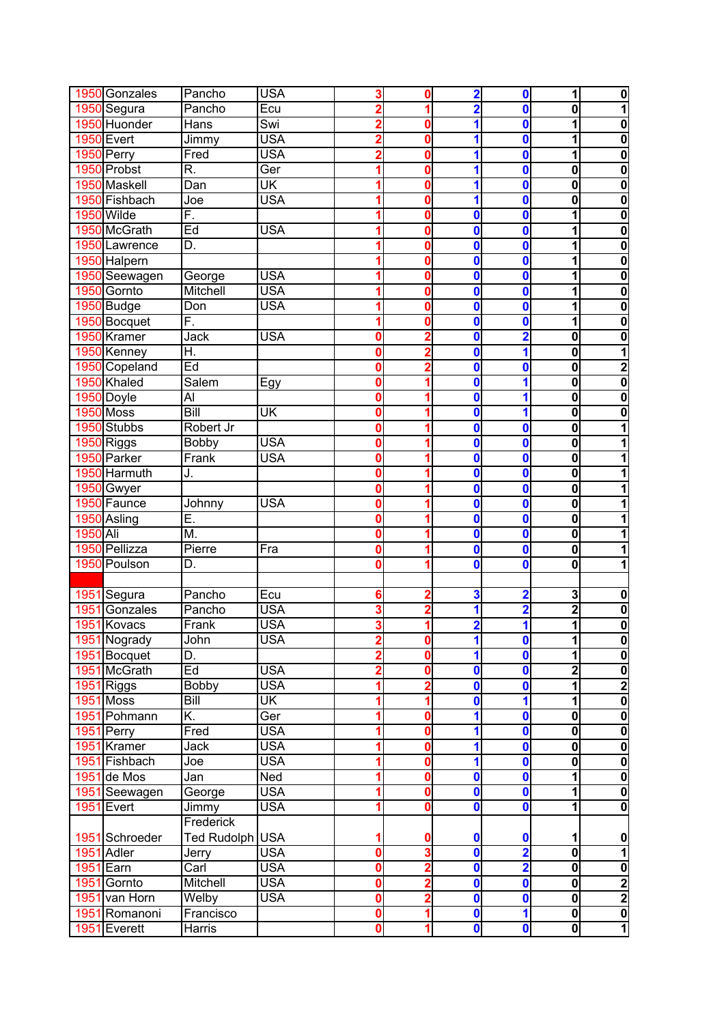|                  | 1950 Gonzales    | Pancho             | <b>USA</b>                | 3              | 0              | $\overline{\mathbf{2}}$ | 0                       | $\overline{1}$          | 0                           |
|------------------|------------------|--------------------|---------------------------|----------------|----------------|-------------------------|-------------------------|-------------------------|-----------------------------|
|                  | 1950 Segura      | Pancho             | Ecu                       |                |                | $\overline{2}$          | 0                       | 0                       | 1                           |
|                  | 1950 Huonder     | Hans               | Swi                       | 2              | 0              | 1                       | 0                       | 1                       | $\bf{0}$                    |
|                  | 1950 Evert       | Jimmy              | <b>USA</b>                | $\overline{2}$ | 0              | 1                       | $\boldsymbol{0}$        | 1                       | $\overline{\mathbf{0}}$     |
|                  | 1950 Perry       | Fred               | <b>USA</b>                |                | 0              | 1                       | $\mathbf{0}$            | 1                       | $\bf{0}$                    |
|                  | 1950 Probst      | R.                 | Ger                       |                | 0              | 1                       | 0                       | 0                       | $\bf{0}$                    |
|                  | 1950 Maskell     | Dan                | UK                        |                | Ω              | 1                       | 0                       | $\mathbf 0$             | $\pmb{0}$                   |
|                  | 1950 Fishbach    | Joe                | <b>USA</b>                |                | Ω              | 1                       | $\bf{0}$                | 0                       | $\overline{\mathbf{0}}$     |
|                  | 1950 Wilde       | F.                 |                           |                | 0              | 0                       | 0                       | 1                       | 0                           |
|                  | 1950 McGrath     | Ed                 | <b>USA</b>                |                | 0              | $\mathbf 0$             | $\mathbf{0}$            | 1                       | $\overline{\mathbf{0}}$     |
|                  | 1950 Lawrence    | D.                 |                           |                | Ω              | $\mathbf{0}$            | $\mathbf{0}$            | 1                       | 0                           |
|                  | 1950 Halpern     |                    |                           |                | 0              | $\mathbf 0$             | $\bf{0}$                | 1                       | $\bf{0}$                    |
|                  | 1950 Seewagen    |                    | <b>USA</b>                |                | Ω              | $\mathbf 0$             | $\bf{0}$                | 1                       | 0                           |
|                  | 1950 Gornto      | George<br>Mitchell | <b>USA</b>                |                | 0              | 0                       |                         | 1                       | $\bf{0}$                    |
|                  |                  |                    |                           |                |                |                         | 0                       |                         |                             |
|                  | 1950 Budge       | Don<br>F.          | <b>USA</b>                |                | 0              | 0                       | 0                       | 1                       | $\bf{0}$                    |
|                  | 1950 Bocquet     |                    |                           |                | 0              | $\bf{0}$                | 0                       | 1                       | 0                           |
|                  | 1950 Kramer      | Jack               | <b>USA</b>                | 0              | 2              | 0                       | $\overline{\mathbf{2}}$ | 0                       | 0                           |
|                  | 1950 Kenney      | H.                 |                           | 0              | 2              | $\mathbf 0$             | 1                       | 0                       | 1                           |
|                  | 1950 Copeland    | Ed                 |                           | 0              | $\overline{2}$ | $\mathbf 0$             | $\mathbf{0}$            | 0                       | $\overline{\mathbf{c}}$     |
|                  | 1950 Khaled      | Salem              | Egy                       | 0              | 1              | $\mathbf 0$             | 1                       | 0                       | $\overline{\mathbf{0}}$     |
|                  | 1950 Doyle       | Al                 |                           | 0              |                | $\mathbf 0$             | 1                       | $\mathbf{0}$            | $\bf{0}$                    |
|                  | <b>1950 Moss</b> | <b>Bill</b>        | $\overline{\mathsf{U}}$ K | 0              |                | 0                       | 1                       | 0                       | 0                           |
|                  | 1950 Stubbs      | Robert Jr          |                           | 0              |                | Ô                       | $\mathbf{0}$            | $\mathbf{0}$            | 1                           |
|                  | 1950 Riggs       | <b>Bobby</b>       | <b>USA</b>                | 0              |                | $\mathbf 0$             | $\bf{0}$                | $\mathbf{0}$            | 1                           |
|                  | 1950 Parker      | Frank              | <b>USA</b>                | 0              |                | $\mathbf 0$             | $\bf{0}$                | 0                       | 1                           |
|                  | 1950 Harmuth     | J.                 |                           | 0              |                | $\mathbf 0$             | $\bf{0}$                | $\mathbf 0$             | 1                           |
|                  | 1950 Gwyer       |                    |                           | Ω              |                | $\mathbf 0$             | 0                       | 0                       |                             |
|                  | 1950 Faunce      | Johnny             | <b>USA</b>                | Ω              |                | 0                       | 0                       | 0                       |                             |
|                  | 1950 Asling      | Ē.                 |                           | 0              |                | 0                       | $\boldsymbol{0}$        | 0                       | 1                           |
| <b>1950 Ali</b>  |                  | M.                 |                           | Λ              |                | 0                       | 0                       | 0                       | 1                           |
|                  | 1950 Pellizza    | Pierre             | Fra                       | 0              |                | $\mathbf 0$             | 0                       | 0                       | 1                           |
|                  | 1950 Poulson     | Đ.                 |                           | 0              | 1              | $\mathbf 0$             | $\mathbf 0$             | $\overline{\mathbf{0}}$ | 1                           |
|                  |                  |                    |                           |                |                |                         |                         |                         |                             |
| 1951             | Segura           | Pancho             | Ecu                       | 6              | $\overline{2}$ | 3                       | $\overline{2}$          | 3                       | 0                           |
| 1951             | Gonzales         | Pancho             | <b>USA</b>                | 3              | $\overline{2}$ | 1                       | $\overline{\mathbf{2}}$ | $\overline{\mathbf{c}}$ | $\mathbf 0$                 |
|                  | 1951 Kovacs      | Frank              | <b>USA</b>                |                |                | $\overline{2}$          |                         |                         |                             |
|                  |                  |                    |                           | 3              |                |                         | 1                       | $\mathbf{1}$            | 0                           |
|                  | 1951 Nogrady     | John               | <b>USA</b>                | 2              | 0              | $\mathbf{1}$            | $\boldsymbol{0}$        | $\mathbf{1}$            | $\boldsymbol{0}$            |
| 1951             | Bocquet          | D.                 |                           | $\overline{2}$ | 0              | $\overline{\mathbf{1}}$ | $\bf{0}$                | $\overline{\mathbf{1}}$ | $\overline{\mathbf{o}}$     |
|                  | 1951 McGrath     | Ed                 | <b>USA</b>                | $\overline{2}$ | 0              | $\mathbf 0$             | $\bf{0}$                | $\overline{\mathbf{c}}$ | $\overline{\mathbf{0}}$     |
| 1951             | Riggs            | <b>Bobby</b>       | <b>USA</b>                | 1              | $\overline{2}$ | $\mathbf 0$             | $\bf{0}$                | $\mathbf{1}$            | $\frac{2}{1}$               |
| 1951             | <b>Moss</b>      | <b>Bill</b>        | <b>UK</b>                 |                | 1              | $\overline{\mathbf{0}}$ | 1                       | $\mathbf{1}$            |                             |
| 1951             | Pohmann          | K.                 | Ger                       |                | 0              | 1                       | $\boldsymbol{0}$        | $\mathbf 0$             | $\overline{\mathbf{0}}$     |
| 1951             | Perry            | Fred               | <b>USA</b>                |                | 0              | 1                       | $\bf{0}$                | $\mathbf 0$             | $\overline{\mathbf{0}}$     |
| 1951             | Kramer           | Jack               | <b>USA</b>                |                | 0              | 1                       | $\bf{0}$                | $\mathbf 0$             | $\overline{\bullet}$        |
| 1951             | Fishbach         | Joe                | <b>USA</b>                |                | 0              | 1                       | $\mathbf 0$             | $\overline{\mathbf{0}}$ | $\overline{\mathbf{0}}$     |
| 1951             | de Mos           | Jan                | <b>Ned</b>                |                | 0              | $\mathbf 0$             | $\mathbf 0$             | $\mathbf{1}$            | $\overline{\mathbf{0}}$     |
| 1951             | Seewagen         | George             | <b>USA</b>                | 1              | $\bf{0}$       | $\overline{\mathbf{0}}$ | $\mathbf 0$             | $\overline{\mathbf{1}}$ | $\overline{\mathbf{0}}$     |
| 1951             | Evert            | Jimmy              | <b>USA</b>                |                | O              | $\overline{\mathbf{0}}$ | $\mathbf 0$             | $\overline{\mathbf{1}}$ | $\overline{\mathbf{0}}$     |
|                  |                  | Frederick          |                           |                |                |                         |                         |                         |                             |
|                  | 1951 Schroeder   | Ted Rudolph        | <b>USA</b>                |                | Ω              | 0                       | 0                       | 1                       | 0                           |
|                  | 1951 Adler       | Jerry              | <b>USA</b>                | 0              | 3              | $\overline{\mathbf{0}}$ | $\overline{\mathbf{2}}$ | $\overline{\mathbf{0}}$ | $\overline{1}$              |
| <b>1951</b> Earn |                  | Carl               | <b>USA</b>                | 0              | $\overline{2}$ | $\mathbf 0$             | $\overline{\mathbf{2}}$ | $\mathbf{0}$            | $\overline{\bullet}$        |
|                  | 1951 Gornto      | Mitchell           | <b>USA</b>                | 0              | $\overline{2}$ | $\mathbf 0$             | $\mathbf 0$             | $\mathbf 0$             |                             |
| 1951             | van Horn         | Welby              | <b>USA</b>                | $\mathbf 0$    | $\overline{2}$ | $\overline{\mathbf{0}}$ | $\overline{\mathbf{0}}$ | $\overline{\mathbf{0}}$ |                             |
| 1951             | Romanoni         | Francisco          |                           | 0              | 1              | $\bullet$               | 1                       | $\overline{\mathbf{0}}$ |                             |
| 1951             | Everett          | Harris             |                           | $\mathbf{0}$   | 1              | $\overline{\mathbf{0}}$ | $\mathbf 0$             | $\overline{\mathbf{0}}$ | $\frac{2}{1}$ $\frac{1}{2}$ |
|                  |                  |                    |                           |                |                |                         |                         |                         |                             |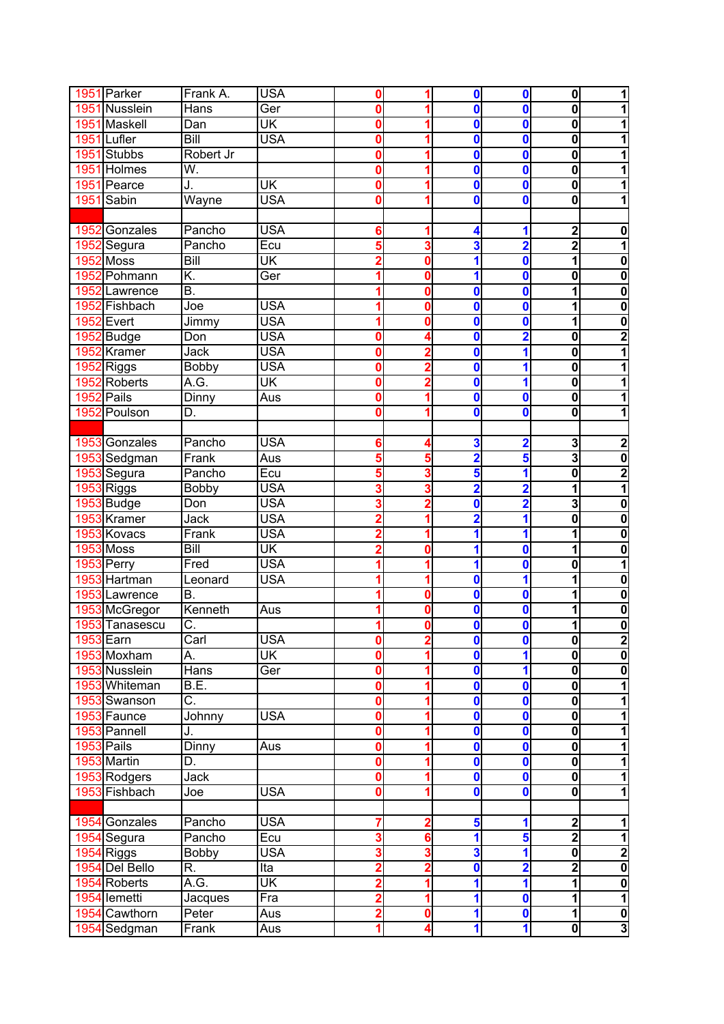|                  | 1951 Parker      | Frank A.                  | <b>USA</b>                | 0                       |                | $\mathbf 0$             | 0                       | $\mathbf{0}$<br>1                                  |
|------------------|------------------|---------------------------|---------------------------|-------------------------|----------------|-------------------------|-------------------------|----------------------------------------------------|
| 1951             | Nusslein         | <b>Hans</b>               | Ger                       | Ω                       |                | 0                       | 0                       | 0                                                  |
| 1951             | Maskell          | Dan                       | UK                        | Ω                       |                | $\mathbf 0$             | $\bf{0}$                | 0                                                  |
|                  | 1951 Lufler      | <b>Bill</b>               | <b>USA</b>                | 0                       |                | $\mathbf 0$             | $\mathbf{0}$            | 0<br>1                                             |
| 1951             | Stubbs           | Robert Jr                 |                           | 0                       |                | $\mathbf 0$             | 0                       | 0<br>1                                             |
| 1951             | Holmes           | W.                        |                           | 0                       |                | $\mathbf 0$             | $\bf{0}$                | 0                                                  |
| 1951             | Pearce           | J.                        | UK                        | Ω                       |                | $\mathbf 0$             | 0                       | 0<br>1                                             |
| 1951             | Sabin            | Wayne                     | <b>USA</b>                | Ω                       |                | 0                       | $\bf{0}$                | $\mathbf{0}$                                       |
|                  |                  |                           |                           |                         |                |                         |                         |                                                    |
| 1952             | Gonzales         | Pancho                    | <b>USA</b>                | 6                       |                | 4                       | 1                       | $\mathbf{2}$<br>0                                  |
| 1952             | Segura           | Pancho                    | Ecu                       | 5                       | 3              | 3                       | $\overline{\mathbf{2}}$ | 2<br>1                                             |
| 1952             | <b>Moss</b>      | <b>Bill</b>               | UK                        | 2                       | Ω              | 1                       | $\bf{0}$                | $\overline{\mathbf{1}}$<br>0                       |
| 1952             | Pohmann          | K.                        | Ger                       |                         | Ω              | 1                       | 0                       | 0<br>$\bf{0}$                                      |
|                  | 1952 Lawrence    | $\overline{\mathsf{B}}$ . |                           |                         | O              | 0                       | 0                       | 1<br>$\bf{0}$                                      |
| 1952             | Fishbach         | Joe                       | <b>USA</b>                |                         | Ω              | 0                       | 0                       | 0<br>1                                             |
| 1952             | Evert            | Jimmy                     | <b>USA</b>                |                         | 0              | 0                       | $\boldsymbol{0}$        | 0<br>1                                             |
| 1952             | Budge            | Don                       | <b>USA</b>                | 0                       | 4              | $\mathbf 0$             | $\overline{\mathbf{2}}$ | $\overline{2}$<br>0                                |
| 1952             | Kramer           | <b>Jack</b>               | <b>USA</b>                | 0                       | $\overline{2}$ | $\mathbf 0$             | 1                       | 1<br>0                                             |
| 1952             | Riggs            | <b>Bobby</b>              | <b>USA</b>                | 0                       | $\overline{2}$ | $\mathbf 0$             | 1                       | 0<br>1                                             |
| 1952             | Roberts          | A.G.                      | $\overline{\mathsf{U}}$ K | 0                       | 2              | $\mathbf 0$             | 1                       | 0                                                  |
| 1952             | Pails            | Dinny                     | Aus                       | 0                       |                | O                       | 0                       | 0                                                  |
| 1952             | Poulson          | D.                        |                           | $\mathbf{0}$            |                | 0                       | $\bf{0}$                | O<br>1                                             |
|                  |                  |                           |                           |                         |                |                         |                         |                                                    |
|                  | 1953 Gonzales    | Pancho                    | <b>USA</b>                | 6                       | 4              | 3                       | $\overline{\mathbf{2}}$ | 3<br>$\overline{\mathbf{2}}$                       |
|                  | 1953 Sedgman     | Frank                     | Aus                       | 5                       | 5              | $\overline{\mathbf{2}}$ | 5                       | 3<br>$\overline{\mathbf{0}}$                       |
|                  | 1953 Segura      | Pancho                    | Ecu                       | 5                       | 3              | 5                       | 1                       | $\overline{2}$<br>$\mathbf 0$                      |
|                  | 1953 Riggs       | <b>Bobby</b>              | <b>USA</b>                | 3                       | 3              | $\overline{\mathbf{2}}$ | $\overline{\mathbf{2}}$ | 1<br>1                                             |
|                  | 1953 Budge       | Don                       | <b>USA</b>                | 3                       | $\overline{2}$ | Ô                       | $\overline{\mathbf{2}}$ | 3<br>0                                             |
|                  | 1953 Kramer      | Jack                      | <b>USA</b>                |                         |                | $\overline{2}$          | 1                       | 0<br>0                                             |
|                  | 1953 Kovacs      | Frank                     | <b>USA</b>                |                         |                | 1                       | 1                       | 1<br>$\bf{0}$                                      |
|                  | <b>1953 Moss</b> | <b>Bill</b>               | UK                        | 2                       | 0              | 1                       | 0                       | 1<br>0                                             |
|                  | 1953 Perry       | Fred                      | <b>USA</b>                |                         |                | 1                       | $\mathbf{0}$            | 0<br>1                                             |
|                  | 1953 Hartman     | Leonard                   | <b>USA</b>                |                         |                | 0                       | 1                       | 1<br>0                                             |
|                  | 1953 Lawrence    | B.                        |                           |                         | 0              | $\mathbf 0$             | 0                       | 1<br>0                                             |
|                  | 1953 McGregor    | Kenneth                   | Aus                       |                         |                | 0                       | 0                       | $\mathbf 0$<br>1                                   |
|                  | 1953 Tanasescu   | $\overline{\mathsf{C}}$ . |                           |                         | 0              | $\mathbf 0$             | 0                       | $\mathbf{1}$<br>0                                  |
| <b>1953</b> Earn |                  | Carl                      | <b>USA</b>                | 0                       | $\overline{2}$ | $\mathbf 0$             | $\mathbf 0$             | $\mathbf{0}$<br>$\boldsymbol{2}$                   |
|                  | 1953 Moxham      | А.                        | $\overline{\mathsf{U}}$ K | 0                       |                | $\mathbf 0$             | 1                       | $\overline{\mathbf{0}}$<br>$\overline{\mathbf{0}}$ |
|                  | 1953 Nusslein    | Hans                      | Ger                       | 0                       | 1              | $\mathbf 0$             | 1                       | $\overline{\mathbf{0}}$<br>$\mathbf{0}$            |
|                  | 1953 Whiteman    | B.E.                      |                           | O                       | 1              | $\overline{\mathbf{0}}$ | $\mathbf 0$             | $\overline{\mathbf{1}}$<br>$\overline{\mathbf{o}}$ |
|                  | 1953 Swanson     | C.                        |                           | $\mathbf 0$             | 1              | $\overline{\mathbf{0}}$ | $\mathbf 0$             | $\overline{1}$<br>$\overline{\mathbf{o}}$          |
|                  | 1953 Faunce      | Johnny                    | <b>USA</b>                | 0                       | 1              | $\mathbf 0$             | $\mathbf 0$             | $\mathbf{0}$<br>1                                  |
|                  | 1953 Pannell     | J.                        |                           | 0                       | 1              | $\mathbf 0$             | $\mathbf 0$             | 1<br>$\mathbf{0}$                                  |
| 1953 Pails       |                  | Dinny                     | Aus                       | 0                       | 1              | $\mathbf 0$             | $\mathbf 0$             | $\overline{\mathbf{1}}$<br>$\overline{\mathbf{0}}$ |
|                  | 1953 Martin      | D.                        |                           | 0                       | 1              | $\mathbf 0$             | $\mathbf 0$             | $\overline{\mathbf{0}}$<br>1                       |
|                  | 1953 Rodgers     | <b>Jack</b>               |                           | 0                       | 1              | $\overline{\mathbf{0}}$ | $\mathbf 0$             | $\overline{\mathbf{1}}$<br>$\overline{\mathbf{0}}$ |
|                  | 1953 Fishbach    | Joe                       | <b>USA</b>                | 0                       | 1              | $\overline{\mathbf{0}}$ | $\mathbf 0$             | $\overline{\mathbf{0}}$<br>$\overline{\mathbf{1}}$ |
|                  |                  |                           |                           |                         |                |                         |                         |                                                    |
|                  | 1954 Gonzales    | Pancho                    | <b>USA</b>                | 7                       | $\overline{2}$ | 5                       | 1                       | $\overline{\mathbf{c}}$<br>1                       |
|                  | 1954 Segura      | Pancho                    | Ecu                       | 3                       | 6              | 1                       | $\overline{\mathbf{5}}$ | $\overline{2}$<br>$\overline{\mathbf{1}}$          |
|                  | 1954 Riggs       | <b>Bobby</b>              | <b>USA</b>                | 3                       | 3              | 3                       | 1                       | $\overline{\mathbf{2}}$<br>$\overline{\mathbf{o}}$ |
|                  | 1954 Del Bello   | R.                        | Ita                       | $\overline{\mathbf{2}}$ | 2              | $\overline{\mathbf{0}}$ | $\overline{\mathbf{2}}$ | $\overline{\mathbf{0}}$<br>$\overline{\mathbf{2}}$ |
|                  | 1954 Roberts     | A.G.                      | UK                        | $\overline{\mathbf{2}}$ | 1              | 1                       | $\overline{\mathbf{1}}$ | $\overline{1}$<br>$\overline{\mathbf{0}}$          |
|                  | 1954 lemetti     | Jacques                   | Fra                       | 2                       | 1              | 1                       | $\boldsymbol{0}$        | $\overline{\mathbf{1}}$<br>$\overline{1}$          |
|                  | 1954 Cawthorn    | Peter                     | Aus                       | 2                       |                | 1                       |                         | $\overline{1}$                                     |
|                  |                  |                           |                           | $\overline{\mathbf{1}}$ | 0<br>4         | $\overline{\mathbf{1}}$ | $\bf{0}$<br>1           | $\frac{1}{3}$<br>$\overline{\mathbf{0}}$           |
| 1954             | Sedgman          | Frank                     | Aus                       |                         |                |                         |                         |                                                    |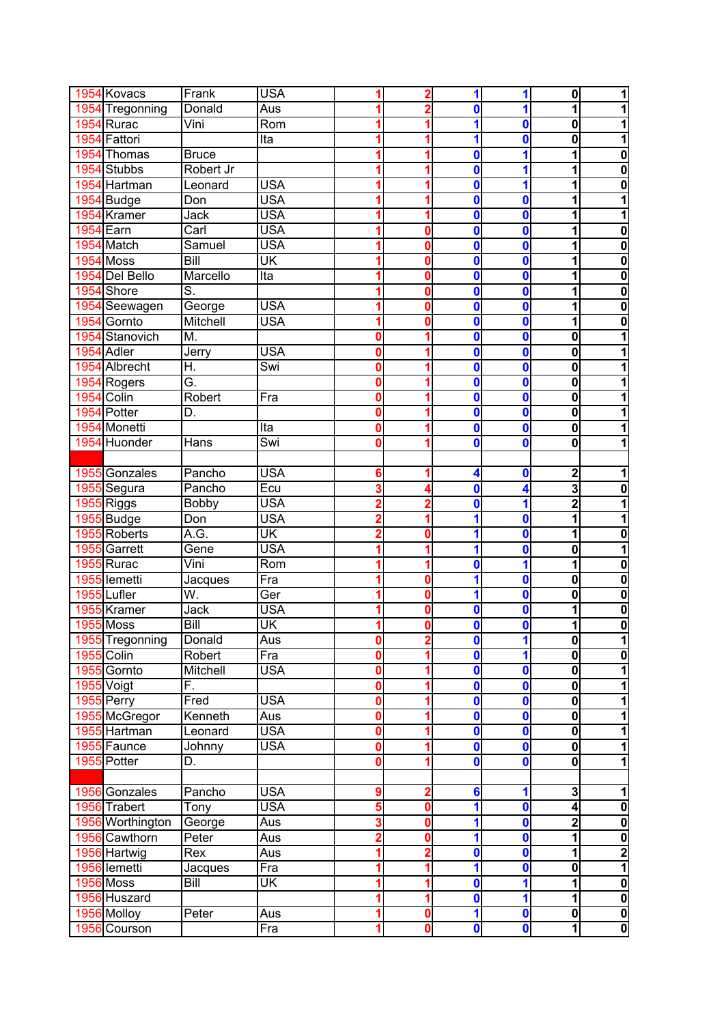| 1954 Kovacs      | Frank                    | <b>USA</b>                |   | 2                       | 1                       | 1                | $\mathbf 0$<br>1                                   |
|------------------|--------------------------|---------------------------|---|-------------------------|-------------------------|------------------|----------------------------------------------------|
| 1954 Tregonning  | Donald                   | Aus                       |   | 2                       | 0                       | 1                | 1                                                  |
| 1954 Rurac       | Vini                     | Rom                       |   |                         | 1                       | 0                | 0                                                  |
| 1954 Fattori     |                          | Ita                       |   | 1                       | 1                       | 0                | 0<br>1                                             |
| 1954 Thomas      | <b>Bruce</b>             |                           |   |                         | $\mathbf 0$             | 1                | 1<br>0                                             |
| 1954 Stubbs      | Robert Jr                |                           |   | 1                       | 0                       | 1                | 1<br>0                                             |
| 1954 Hartman     | Leonard                  | <b>USA</b>                |   |                         | $\mathbf 0$             | 1                | 0<br>1                                             |
| 1954 Budge       | Don                      | <b>USA</b>                |   |                         | 0                       | 0                | 1                                                  |
| 1954 Kramer      | $\overline{\text{Jack}}$ | USA                       |   |                         | 0                       | $\mathbf 0$      | 1                                                  |
| 1954 Earn        | Carl                     | <b>USA</b>                |   | 0                       | 0                       | 0                | 1<br>0                                             |
| 1954 Match       | Samuel                   | <b>USA</b>                |   | 0                       | 0                       | 0                | 1<br>0                                             |
| <b>1954 Moss</b> | <b>Bill</b>              | UK                        |   | 0                       | 0                       | 0                | 1<br>$\bf{0}$                                      |
| 1954 Del Bello   | Marcello                 | Ita                       |   | 0                       | 0                       | 0                | $\bf{0}$<br>1                                      |
| 1954 Shore       | S.                       |                           |   | 0                       |                         |                  | $\bf{0}$<br>1                                      |
|                  |                          | <b>USA</b>                |   |                         | 0                       | 0                |                                                    |
| 1954 Seewagen    | George                   |                           |   | 0                       | $\mathbf 0$             | 0                | 0<br>1                                             |
| 1954 Gornto      | Mitchell                 | <b>USA</b>                |   | 0                       | 0                       | 0                | 1<br>0                                             |
| 1954 Stanovich   | M.                       |                           |   |                         | 0                       | 0                | 0<br>1                                             |
| 1954 Adler       | Jerry                    | <b>USA</b>                | Ω |                         | $\mathbf 0$             | 0                | 0                                                  |
| 1954 Albrecht    | H.                       | Swi                       | Ω |                         | 0                       | $\mathbf{0}$     | $\mathbf{0}$                                       |
| 1954 Rogers      | G.                       |                           | Ω |                         | 0                       | 0                | $\mathbf 0$                                        |
| 1954 Colin       | Robert                   | Fra                       | Ω | 1                       | $\mathbf{0}$            | $\boldsymbol{0}$ | $\mathbf{0}$                                       |
| 1954 Potter      | D.                       |                           | Ω |                         | $\mathbf 0$             | $\mathbf 0$      | $\mathbf{0}$                                       |
| 1954 Monetti     |                          | Ita                       | 0 |                         | 0                       | 0                | 0<br>1                                             |
| 1954 Huonder     | <b>Hans</b>              | Swi                       | Λ |                         | $\mathbf 0$             | 0                | 0<br>1                                             |
|                  |                          |                           |   |                         |                         |                  |                                                    |
| 1955 Gonzales    | Pancho                   | <b>USA</b>                |   |                         | 4                       | 0                | 2                                                  |
| 1955 Segura      | Pancho                   | Ecu                       |   |                         | 0                       | 4                | 3<br>0                                             |
| 1955 Riggs       | <b>Bobby</b>             | <b>USA</b>                |   | 2                       | 0                       | 1                | $\overline{2}$                                     |
| 1955 Budge       | Don                      | <b>USA</b>                |   |                         | 1                       | 0                | 1<br>1                                             |
| 1955 Roberts     | A.G.                     | UK                        |   | 0                       | 1                       | 0                | 1<br>0                                             |
| 1955 Garrett     | Gene                     | <b>USA</b>                |   |                         | 1                       | 0                | 0<br>1                                             |
| 1955 Rurac       | Vini                     | Rom                       |   | 1                       | 0                       | 1                | 1<br>0                                             |
| 1955 lemetti     | Jacques                  | Fra                       |   | 0                       | 1                       | $\mathbf{0}$     | 0<br>0                                             |
| 1955 Lufler      | W.                       | $\overline{\mathsf{Ger}}$ |   | 0                       | 1                       | $\mathbf{0}$     | $\mathbf{0}$<br>0                                  |
| 1955 Kramer      | Jack                     | <b>USA</b>                |   | 0                       | 0                       | 0                | 1<br>0                                             |
| <b>1955 Moss</b> | <b>Bill</b>              | $\overline{\mathsf{U}}$ K |   | 0                       | 0                       | 0                | $\mathbf{1}$<br>0                                  |
| 1955 Tregonning  | Donald                   | Aus                       | 0 | $\overline{2}$          | 0                       | 1                | $\mathbf 0$<br>1                                   |
| 1955 Colin       | Robert                   | Fra                       | 0 |                         | 0                       | 1                | $\mathbf 0$<br>$\pmb{0}$                           |
| 1955 Gornto      | Mitchell                 | <b>USA</b>                | 0 | 1                       | $\mathbf{0}$            | $\bf{0}$         | $\overline{\mathbf{o}}$<br>1                       |
| 1955 Voigt       | F.                       |                           | 0 | 1                       | $\overline{\mathbf{0}}$ | $\boldsymbol{0}$ | $\overline{\mathbf{0}}$<br>1                       |
| 1955 Perry       | Fred                     | <b>USA</b>                | 0 | 1                       | $\mathbf 0$             | $\boldsymbol{0}$ | $\overline{\mathbf{o}}$<br>$\overline{\mathbf{1}}$ |
| 1955 McGregor    | Kenneth                  | Aus                       | 0 | 1                       | $\mathbf 0$             | 0                | 1<br>$\mathbf 0$                                   |
| 1955 Hartman     | Leonard                  | <b>USA</b>                | 0 | 1                       | $\mathbf 0$             | $\mathbf 0$      | $\overline{\mathbf{o}}$<br>1                       |
| 1955 Faunce      | Johnny                   | <b>USA</b>                | Ω |                         | $\mathbf 0$             | $\mathbf 0$      | $\overline{\mathbf{0}}$<br>1                       |
| 1955 Potter      | D.                       |                           | Ω |                         | $\mathbf 0$             | 0                | $\overline{\mathbf{0}}$<br>1                       |
|                  |                          |                           |   |                         |                         |                  |                                                    |
| 1956 Gonzales    | Pancho                   | <b>USA</b>                |   | $\overline{\mathbf{2}}$ | 6                       | 1                | 3<br>1                                             |
|                  |                          | <b>USA</b>                | 9 |                         | 1                       | $\mathbf 0$      | $\blacktriangleleft$                               |
| 1956 Trabert     | Tony                     |                           | 5 | 0                       |                         |                  | $\pmb{0}$                                          |
| 1956 Worthington | George                   | Aus                       | 3 | 0                       | 1                       | 0                | $\overline{\mathbf{2}}$<br>$\pmb{0}$               |
| 1956 Cawthorn    | Peter                    | Aus                       | 2 | 0                       | 1                       | 0                | $\overline{\mathbf{0}}$<br>$\mathbf{1}$            |
| 1956 Hartwig     | Rex                      | Aus                       |   | $\overline{2}$          | 0                       | $\bf{0}$         | $\frac{2}{1}$<br>1                                 |
| 1956 lemetti     | Jacques                  | Fra                       |   | 1                       | $\overline{\mathbf{1}}$ | $\boldsymbol{0}$ | 0                                                  |
| <b>1956 Moss</b> | Bill                     | UK                        |   | 1                       | $\mathbf 0$             | 1                | $\pmb{0}$<br>1                                     |
| 1956 Huszard     |                          |                           |   | 1                       | $\mathbf 0$             | 1                | $\overline{\mathbf{1}}$<br>$\overline{\mathbf{o}}$ |
| 1956 Molloy      | Peter                    | Aus                       |   | 0                       | $\mathbf 1$             | $\bf{0}$         | $\pmb{0}$<br>$\mathbf 0$                           |
| 1956 Courson     |                          | Fra                       | 1 | $\mathbf{0}$            | $\mathbf{0}$            | $\mathbf{0}$     | $\overline{\mathbf{0}}$<br>1                       |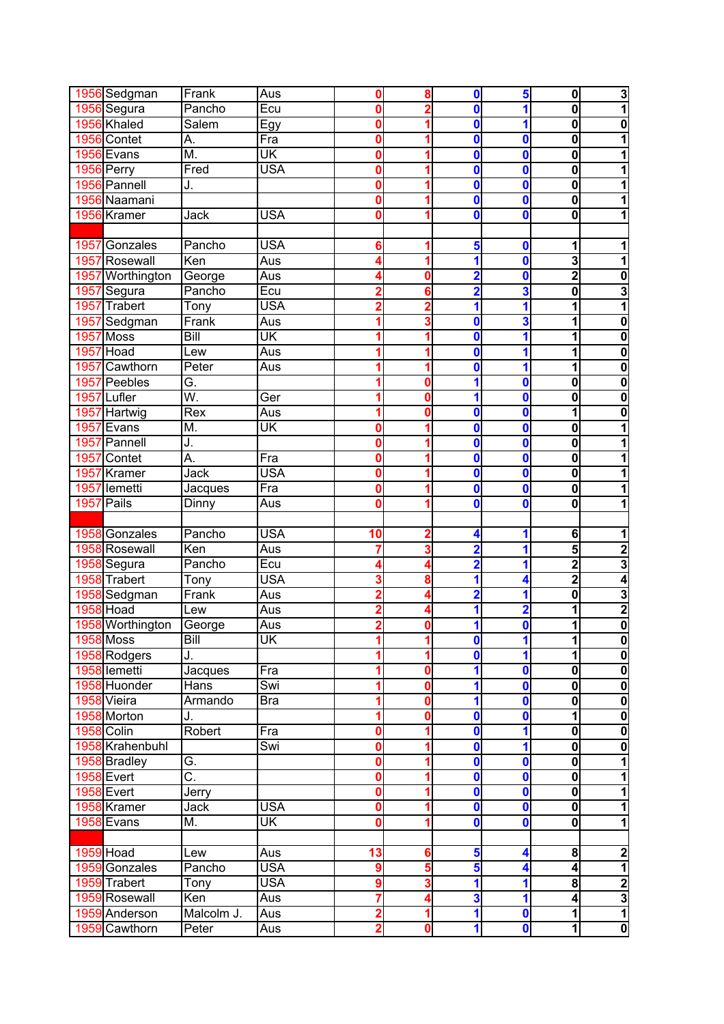| 1956 Sedgman                   | Frank                     | Aus                       | 0                                | 8                | $\mathbf 0$                                        | 5                        | $\mathbf 0$                      | دى                                                 |
|--------------------------------|---------------------------|---------------------------|----------------------------------|------------------|----------------------------------------------------|--------------------------|----------------------------------|----------------------------------------------------|
| 1956 Segura                    | Pancho                    | Ecu                       | 0                                | $\overline{2}$   | 0                                                  | 1                        | 0                                | $\overline{\mathbf{1}}$                            |
| 1956 Khaled                    | Salem                     | <b>Egy</b>                | 0                                | 1                | $\mathbf{0}$                                       | 1                        | $\mathbf{0}$                     | 0                                                  |
| 1956 Contet                    | А.                        | Fra                       | 0                                | 1                | $\mathbf 0$                                        | $\bf{0}$                 | 0                                | 1                                                  |
| 1956 Evans                     | M.                        | UK                        | 0                                | 1                | $\mathbf 0$                                        | 0                        | 0                                | 1                                                  |
| 1956 Perry                     | Fred                      | <b>USA</b>                | 0                                | 1                | $\mathbf 0$                                        | $\bf{0}$                 | 0                                | 1                                                  |
| 1956 Pannell                   | J.                        |                           | 0                                | 1                | $\mathbf 0$                                        | $\mathbf 0$              | 0                                |                                                    |
| 1956 Naamani                   |                           |                           | 0                                |                  | $\mathbf{0}$                                       | 0                        | 0                                |                                                    |
| 1956 Kramer                    | Jac <sub>k</sub>          | USA                       | 0                                |                  | $\bf{0}$                                           | 0                        | $\mathbf 0$                      | 1                                                  |
|                                |                           |                           |                                  |                  |                                                    |                          |                                  |                                                    |
|                                |                           |                           |                                  |                  |                                                    |                          |                                  |                                                    |
| Gonzales<br>1957               | Pancho                    | <b>USA</b>                | 6                                |                  | 5                                                  | $\bf{0}$                 | 1                                | 1                                                  |
| 1957<br>Rosewall               | Ken                       | Aus                       | 4                                | 1                | 1                                                  | $\bf{0}$                 | 3                                | 1                                                  |
| 1957 Worthington               | George                    | Aus                       |                                  | 0                | $\overline{\mathbf{2}}$                            | $\bf{0}$                 | $\overline{2}$                   | $\bf{0}$                                           |
| 1957<br>Segura                 | Pancho                    | Ecu                       |                                  | 6                | $\overline{2}$                                     | 3                        | 0                                | $\overline{\mathbf{3}}$                            |
| Trabert<br>1957                | Tony                      | <b>USA</b>                | 2                                | $\overline{2}$   | $\overline{\mathbf{1}}$                            | 1                        | 1                                | 1                                                  |
| 1957<br>Sedgman                | Frank                     | Aus                       |                                  | 3                | 0                                                  | 3                        | 1                                | 0                                                  |
| 1957<br>Moss                   | Bill                      | UK                        |                                  | 1                | 0                                                  | 1                        | 1                                | $\bf{0}$                                           |
| Hoad<br>1957                   | Lew                       | Aus                       |                                  | 1                | $\mathbf 0$                                        | 1                        | 1                                | $\bf{0}$                                           |
| Cawthorn<br>1957               | Peter                     | Aus                       | 1                                | 1                | $\mathbf{0}$                                       | 1                        | 1                                | $\overline{\mathbf{0}}$                            |
| 1957<br>Peebles                | G.                        |                           |                                  | 0                | 1                                                  | $\mathbf 0$              | $\mathbf{0}$                     | $\overline{\mathbf{0}}$                            |
| 1957<br>Lufler                 | Ŵ.                        | Ger                       | 1                                | 0                | $\overline{\mathbf{1}}$                            | $\mathbf 0$              | 0                                | $\overline{\mathbf{0}}$                            |
| 1957<br>Hartwig                | Rex                       | Aus                       | 1                                | 0                | $\mathbf{0}$                                       | $\bf{0}$                 | $\overline{\mathbf{1}}$          | 0                                                  |
| 1957<br>Evans                  | M.                        | UK                        | 0                                |                  | $\mathbf 0$                                        | $\bf{0}$                 | $\mathbf{0}$                     | 1                                                  |
| 1957<br>Pannell                | J.                        |                           | O                                |                  | $\mathbf 0$                                        | $\bf{0}$                 | 0                                | 1                                                  |
| 1957<br>Contet                 | Ā.                        | Fra                       | 0                                |                  | 0                                                  | $\bf{0}$                 | 0                                |                                                    |
| 1957<br>Kramer                 | Jack                      | <b>USA</b>                | 0                                |                  | 0                                                  | 0                        | 0                                |                                                    |
| 1957<br>lemetti                | Jacques                   | Fra                       | Ω                                |                  | 0                                                  | 0                        | 0                                |                                                    |
| 1957<br><b>Pails</b>           | Dinny                     | Aus                       | Ω                                |                  | 0                                                  | $\mathbf 0$              | 0                                | 1                                                  |
|                                |                           |                           |                                  |                  |                                                    |                          |                                  |                                                    |
|                                |                           |                           |                                  |                  |                                                    |                          |                                  |                                                    |
|                                |                           |                           |                                  |                  |                                                    |                          |                                  |                                                    |
| 1958 Gonzales                  | Pancho                    | <b>USA</b>                | 10                               | $\overline{2}$   | 4                                                  | 1                        | 6                                | 1                                                  |
| 1958 Rosewall                  | Ken                       | Aus                       | 7                                | 3                | $\overline{2}$                                     | 1                        | 5                                | $\overline{2}$                                     |
| 1958 Segura                    | Pancho                    | Ecu                       |                                  | 4                | $\overline{\mathbf{2}}$                            | 1                        | $\overline{\mathbf{c}}$          | 3                                                  |
| 1958 Trabert                   | Tony                      | <b>USA</b>                | 3                                | 8                | $\overline{\mathbf{1}}$                            | 4                        | $\overline{2}$                   | 4                                                  |
| 1958<br>Sedgman                | Frank                     | Aus                       | 2                                | 4                | $\overline{\mathbf{2}}$                            | 1                        | $\mathbf{0}$                     | $\overline{\mathbf{3}}$                            |
| 1958 Hoad                      | Lew                       | Aus                       |                                  |                  | 1                                                  | 2                        | 1                                | $\overline{\mathbf{2}}$                            |
| 1958 Worthington               | George                    | Aus                       | 2                                | 0                | $\blacksquare$                                     | 0                        | $\mathbf{1}$                     | $\mathbf 0$                                        |
| <b>1958 Moss</b>               | <b>Bill</b>               | UK                        | $\mathbf{1}$                     | 1                | $\mathbf 0$                                        | 1                        | $\overline{\mathbf{1}}$          | $\mathbf 0$                                        |
| 1958 Rodgers                   | J.                        |                           | 1                                | 1                | 0                                                  | 1                        | $\mathbf{1}$                     | $\overline{\mathbf{0}}$                            |
| 1958 lemetti                   | Jacques                   | Fra                       | 1                                | 0                | $\overline{\mathbf{1}}$                            | $\mathbf 0$              | $\mathbf 0$                      | $\overline{\mathbf{0}}$                            |
| 1958 Huonder                   | <b>Hans</b>               | Swi                       | 1                                | $\bf{0}$         | 1                                                  | $\overline{\mathbf{0}}$  | $\overline{\mathbf{0}}$          | $\overline{\mathbf{0}}$                            |
| 1958 Vieira                    | Armando                   | <b>Bra</b>                | 1                                | 0                | 1                                                  | $\overline{\mathbf{0}}$  | $\overline{\mathbf{o}}$          | $\overline{\mathbf{0}}$                            |
| 1958 Morton                    | J.                        |                           | 1                                | 0                | $\mathbf 0$                                        | $\mathbf{0}$             | $\mathbf{1}$                     | $\pmb{0}$                                          |
| 1958 Colin                     | Robert                    | Fra                       | $\mathbf 0$                      | 1                | $\mathbf 0$                                        | 1                        | $\overline{\mathbf{0}}$          | $\overline{\mathbf{0}}$                            |
|                                |                           | Swi                       | 0                                | 1                | $\mathbf 0$                                        | 1                        | $\overline{\mathbf{0}}$          |                                                    |
| 1958 Krahenbuhl                |                           |                           | 0                                | 1                | $\mathbf 0$                                        | 0                        | $\overline{\mathbf{0}}$          | $\overline{\mathbf{0}}$                            |
| 1958 Bradley                   | G.                        |                           |                                  | 1                |                                                    |                          |                                  | $\overline{1}$                                     |
| 1958 Evert                     | $\overline{\mathsf{C}}$ . |                           | 0                                |                  | $\mathbf 0$                                        | $\mathbf 0$              | $\overline{\mathbf{0}}$          | $\overline{\mathbf{1}}$                            |
| 1958 Evert                     | Jerry                     |                           | 0                                | 1                | $\mathbf 0$                                        | $\mathbf 0$              | $\overline{\mathbf{0}}$          | 1                                                  |
| 1958 Kramer                    | Jack                      | <b>USA</b>                | 0                                | 1                | $\mathbf 0$                                        | $\bf{0}$                 | $\overline{\mathbf{0}}$          | 1                                                  |
| 1958 Evans                     | M.                        | $\overline{\mathsf{U}}$ K | $\mathbf 0$                      | 1                | $\mathbf 0$                                        | $\mathbf 0$              | $\mathbf{0}$                     | $\overline{\mathbf{1}}$                            |
|                                |                           |                           |                                  |                  |                                                    |                          |                                  |                                                    |
| 1959 Hoad                      | Lew                       | Aus                       | 13                               | 6                | 5                                                  | 4                        | 8                                |                                                    |
| 1959 Gonzales                  | Pancho                    | <b>USA</b>                | 9                                | 5                | 5                                                  | 4                        | $\overline{\mathbf{4}}$          | $\frac{2}{1}$                                      |
| 1959 Trabert                   | Tony                      | <b>USA</b>                | 9                                | 3                | 1                                                  | 1                        | 8                                |                                                    |
| 1959 Rosewall                  | Ken                       | Aus                       | 7                                | 4                | $\overline{\mathbf{3}}$                            | 1                        | $\overline{\mathbf{A}}$          | $\frac{2}{3}$                                      |
| 1959 Anderson<br>1959 Cawthorn | Malcolm J.<br>Peter       | Aus<br>Aus                | $\overline{2}$<br>$\overline{2}$ | 1<br>$\mathbf 0$ | $\overline{\mathbf{1}}$<br>$\overline{\mathbf{1}}$ | $\bf{0}$<br>$\mathbf{0}$ | $\overline{1}$<br>$\overline{1}$ | $\overline{\mathbf{1}}$<br>$\overline{\mathbf{0}}$ |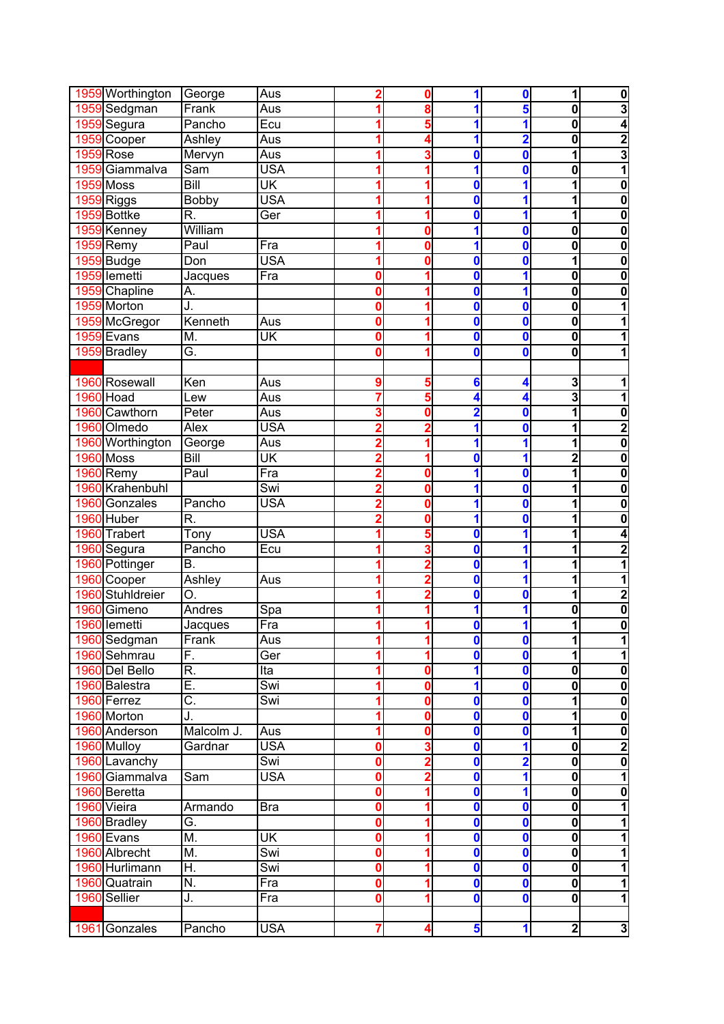| 1959 Worthington | George           | Aus                       | 2              | 0              | 1                       | $\mathbf 0$             | $\mathbf{1}$            | $\bf{0}$                |
|------------------|------------------|---------------------------|----------------|----------------|-------------------------|-------------------------|-------------------------|-------------------------|
| 1959 Sedgman     | Frank            | Aus                       |                | 8              | 1                       | 5                       | 0                       | $\overline{\mathbf{3}}$ |
| 1959 Segura      | Pancho           | Ecu                       |                | 5              | 1                       | 1                       | $\mathbf{0}$            | 4                       |
| 1959 Cooper      | Ashley           | Aus                       |                | 4              | 1                       | $\overline{\mathbf{2}}$ | 0                       | $\overline{\mathbf{2}}$ |
| <b>1959 Rose</b> | Mervyn           | Aus                       |                | 3              | $\mathbf 0$             | 0                       | 1                       | 3                       |
| 1959 Giammalva   | Sam              | <b>USA</b>                |                |                | 1                       | 0                       | 0                       | 1                       |
| <b>1959 Moss</b> | <b>Bill</b>      | UK                        |                |                | 0                       | 1                       | 1                       | 0                       |
| 1959 Riggs       | <b>Bobby</b>     | <b>USA</b>                |                |                | O                       | 1                       | 1                       | 0                       |
| 1959 Bottke      | R.               | Ger                       |                |                | $\bf{0}$                | 1                       | 1                       | 0                       |
| 1959 Kenney      | William          |                           |                | 0              | 1                       | $\bf{0}$                | 0                       | $\bf{0}$                |
| 1959 Remy        | Paul             | $\overline{Fra}$          |                | Ω              | 1                       | 0                       | 0                       | $\bf{0}$                |
| 1959 Budge       | Don              | <b>USA</b>                |                | 0              | 0                       | 0                       | 1                       | $\bf{0}$                |
| 1959 lemetti     | Jacques          | Fra                       | Ω              |                | 0                       | 1                       | 0                       | 0                       |
| 1959 Chapline    | А.               |                           |                |                | 0                       | 1                       | 0                       | 0                       |
| 1959 Morton      | J.               |                           |                |                | O                       | $\boldsymbol{0}$        | 0                       | 1                       |
| 1959 McGregor    | Kenneth          | Aus                       | Ω              |                | 0                       | $\mathbf{0}$            | 0                       |                         |
| 1959 Evans       | M.               | UK                        |                |                |                         |                         |                         | 1                       |
|                  |                  |                           | 0              |                | $\mathbf 0$             | 0                       | 0                       | 1                       |
| 1959 Bradley     | G.               |                           | 0              | 1              | $\mathbf 0$             | $\bf{0}$                | $\mathbf 0$             | 1                       |
|                  |                  |                           |                |                |                         |                         |                         |                         |
| 1960 Rosewall    | Ken              | Aus                       | 9              | 5              | 6                       | 4                       | 3                       | 1                       |
| 1960 Hoad        | Lew              | Aus                       |                | 5              | 4                       | 4                       | კ                       | 1                       |
| 1960 Cawthorn    | Peter            | Aus                       | 3              | Ω              | $\overline{2}$          | 0                       | 1                       | 0                       |
| 1960 Olmedo      | Alex             | <b>USA</b>                | 2              | 2              | 1                       | 0                       | 1                       | $\overline{2}$          |
| 1960 Worthington | George           | Aus                       | 2              |                | 1                       | 1                       | 1                       | $\overline{\mathbf{0}}$ |
| <b>1960 Moss</b> | <b>Bill</b>      | UK                        | 2              |                | 0                       | 1                       | $\overline{2}$          | $\overline{\mathbf{0}}$ |
| 1960 Remy        | Paul             | Fra                       |                | 0              | 1                       | 0                       | 1                       | $\bf{0}$                |
| 1960 Krahenbuhl  |                  | Swi                       |                | 0              | 1                       | 0                       | 1                       | $\mathbf{0}$            |
| 1960 Gonzales    | Pancho           | <b>USA</b>                |                | Ω              | 1                       | 0                       | 1                       | 0                       |
| 1960 Huber       | R.               |                           |                | Ω              | 1                       | 0                       | 1                       | $\bf{0}$                |
| 1960 Trabert     | Tony             | <b>USA</b>                |                | 5              | $\mathbf 0$             | 1                       | 1                       | 4                       |
| 1960 Segura      | Pancho           | Ecu                       |                | 3              | $\mathbf 0$             | 1                       | 1                       | $\overline{\mathbf{c}}$ |
| 1960 Pottinger   | B.               |                           |                | $\overline{2}$ | 0                       | 1                       | 1                       | 1                       |
| 1960 Cooper      | Ashley           | Aus                       |                | $\overline{2}$ | $\bf{0}$                | 1                       | 1                       | 1                       |
| 1960 Stuhldreier | $\overline{O}$ . |                           |                | $\overline{2}$ | $\mathbf 0$             | 0                       | 1                       | $\overline{\mathbf{c}}$ |
| 1960 Gimeno      | Andres           | Spa                       |                |                | 1                       |                         | 0                       | $\pmb{0}$               |
| 1960 lemetti     | Jacques          | Fra                       |                |                | $\mathbf 0$             | 1                       | $\overline{1}$          | 0                       |
| 1960 Sedgman     | Frank            | Aus                       | 1              | 1              | $\mathbf 0$             | $\mathbf 0$             | $\overline{1}$          | 1                       |
| 1960 Sehmrau     | F.               | Ger                       |                |                | $\mathbf 0$             | $\boldsymbol{0}$        | 1                       | 1                       |
| 1960 Del Bello   | R.               | Ita                       |                | 0              | 1                       | $\mathbf 0$             | $\overline{\mathbf{o}}$ | $\overline{\mathbf{0}}$ |
| 1960 Balestra    | Ē.               | Swi                       | 1              | 0              | 1                       | $\mathbf{0}$            | $\overline{\mathbf{0}}$ | $\overline{\mathbf{0}}$ |
| 1960 Ferrez      | C.               | Swi                       | 1              | 0              | $\overline{\mathbf{0}}$ | $\mathbf{0}$            | $\mathbf{1}$            | $\overline{\mathbf{0}}$ |
| 1960 Morton      | J.               |                           |                | 0              | $\mathbf 0$             | $\mathbf 0$             | 1                       | $\mathbf 0$             |
|                  | Malcolm J.       |                           | 1              | 0              | $\mathbf 0$             |                         | $\overline{\mathbf{1}}$ | $\overline{\mathbf{0}}$ |
| 1960 Anderson    |                  | Aus<br><b>USA</b>         |                |                | $\mathbf 0$             | $\mathbf{0}$            | $\overline{\mathbf{0}}$ |                         |
| 1960 Mulloy      | Gardnar          |                           | 0              | 3              |                         | 1                       |                         | $\overline{2}$          |
| 1960 Lavanchy    |                  | Swi                       | 0              | $\overline{2}$ | $\mathbf 0$             | $\overline{\mathbf{2}}$ | $\overline{\mathbf{0}}$ | $\overline{\mathbf{0}}$ |
| 1960 Giammalva   | Sam              | <b>USA</b>                | $\mathbf{0}$   | $\overline{2}$ | $\overline{\mathbf{0}}$ | 1                       | $\overline{\mathbf{0}}$ | $\overline{\mathbf{1}}$ |
| 1960 Beretta     |                  |                           | 0              | 1              | $\overline{\mathbf{0}}$ | 1                       | $\overline{\mathbf{0}}$ | $\overline{\mathbf{0}}$ |
| 1960 Vieira      | Armando          | <b>Bra</b>                | 0              | 1              | $\mathbf 0$             | $\bf{0}$                | $\overline{\mathbf{0}}$ | 1                       |
| 1960 Bradley     | G.               |                           | 0              | 1              | $\mathbf 0$             | $\mathbf 0$             | $\mathbf{0}$            | 1                       |
| 1960 Evans       | M.               | $\overline{\mathsf{U}}$ K | 0              |                | $\mathbf 0$             | $\mathbf 0$             | $\mathbf 0$             | 1                       |
| 1960 Albrecht    | M.               | Swi                       | 0              |                | $\mathbf 0$             | $\mathbf 0$             | $\overline{\mathbf{o}}$ | 1                       |
| 1960 Hurlimann   | H.               | Swi                       | 0              | 1              | $\overline{\mathbf{0}}$ | $\boldsymbol{0}$        | $\overline{\mathbf{o}}$ | 1                       |
| 1960 Quatrain    | Ñ.               | Fra                       | 0              | 1              | $\overline{\mathbf{0}}$ | $\boldsymbol{0}$        | $\overline{\mathbf{0}}$ | 1                       |
| 1960 Sellier     | J.               | Fra                       | 0              | 1              | $\mathbf 0$             | $\mathbf 0$             | $\overline{\mathbf{0}}$ | 1                       |
|                  |                  |                           |                |                |                         |                         |                         |                         |
| 1961 Gonzales    | Pancho           | <b>USA</b>                | $\overline{7}$ | 4              | 5                       | 1                       | $\overline{2}$          | $\overline{\mathbf{3}}$ |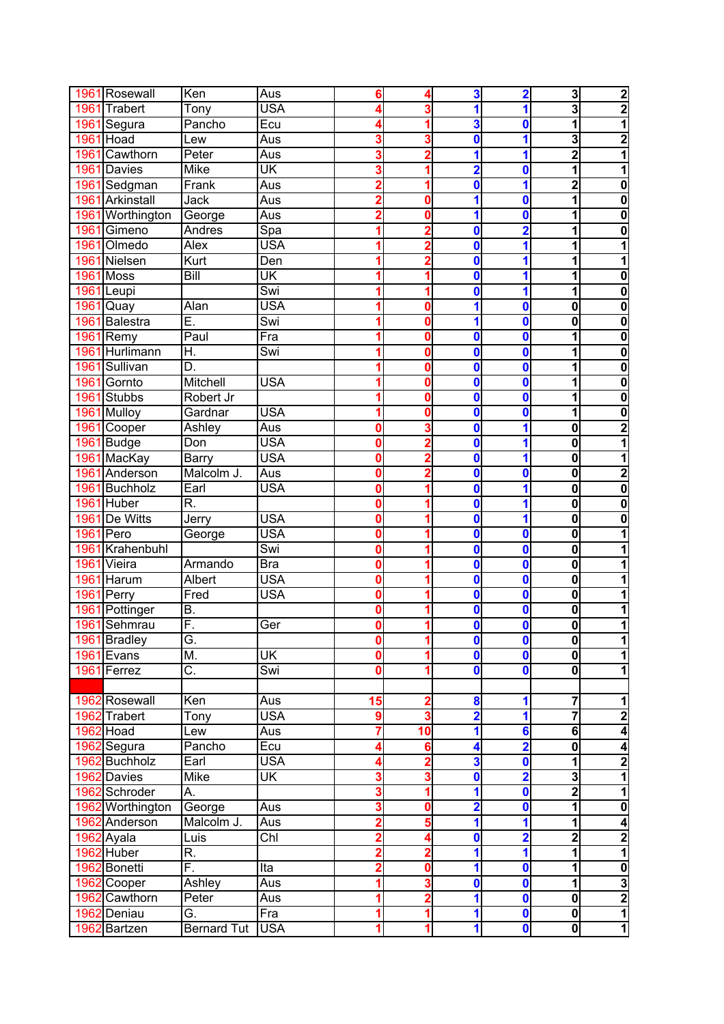|      | 1961 Rosewall      | Ken                | Aus                       | 6                       | 4                       | 3                       | $\overline{\mathbf{2}}$ | 3                       | $\overline{\mathbf{2}}$ |
|------|--------------------|--------------------|---------------------------|-------------------------|-------------------------|-------------------------|-------------------------|-------------------------|-------------------------|
|      | 1961 Trabert       | Tony               | <b>USA</b>                |                         |                         | 1                       | 1                       | 3                       | $\overline{2}$          |
|      | 1961 Segura        | Pancho             | Ecu                       |                         |                         | 3                       | 0                       | 1                       | $\overline{\mathbf{1}}$ |
| 1961 | Hoad               | Lew                | Aus                       | 3                       | 3                       | 0                       | 1                       | 3                       | $\overline{\mathbf{2}}$ |
| 1961 | Cawthorn           | Peter              | Aus                       | 3                       | 2                       | 1                       | 1                       | $\overline{\mathbf{2}}$ | 1                       |
| 1961 | Davies             | <b>Mike</b>        | $\overline{\mathsf{U}}$ K |                         |                         | $\overline{\mathbf{2}}$ | 0                       | 1                       | 1                       |
| 1961 | Sedgman            | Frank              | Aus                       |                         |                         | $\mathbf 0$             | 1                       | $\overline{2}$          | $\bf{0}$                |
| 1961 | Arkinstall         | <b>Jack</b>        | Aus                       | 2                       | 0                       | 1                       | 0                       | 1                       | $\overline{\mathbf{0}}$ |
| 1961 | Worthington        | George             | Aus                       | 2                       | 0                       | 1                       | $\bf{0}$                | 1                       | 0                       |
| 1961 | Gimeno             | Andres             | Spa                       |                         | $\overline{2}$          | 0                       | $\overline{\mathbf{2}}$ | 1                       | 0                       |
|      |                    |                    |                           |                         |                         |                         |                         |                         |                         |
| 1961 | Olmedo             | Alex               | <b>USA</b>                |                         | 2                       | 0                       | 1                       | 1                       |                         |
| 1961 | Nielsen            | Kurt               | $\overline{Den}$          |                         | 2                       | $\mathbf 0$             | 1                       | 1                       |                         |
| 1961 | <b>Moss</b>        | Bill               | UK                        |                         |                         | 0                       | 1                       | 1                       | $\bf{0}$                |
| 1961 | Leupi              |                    | Swi                       |                         |                         | 0                       | 1                       | 1                       | $\bf{0}$                |
| 1961 | Quay               | Alan               | <b>USA</b>                |                         | 0                       | 1                       | 0                       | 0                       | 0                       |
| 1961 | <b>Balestra</b>    | Ē.                 | Swi                       |                         | 0                       | 1                       | $\boldsymbol{0}$        | $\mathbf{0}$            | 0                       |
| 1961 | Remy               | Paul               | Fra                       |                         | 0                       | $\mathbf 0$             | $\boldsymbol{0}$        | 1                       | 0                       |
| 1961 | Hurlimann          | H.                 | Swi                       |                         | 0                       | $\mathbf 0$             | $\mathbf{0}$            | 1                       | $\bf{0}$                |
| 1961 | Sullivan           | D.                 |                           |                         | 0                       | $\mathbf 0$             | 0                       | 1                       | $\bf{0}$                |
|      | 1961 Gornto        | Mitchell           | <b>USA</b>                |                         | 0                       | $\mathbf 0$             | $\mathbf{0}$            | 1                       | $\overline{\mathbf{0}}$ |
| 1961 | Stubbs             | Robert Jr          |                           |                         | 0                       | 0                       | 0                       | 1                       | 0                       |
| 1961 | Mulloy             | Gardnar            | <b>USA</b>                |                         | 0                       | O                       | $\mathbf{0}$            | 1                       | 0                       |
| 1961 | Cooper             | Ashley             | Aus                       | 0                       | 3                       | 0                       | 1                       | $\mathbf{0}$            | $\overline{2}$          |
| 1961 | Budge              | Don                | <b>USA</b>                | 0                       | 2                       | $\mathbf 0$             | 1                       | $\mathbf{0}$            | 1                       |
| 1961 | MacKay             | <b>Barry</b>       | <b>USA</b>                | 0                       | 2                       | $\mathbf 0$             | 1                       | $\mathbf 0$             | 1                       |
| 1961 | Anderson           | Malcolm J.         | Aus                       | 0                       | 2                       | $\mathbf 0$             | 0                       | 0                       | $\overline{2}$          |
| 1961 | Buchholz           | Earl               | <b>USA</b>                | 0                       |                         | 0                       | 1                       | 0                       | $\overline{\mathbf{0}}$ |
|      | 1961 Huber         | R.                 |                           | 0                       |                         | $\mathbf{0}$            | 1                       | 0                       | $\mathbf{0}$            |
| 1961 | <b>De Witts</b>    | Jerry              | <b>USA</b>                |                         |                         | 0                       | 1                       | 0                       | 0                       |
| 1961 | Pero               | George             | <b>USA</b>                | 0                       |                         | $\mathbf 0$             | 0                       | 0                       | 1                       |
| 1961 | Krahenbuhl         |                    | Swi                       | 0                       | 1                       | $\mathbf 0$             | 0                       | $\mathbf 0$             | 1                       |
|      | 1961 Vieira        | Armando            | $\overline{B}$ ra         | 0                       |                         | $\mathbf 0$             |                         | 0                       |                         |
|      |                    |                    | <b>USA</b>                |                         |                         |                         | 0                       |                         |                         |
| 1961 | Harum              | Albert             |                           | 0                       |                         | 0                       | 0                       | 0                       |                         |
| 1961 | Perry              | Fred               | <b>USA</b>                | 0                       |                         | $\mathbf 0$             | $\bf{0}$                | $\mathbf 0$             |                         |
| 1961 | <b>Pottinger</b>   | B.                 |                           | Ω                       |                         | 0                       | 0                       | 0                       |                         |
|      | 1961 Sehmrau       | F.                 | Ger                       | 0                       |                         | $\mathbf 0$             | 0                       | $\mathbf{0}$            |                         |
|      | 1961 Bradley       | G.                 |                           | 0                       | 1                       | $\mathbf 0$             | $\mathbf 0$             | $\mathbf{0}$            | 1                       |
|      | 1961 Evans         | M.                 | $\overline{\mathsf{U}}$ K | 0                       |                         | $\mathbf 0$             | $\bf{0}$                | $\overline{\mathbf{0}}$ | $\overline{\mathbf{1}}$ |
|      | 1961 Ferrez        | C.                 | Swi                       | 0                       | 1                       | $\mathbf 0$             | 0                       | $\mathbf{0}$            | 1                       |
|      |                    |                    |                           |                         |                         |                         |                         |                         |                         |
|      | 1962 Rosewall      | Ken                | Aus                       | 15                      | $\overline{\mathbf{2}}$ | 8                       | 1                       | 7                       | 1                       |
|      | 1962 Trabert       | Tony               | <b>USA</b>                | 9                       | 3                       | $\overline{\mathbf{2}}$ | 1                       | $\overline{\mathbf{z}}$ | $\overline{\mathbf{c}}$ |
|      | 1962 Hoad          | Lew                | Aus                       | 7                       | 10                      | 1                       | $6\phantom{1}6$         | 6                       | $\overline{\bf{4}}$     |
|      | 1962 Segura        | Pancho             | $\overline{E}$ cu         | 4                       | 6                       | 4                       | $\overline{\mathbf{2}}$ | $\overline{\mathbf{0}}$ | $\overline{\mathbf{4}}$ |
| 1962 | <b>Buchholz</b>    | Earl               | <b>USA</b>                | 4                       | $\overline{2}$          | 3                       | $\mathbf 0$             | $\mathbf{1}$            | $\overline{\mathbf{2}}$ |
| 1962 | Davies             | <b>Mike</b>        | UK                        | 3                       | 3                       | $\overline{\mathbf{0}}$ | $\overline{\mathbf{2}}$ | $\overline{\mathbf{3}}$ | $\overline{\mathbf{1}}$ |
| 1962 | Schroder           | A.                 |                           | $\overline{\mathbf{3}}$ | 1                       | $\overline{\mathbf{1}}$ | $\mathbf 0$             | $\overline{2}$          | $\overline{\mathbf{1}}$ |
| 1962 | <b>Worthington</b> | George             | Aus                       | 3                       | 0                       | $\overline{\mathbf{2}}$ | $\mathbf 0$             | $\overline{\mathbf{1}}$ | $\overline{\mathbf{0}}$ |
|      | 1962 Anderson      | Malcolm J.         | Aus                       | $\overline{2}$          | 5                       | 1                       | 1                       | $\mathbf{1}$            | 4                       |
|      | 1962 Ayala         | Luis               | $\overline{\text{Chl}}$   | $\overline{2}$          | 4                       | $\mathbf 0$             | $\overline{\mathbf{2}}$ | $\overline{\mathbf{2}}$ | $\overline{\mathbf{2}}$ |
| 1962 | Huber              | R.                 |                           | $\overline{2}$          | $\overline{2}$          | 1                       | 1                       | $\mathbf{1}$            | $\overline{\mathbf{1}}$ |
|      | 1962 Bonetti       | F.                 | Ita                       | $\overline{2}$          | 0                       | 1                       | $\mathbf 0$             | $\mathbf{1}$            | $\overline{\mathbf{0}}$ |
|      |                    |                    | Aus                       |                         |                         | $\overline{\mathbf{0}}$ |                         | $\overline{\mathbf{1}}$ |                         |
|      | 1962 Cooper        | Ashley             |                           | 1                       | 3                       |                         | $\mathbf 0$             |                         | $\frac{3}{1}$           |
| 1962 | Cawthorn           | Peter              | Aus                       | 1                       | $\overline{2}$          | 1                       | $\overline{\mathbf{0}}$ | $\overline{\mathbf{o}}$ |                         |
|      | 1962 Deniau        | G.                 | Fra                       | 1                       | 1                       | 1                       | $\mathbf 0$             | $\overline{\mathbf{0}}$ |                         |
| 1962 | Bartzen            | <b>Bernard Tut</b> | <b>USA</b>                | 1                       | 1                       | $\overline{\mathbf{1}}$ | $\overline{\mathbf{0}}$ | $\overline{\mathbf{0}}$ | $\overline{\mathbf{1}}$ |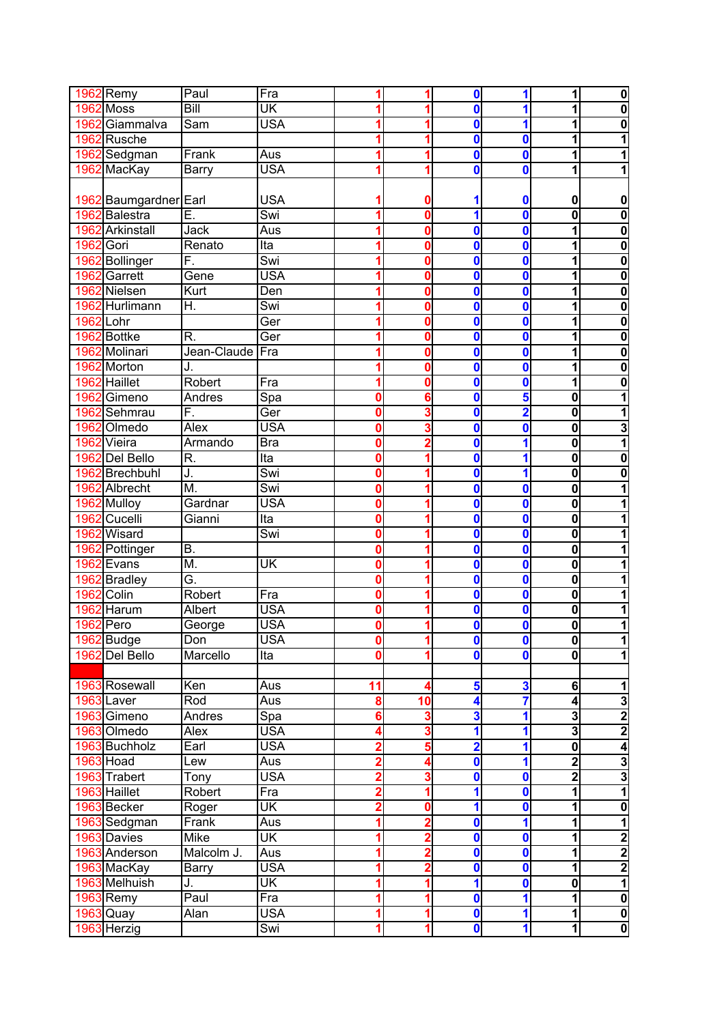|           | 1962 Remy        | Paul                      | Fra                       |                         |                         | $\mathbf 0$             | 1                | $\mathbf{1}$            | $\bf{0}$                |
|-----------|------------------|---------------------------|---------------------------|-------------------------|-------------------------|-------------------------|------------------|-------------------------|-------------------------|
| 1962      | <b>Moss</b>      | <b>Bill</b>               | $\overline{\mathsf{U}}$ K |                         |                         | $\bf{0}$                | 1                | 1                       | $\overline{\mathbf{0}}$ |
| 1962      | Giammalva        | Sam                       | <b>USA</b>                |                         |                         | $\mathbf 0$             | 1                | 1                       | 0                       |
| 1962      | Rusche           |                           |                           |                         |                         | $\mathbf 0$             | 0                | 1                       | 1                       |
| 1962      | Sedgman          | Frank                     | <b>Aus</b>                |                         |                         | $\mathbf 0$             | $\bf{0}$         | 1                       | 1                       |
| 1962      | MacKay           | Barry                     | <b>USA</b>                |                         |                         | $\mathbf 0$             | $\bf{0}$         | 1                       | 1                       |
|           |                  |                           |                           |                         |                         |                         |                  |                         |                         |
| 1962      | Baumgardner Earl |                           | <b>USA</b>                |                         | 0                       | 1                       | 0                | 0                       | 0                       |
| 1962      | Balestra         | Ē.                        | Swi                       |                         | 0                       | 1                       | $\mathbf 0$      | $\overline{\mathbf{0}}$ | 0                       |
| 1962      | Arkinstall       | Jack                      | Aus                       |                         | Ω                       | $\mathbf 0$             |                  | 1                       |                         |
|           |                  |                           | Ita                       |                         |                         |                         | $\bf{0}$         |                         | 0                       |
| 1962      | <b>Gori</b>      | Renato                    |                           |                         | Ω                       | $\mathbf 0$             | $\bf{0}$         | $\overline{\mathbf{1}}$ | $\mathbf 0$             |
| 1962      | Bollinger        | F.                        | Swi                       |                         | 0                       | 0                       | $\bf{0}$         | 1                       | $\mathbf 0$             |
| 1962      | Garrett          | Gene                      | <b>USA</b>                |                         | O                       | 0                       | 0                | 1                       | $\mathbf 0$             |
| 1962      | Nielsen          | Kurt                      | Den                       |                         |                         | 0                       | 0                | 1                       | $\mathbf{0}$            |
| 1962      | Hurlimann        | H.                        | Swi                       |                         | 0                       | 0                       | $\boldsymbol{0}$ | 1                       | 0                       |
| 1962 Lohr |                  |                           | Ger                       |                         | Ω                       | $\mathbf 0$             | $\mathbf{0}$     | 1                       | 0                       |
| 1962      | Bottke           | R.                        | Ger                       |                         | Ω                       | $\mathbf 0$             | $\mathbf{0}$     | 1                       | $\bf{0}$                |
| 1962      | Molinari         | Jean-Claude               | Fra                       |                         | 0                       | $\mathbf 0$             | $\mathbf{0}$     | 1                       | $\mathbf 0$             |
| 1962      | Morton           | J.                        |                           |                         | 0                       | $\mathbf 0$             | $\mathbf{0}$     | 1                       | $\overline{\mathbf{0}}$ |
| 1962      | Haillet          | Robert                    | Fra                       |                         | 0                       | $\mathbf 0$             | $\mathbf{0}$     | 1                       | 0                       |
| 1962      | Gimeno           | Andres                    | Spa                       | O                       | 6                       | $\mathbf{0}$            | 5                | $\mathbf{0}$            | 1                       |
| 1962      | Sehmrau          | F.                        | Ger                       | 0                       | 3                       | 0                       | $\overline{2}$   | $\mathbf{0}$            | 1                       |
| 1962      | Olmedo           | Alex                      | <b>USA</b>                | 0                       | 3                       | $\mathbf 0$             | 0                | $\mathbf{0}$            | $\overline{\mathbf{3}}$ |
|           | 1962 Vieira      | Armando                   | $\overline{B}$ ra         | 0                       | 2                       | $\mathbf 0$             | 1                | $\overline{\mathbf{0}}$ | $\overline{\mathbf{1}}$ |
| 1962      | Del Bello        | R.                        | Ita                       | 0                       |                         | $\mathbf 0$             | 1                | $\mathbf 0$             | $\mathbf 0$             |
| 1962      | Brechbuhl        | J.                        | Swi                       | 0                       |                         | $\mathbf 0$             | 1                | 0                       | 0                       |
|           | 1962 Albrecht    | $\overline{\mathsf{M}}$ . | Swi                       | Ω                       |                         | $\mathbf 0$             | 0                | 0                       | 1                       |
| 1962      | Mulloy           | Gardnar                   | <b>USA</b>                |                         |                         | 0                       | $\mathbf{0}$     | 0                       | 1                       |
| 1962      | Cucelli          | Gianni                    | Ita                       | Λ                       |                         | $\mathbf 0$             | 0                | 0                       |                         |
|           | 1962 Wisard      |                           | Swi                       | Ω                       |                         | $\mathbf 0$             | 0                | 0                       |                         |
|           |                  |                           |                           |                         |                         |                         |                  | $\mathbf{0}$            |                         |
| 1962      | Pottinger        | $\overline{\mathsf{B}}$ . |                           | Ω                       |                         | $\mathbf 0$             | 0                |                         |                         |
| 1962      | Evans            | M.                        | $\overline{\mathsf{U}}$ K | 0                       |                         | 0                       | $\bf{0}$         | 0                       |                         |
| 1962      | Bradley          | Ġ.                        |                           | 0                       |                         | $\mathbf 0$             | $\bf{0}$         | $\mathbf 0$             |                         |
| 1962      | Colin            | Robert                    | Fra                       | 0                       |                         | $\mathbf 0$             | $\mathbf 0$      | $\mathbf{0}$            |                         |
| 1962      | Harum            | Albert                    | <b>USA</b>                | 0                       |                         | 0                       | 0                | 0                       |                         |
| 1962 Pero |                  | George                    | <b>USA</b>                | 0                       |                         | $\mathbf 0$             | 0                | $\mathbf{0}$            |                         |
|           | 1962 Budge       | Don                       | <b>USA</b>                | 0                       | 1                       | $\mathbf 0$             | $\boldsymbol{0}$ | $\mathbf{0}$            | $\mathbf{1}$            |
|           | 1962 Del Bello   | Marcello                  | Ita                       | 0                       |                         | $\mathbf 0$             | $\mathbf 0$      | $\mathbf{0}$            | 1                       |
|           |                  |                           |                           |                         |                         |                         |                  |                         |                         |
|           | 1963 Rosewall    | $\overline{\text{Ken}}$   | Aus                       | 11                      | 4                       | 5                       | $\mathbf{3}$     | 6                       | 1                       |
|           | 1963 Laver       | Rod                       | Aus                       | 8                       | 10                      | 4                       | 7                | $\overline{\mathbf{4}}$ |                         |
|           | 1963 Gimeno      | Andres                    | Spa                       | 6                       | 3                       | $\overline{\mathbf{3}}$ | 1                | $\overline{\mathbf{3}}$ | ساما                    |
|           | 1963 Olmedo      | <b>Alex</b>               | <b>USA</b>                | 4                       | 3                       | $\overline{\mathbf{1}}$ | 1                | 3                       |                         |
|           | 1963 Buchholz    | Earl                      | <b>USA</b>                | $\overline{2}$          | 5                       | $\overline{\mathbf{2}}$ | 1                | $\overline{\mathbf{0}}$ | 4                       |
|           | <b>1963</b> Hoad | Lew                       | Aus                       | $\overline{\mathbf{2}}$ | 4                       | $\mathbf 0$             | 1                | $\overline{\mathbf{2}}$ |                         |
|           | 1963 Trabert     | Tony                      | <b>USA</b>                | $\overline{\mathbf{2}}$ | $\overline{\mathbf{3}}$ | $\overline{\mathbf{0}}$ | $\mathbf 0$      | $\overline{2}$          | ا دی<br>1 ا             |
|           | 1963 Haillet     | <b>Robert</b>             | Fra                       | $\overline{\mathbf{2}}$ | 1                       | 1                       | $\mathbf 0$      | $\overline{\mathbf{1}}$ |                         |
|           | 1963 Becker      | Roger                     | UK                        | $\overline{\mathbf{2}}$ | 0                       | 1                       | $\bf{0}$         | $\overline{\mathbf{1}}$ | $\overline{\mathbf{0}}$ |
|           | 1963 Sedgman     | Frank                     | Aus                       | 1                       | $\overline{2}$          | $\mathbf 0$             | 1                | $\mathbf{1}$            | $\overline{\mathbf{1}}$ |
|           | 1963 Davies      | <b>Mike</b>               | UK                        |                         | $\overline{2}$          | $\mathbf 0$             |                  | $\mathbf{1}$            |                         |
|           |                  |                           |                           |                         |                         |                         | $\bf{0}$         |                         | $\overline{2}$          |
|           | 1963 Anderson    | Malcolm J.                | Aus                       |                         | $\overline{2}$          | $\mathbf 0$             | $\mathbf 0$      | $\mathbf{1}$            | $\frac{2}{2}$           |
|           | 1963 MacKay      | Barry                     | <b>USA</b>                |                         | $\overline{2}$          | $\overline{\mathbf{0}}$ | $\boldsymbol{0}$ | $\overline{1}$          |                         |
|           | 1963 Melhuish    | J.                        | $\overline{\mathsf{U}}$ K |                         | 1                       | 1                       | $\mathbf{0}$     | $\overline{\mathbf{o}}$ | $\overline{\mathbf{1}}$ |
|           | 1963 Remy        | $\overline{Paul}$         | Fra                       | 1                       | 1                       | $\overline{\mathbf{0}}$ | 1                | $\overline{\mathbf{1}}$ | $\overline{\mathbf{0}}$ |
|           | 1963 Quay        | Alan                      | <b>USA</b>                | 1                       | 1                       | $\overline{\mathbf{o}}$ | 1                | $\overline{1}$          | $\overline{\mathbf{0}}$ |
|           | 1963 Herzig      |                           | Swi                       | 1                       | 1                       | $\mathbf 0$             | 1                | $\overline{1}$          | $\overline{\mathbf{0}}$ |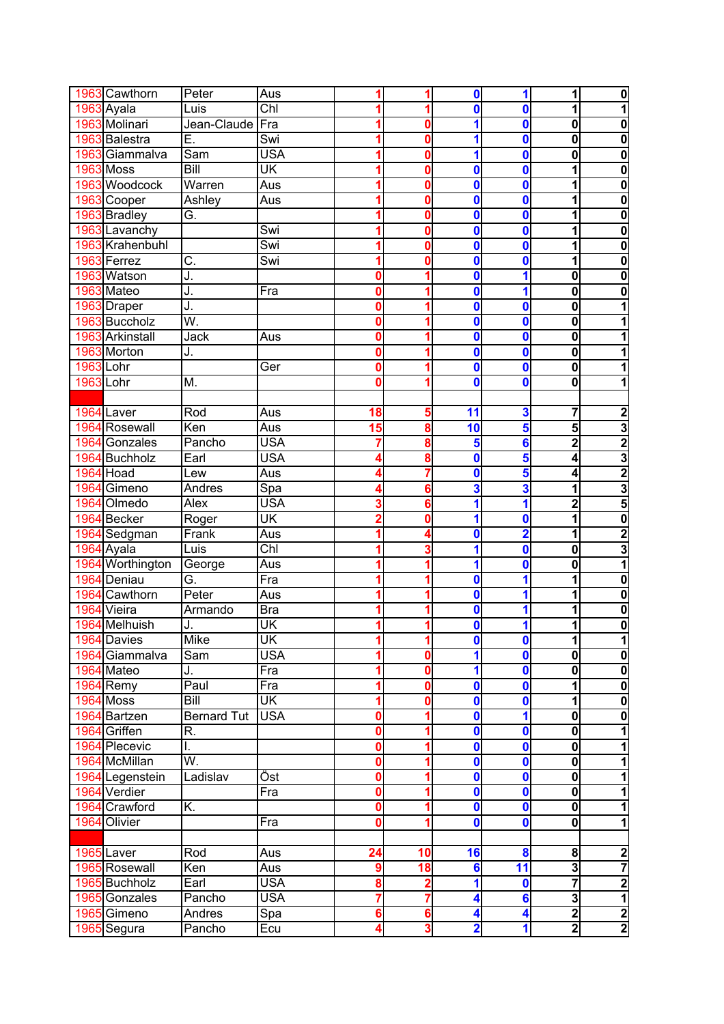| 1963 Cawthorn              |                  | Peter                      | Aus                       |        |                | $\mathbf 0$                  | 1                | $\mathbf{1}$                              | $\bf{0}$                |
|----------------------------|------------------|----------------------------|---------------------------|--------|----------------|------------------------------|------------------|-------------------------------------------|-------------------------|
| 1963 Ayala                 |                  | Luis                       | $\overline{\text{Chl}}$   |        |                | $\mathbf 0$                  | 0                | 1                                         | 1                       |
| 1963 Molinari              |                  | Jean-Claude                | Fra                       |        | 0              | 1                            | $\boldsymbol{0}$ | $\mathbf{0}$                              | 0                       |
| 1963 Balestra              |                  | Ē.                         | Swi                       |        | 0              | 1                            | $\mathbf 0$      | 0                                         | $\bf{0}$                |
| 1963 Giammalva             |                  | Sam                        | <b>USA</b>                |        | 0              | $\overline{\mathbf{1}}$      | $\bf{0}$         | 0                                         | $\bf{0}$                |
| <b>1963 Moss</b>           |                  | <b>Bill</b>                | $\overline{\mathsf{U}}$ K |        | 0              | $\mathbf 0$                  | 0                | 1                                         | $\bf{0}$                |
| 1963 Woodcock              |                  | Warren                     | Aus                       |        | 0              | $\mathbf 0$                  | $\mathbf{0}$     | 1                                         | 0                       |
| 1963 Cooper                |                  | Ashley                     | Aus                       |        | 0              | $\bf{0}$                     | 0                | 1                                         | 0                       |
| 1963 Bradley               |                  | G.                         |                           |        | 0              | $\mathbf 0$                  | $\mathbf{0}$     | $\overline{\mathbf{1}}$                   | 0                       |
| 1963 Lavanchy              |                  |                            | Swi                       |        | 0              | $\mathbf 0$                  | $\bf{0}$         | 1                                         | 0                       |
| 1963 Krahenbuhl            |                  |                            | Swi                       |        | Ω              | $\mathbf 0$                  | 0                | $\overline{\mathbf{1}}$                   | 0                       |
| 1963 Ferrez                |                  | C.                         | Swi                       |        | 0              | $\mathbf 0$                  | 0                | 1                                         | $\bf{0}$                |
| 1963 Watson                |                  | J.                         |                           | Ω      |                | 0                            | 1                | 0                                         | 0                       |
|                            |                  |                            |                           |        |                |                              |                  |                                           |                         |
| 1963 Mateo                 |                  | J.                         | Fra                       |        |                | 0                            | 1                | 0                                         | 0                       |
| 1963 Draper                |                  | J.                         |                           |        |                | 0                            | $\boldsymbol{0}$ | 0                                         | 1                       |
| 1963 Buccholz              |                  | Ŵ.                         |                           | Λ      |                | O                            | $\mathbf{0}$     | 0                                         | 1                       |
| 1963 Arkinstall            |                  | Jack                       | Aus                       | Ω      | 1              | $\mathbf 0$                  | 0                | 0                                         | 1                       |
| 1963 Morton                |                  | J.                         |                           | 0      | 1              | $\mathbf 0$                  | $\mathbf{0}$     | 0                                         | 1                       |
| 1963 Lohr                  |                  |                            | Ger                       | 0      |                | $\mathbf 0$                  | $\mathbf{0}$     | $\mathbf{0}$                              | 1                       |
| 1963 Lohr                  |                  | M.                         |                           | 0      |                | 0                            | 0                | 0                                         | 1                       |
|                            |                  |                            |                           |        |                |                              |                  |                                           |                         |
| 1964 Laver                 |                  | Rod                        | Aus                       | 18     | 5              | 11                           | 3                | 7                                         | $\overline{\mathbf{2}}$ |
| 1964 Rosewall              |                  | Ken                        | Aus                       | 15     | 8              | 10                           | 5                | 5                                         | $\overline{\mathbf{3}}$ |
| 1964 Gonzales              |                  | Pancho                     | <b>USA</b>                |        | 8              | 5                            | $6\phantom{a}$   | 2                                         | $\overline{2}$          |
| 1964 Buchholz              |                  | Earl                       | <b>USA</b>                | 4      | 8              | $\mathbf 0$                  | 5                | 4                                         | $\overline{\mathbf{3}}$ |
| 1964 Hoad                  |                  | Lew                        | Aus                       |        | 7              | 0                            | 5                | $\overline{\mathbf{4}}$                   |                         |
| 1964 Gimeno                |                  | Andres                     | Spa                       |        | 6              | 3                            | 3                | 1                                         | $\frac{2}{3}$           |
| 1964 Olmedo                |                  | Alex                       | <b>USA</b>                |        | 6              | 1                            | 1                | $\overline{2}$                            | 5                       |
| 1964 Becker                |                  | Roger                      | $\overline{\mathsf{U}}$ K |        | 0              | 1                            | 0                | 1                                         | $\overline{\mathbf{0}}$ |
| 1964 Sedgman               |                  | Frank                      | Aus                       |        | Δ              | $\mathbf 0$                  | $\overline{2}$   | 1                                         | $\overline{2}$          |
| 1964 Ayala                 |                  | Luis                       | $\overline{\text{ChI}}$   |        | 3              | 1                            | 0                | 0                                         | $\overline{\mathbf{3}}$ |
|                            | 1964 Worthington | George                     | Aus                       |        |                | $\blacktriangleleft$         | 0                | 0                                         | 1                       |
| 1964 Deniau                |                  | G.                         | Fra                       |        |                | $\bf{0}$                     | 1                | $\overline{1}$                            | 0                       |
| 1964 Cawthorn              |                  | Peter                      | Aus                       |        |                | $\mathbf 0$                  | 1                | 1                                         | 0                       |
|                            |                  |                            |                           |        |                |                              |                  |                                           |                         |
| 1964 Vieira                |                  | Armando                    | <b>Bra</b>                |        |                | 0                            | 1                | 1                                         | 0                       |
| 1964 Melhuish              |                  | J.                         | $\overline{\mathsf{U}}$ K |        |                | $\mathbf 0$                  | 1                | $\mathbf{1}$                              | 0                       |
| 1964 Davies                |                  | <b>Mike</b>                | $\overline{\mathsf{U}}$ K | 1      | 1              | $\mathbf 0$                  | $\mathbf 0$      | $\overline{1}$                            | 1                       |
| 1964 Giammalva             |                  | $\overline{\mathsf{S}}$ am | <b>USA</b>                |        | 0              | 1                            | $\mathbf 0$      | $\mathbf{0}$                              | $\overline{\mathbf{o}}$ |
| 1964 Mateo                 |                  | J.                         | Fra                       | 1      | 0              | 1                            | $\mathbf 0$      | $\overline{\mathbf{o}}$                   | $\overline{\mathbf{0}}$ |
| 1964 Remy                  |                  | Paul                       | Fra                       | 1      | 0              | $\overline{\mathbf{0}}$      | $\mathbf{0}$     | $\overline{\mathbf{1}}$                   | $\overline{\mathbf{0}}$ |
| <b>1964 Moss</b>           |                  | Bill                       | UK                        | 1      | 0              | $\overline{\mathbf{0}}$      | $\boldsymbol{0}$ | $\mathbf{1}$                              | $\overline{\mathbf{0}}$ |
| 1964 Bartzen               |                  | <b>Bernard Tut</b>         | <b>USA</b>                | 0      | 1              | $\mathbf 0$                  | 1                | $\mathbf 0$                               | $\pmb{0}$               |
| 1964 Griffen               |                  | R.                         |                           | 0      | 1              | $\mathbf 0$                  | $\mathbf 0$      | $\overline{\mathbf{0}}$                   | $\overline{1}$          |
| 1964 Plecevic              |                  | I.                         |                           | 0      | 1              | $\mathbf 0$                  | $\mathbf 0$      | $\overline{\mathbf{0}}$                   | 1                       |
| 1964 McMillan              |                  | W.                         |                           | 0      |                | $\mathbf 0$                  | 0                | $\overline{\mathbf{0}}$                   | 1                       |
| 1964 Legenstein            |                  |                            |                           |        |                |                              |                  |                                           | $\overline{\mathbf{1}}$ |
| 1964 Verdier               |                  | Ladislav                   | Öst                       | 0      | 1              | $\overline{\mathbf{0}}$      | $\mathbf 0$      | $\overline{\mathbf{0}}$                   |                         |
|                            |                  |                            | Fra                       | 0      | 1              | $\overline{\mathbf{0}}$      | $\mathbf 0$      | $\overline{\mathbf{0}}$                   | 1                       |
| 1964 Crawford              |                  | K.                         |                           | 0      | 1              | $\mathbf 0$                  | $\bf{0}$         | $\overline{\mathbf{0}}$                   | 1                       |
|                            |                  |                            |                           | 0      | 1              |                              |                  |                                           |                         |
| 1964 Olivier               |                  |                            | Fra                       |        |                | $\mathbf 0$                  | $\mathbf 0$      | $\mathbf{0}$                              | 1                       |
|                            |                  |                            |                           |        |                |                              |                  |                                           |                         |
| 1965 Laver                 |                  | Rod                        | Aus                       | 24     | 10             | 16                           | 8                | 8                                         |                         |
| 1965 Rosewall              |                  | Ken                        | Aus                       | 9      | 18             | 6                            | 11               | $\overline{3}$                            | $\frac{2}{7}$           |
| 1965 Buchholz              |                  | Earl                       | <b>USA</b>                | 8      | $\overline{2}$ | 1                            | $\mathbf 0$      | 7                                         |                         |
| 1965 Gonzales              |                  | Pancho                     | <b>USA</b>                | 7      | 7              | 4                            | $6\phantom{1}6$  | $\overline{3}$                            | $\frac{2}{1}$           |
| 1965 Gimeno<br>1965 Segura |                  | Andres<br>Pancho           | Spa<br>Ecu                | 6<br>4 | 6<br>3         | 4<br>$\overline{\mathbf{2}}$ | 4<br>1           | $\overline{2}$<br>$\overline{\mathbf{2}}$ | $\frac{2}{2}$           |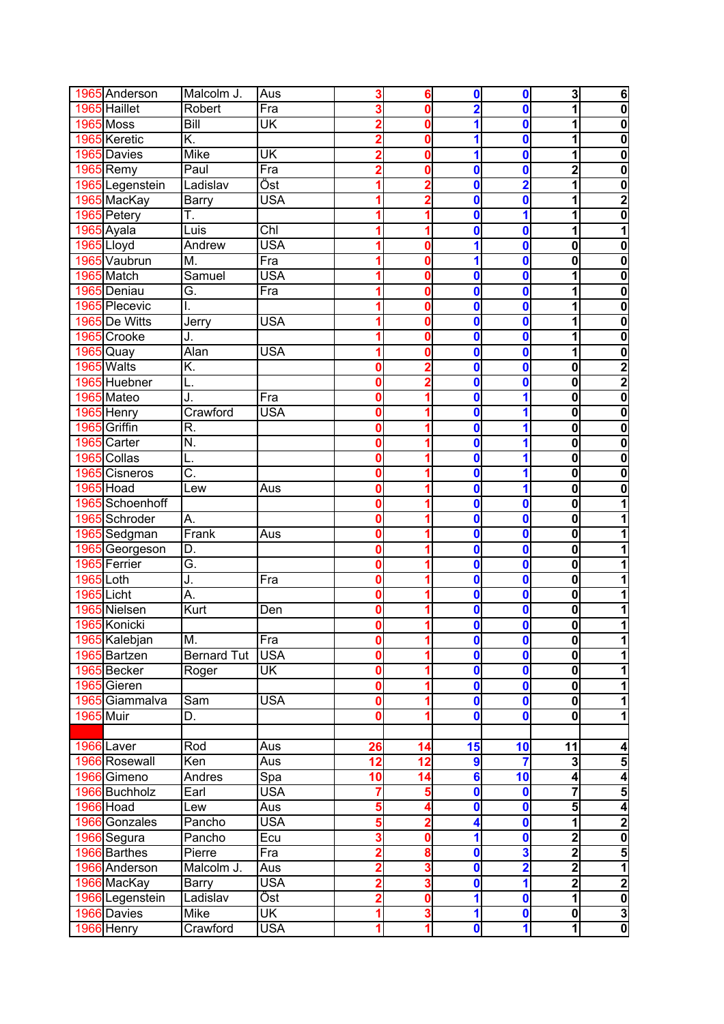| 1965 Anderson    | Malcolm J.                | Aus                     | 3              | 6                       | $\mathbf 0$             | $\boldsymbol{0}$        | 3                       | 6                                                                                                    |
|------------------|---------------------------|-------------------------|----------------|-------------------------|-------------------------|-------------------------|-------------------------|------------------------------------------------------------------------------------------------------|
| 1965 Haillet     | Robert                    | Fra                     |                | 0                       | $\overline{\mathbf{2}}$ | 0                       | 1                       | $\overline{\mathbf{0}}$                                                                              |
| <b>1965 Moss</b> | Bill                      | ŪK                      |                | 0                       | $\overline{\mathbf{1}}$ | $\mathbf 0$             | 1                       | $\overline{\mathbf{0}}$                                                                              |
| 1965 Keretic     | K.                        |                         |                | 0                       | 1                       | $\mathbf{0}$            | 1                       | 0                                                                                                    |
| 1965 Davies      | <b>Mike</b>               | UK                      | 2              | 0                       | $\overline{\mathbf{1}}$ | 0                       | 1                       | $\bf{0}$                                                                                             |
| 1965 Remy        | Paul                      | Fra                     | 2              | 0                       | $\bf{0}$                | 0                       | $\overline{2}$          | 0                                                                                                    |
| 1965 Legenstein  | Ladislav                  | Öst                     | 1              | $\overline{2}$          | $\bf{0}$                | $\overline{2}$          | 1                       | $\overline{\mathbf{0}}$                                                                              |
| 1965 MacKay      | <b>Barry</b>              | <b>USA</b>              |                | $\overline{2}$          | $\bf{0}$                | $\mathbf{0}$            | 1                       | $\overline{2}$                                                                                       |
| 1965 Petery      | T.                        |                         |                |                         | $\bf{0}$                | 1                       | 1                       | $\overline{\mathbf{0}}$                                                                              |
| 1965 Ayala       | Luis                      | $\overline{\text{ChI}}$ |                |                         | 0                       | $\mathbf 0$             | 1                       | 1                                                                                                    |
|                  |                           | <b>USA</b>              |                |                         |                         |                         |                         |                                                                                                      |
| 1965 Lloyd       | Andrew                    |                         |                | 0                       | 1                       | $\bf{0}$                | $\mathbf{0}$            | $\bf{0}$                                                                                             |
| 1965 Vaubrun     | M.                        | Fra                     |                | Ω                       | 1                       | $\bf{0}$                | 0                       | $\bf{0}$                                                                                             |
| 1965 Match       | Samuel                    | <b>USA</b>              |                | 0                       | $\mathbf 0$             | $\bf{0}$                | 1                       | $\bf{0}$                                                                                             |
| 1965 Deniau      | G.                        | Fra                     |                | 0                       | $\mathbf 0$             | $\mathbf{0}$            | 1                       | $\bf{0}$                                                                                             |
| 1965 Plecevic    | I.                        |                         |                | 0                       | $\mathbf 0$             | $\bf{0}$                | 1                       | $\mathbf{0}$                                                                                         |
| 1965 De Witts    | Jerry                     | <b>USA</b>              |                | 0                       | $\mathbf{0}$            | 0                       | 1                       | 0                                                                                                    |
| 1965 Crooke      | J.                        |                         |                | 0                       | $\mathbf{0}$            | $\mathbf 0$             | 1                       | 0                                                                                                    |
| 1965 Quay        | <b>Alan</b>               | <b>USA</b>              |                | Ω                       | $\bf{0}$                | 0                       | 1                       | $\bf{0}$                                                                                             |
| 1965 Walts       | K.                        |                         | 0              | $\overline{2}$          | $\mathbf 0$             | $\mathbf 0$             | $\mathbf{0}$            | $\overline{2}$                                                                                       |
| 1965 Huebner     | L.                        |                         | 0              | $\overline{2}$          | $\mathbf 0$             | 0                       | $\mathbf{0}$            | $\overline{2}$                                                                                       |
| 1965 Mateo       | J.                        | Fra                     | 0              | 1                       | $\bf{0}$                | 1                       | $\mathbf{0}$            | $\overline{\mathbf{0}}$                                                                              |
| 1965 Henry       | Crawford                  | <b>USA</b>              | 0              | 1                       | $\mathbf{0}$            | 1                       | $\overline{\mathbf{0}}$ | $\overline{\mathbf{0}}$                                                                              |
| 1965 Griffin     | R.                        |                         | 0              | 1                       | $\mathbf{0}$            | 1                       | $\overline{\mathbf{0}}$ | $\overline{\mathbf{0}}$                                                                              |
| 1965 Carter      | N.                        |                         | 0              |                         | $\mathbf{0}$            | 1                       | $\mathbf{0}$            | $\overline{\mathbf{0}}$                                                                              |
| 1965 Collas      | L.                        |                         | 0              |                         | $\mathbf 0$             | 1                       | $\overline{\mathbf{0}}$ | $\overline{\mathbf{0}}$                                                                              |
| 1965 Cisneros    | $\overline{\mathsf{C}}$ . |                         | Ω              |                         | 0                       | 1                       | 0                       | $\overline{\mathbf{0}}$                                                                              |
| 1965 Hoad        | Lew                       | Aus                     | 0              |                         | 0                       | 1                       | 0                       | 0                                                                                                    |
| 1965 Schoenhoff  |                           |                         | 0              |                         | $\mathbf{0}$            |                         | $\mathbf{0}$            |                                                                                                      |
|                  |                           |                         |                |                         |                         | 0                       |                         | 1                                                                                                    |
| 1965 Schroder    | А.                        |                         | 0              | 1                       | $\bf{0}$                | $\mathbf 0$             | 0                       | 1                                                                                                    |
| 1965 Sedgman     | Frank                     | Aus                     | 0              | 1                       | $\mathbf{0}$            | $\mathbf 0$             | 0                       | 1                                                                                                    |
| 1965 Georgeson   | D.                        |                         | 0              | 1                       | $\mathbf 0$             | $\mathbf 0$             | $\mathbf 0$             | 1                                                                                                    |
|                  |                           |                         |                |                         | $\mathbf 0$             | 0                       | $\mathbf{0}$            |                                                                                                      |
| 1965 Ferrier     | Ġ.                        |                         | 0              | 1                       |                         |                         |                         |                                                                                                      |
| <b>1965</b> Loth | J.                        | Fra                     | 0              | 1                       | 0                       | 0                       | $\mathbf{0}$            |                                                                                                      |
| 1965 Licht       | Ã.                        |                         | O              | 1                       | $\mathbf 0$             | 0                       | $\mathbf 0$             |                                                                                                      |
| 1965 Nielsen     | Kurt                      | Den                     | 0              |                         | 0                       | 0                       | 0                       |                                                                                                      |
| 1965 Konicki     |                           |                         | 0              | 1                       | $\mathbf 0$             | $\mathbf 0$             | $\overline{\mathbf{0}}$ | 1                                                                                                    |
| 1965 Kalebjan    | M.                        | Fra                     | $\mathbf 0$    | 1                       | $\mathbf 0$             | $\mathbf 0$             | $\mathbf{0}$            |                                                                                                      |
| 1965 Bartzen     | <b>Bernard Tut</b>        | <b>USA</b>              | 0              | 1                       | 0                       | $\bf{0}$                | $\mathbf 0$             |                                                                                                      |
| 1965 Becker      |                           | UK                      | 0              | 1                       | $\mathbf 0$             | $\mathbf 0$             | $\mathbf{0}$            |                                                                                                      |
|                  | Roger                     |                         | 0              | 1                       | $\overline{\mathbf{0}}$ |                         |                         |                                                                                                      |
| 1965 Gieren      |                           |                         |                |                         |                         | $\overline{\mathbf{0}}$ | $\overline{\mathbf{0}}$ |                                                                                                      |
| 1965 Giammalva   | Sam                       | <b>USA</b>              | 0              | 1                       | $\overline{\mathbf{o}}$ | $\overline{\mathbf{0}}$ | $\overline{\mathbf{0}}$ | 1<br>$\overline{\mathbf{1}}$<br>$\overline{\mathbf{1}}$<br>$\overline{\mathbf{1}}$<br>$\overline{1}$ |
| <b>1965 Muir</b> | D.                        |                         | 0              | 1                       | $\mathbf 0$             | $\mathbf 0$             | $\mathbf{0}$            | 1                                                                                                    |
|                  |                           |                         |                |                         |                         |                         |                         |                                                                                                      |
| 1966 Laver       | Rod                       | Aus                     | 26             | 14                      | 15                      | 10                      | 11                      | $\overline{\mathbf{4}}$                                                                              |
| 1966 Rosewall    | Ken                       | Aus                     | 12             | 12                      | 9                       | $\overline{\mathbf{7}}$ | 3                       | 5                                                                                                    |
| 1966 Gimeno      | Andres                    | Spa                     | 10             | 14                      | 6                       | 10                      | $\overline{\mathbf{A}}$ | $\overline{\mathbf{4}}$                                                                              |
| 1966 Buchholz    | Earl                      | <b>USA</b>              | 7              | 5                       | $\mathbf 0$             | $\mathbf 0$             | 7                       |                                                                                                      |
| 1966 Hoad        | Lew                       | Aus                     | 5              | 4                       | $\mathbf 0$             | $\bf{0}$                | 5                       | 5<br>$\overline{\bf{4}}$                                                                             |
| 1966 Gonzales    | Pancho                    | <b>USA</b>              | 5              | $\overline{2}$          | 4                       | $\bf{0}$                | $\mathbf{1}$            |                                                                                                      |
| 1966 Segura      | Pancho                    | Ecu                     | 3              | 0                       | $\mathbf{1}$            | $\mathbf 0$             | $\overline{\mathbf{2}}$ |                                                                                                      |
| 1966 Barthes     | Pierre                    | Fra                     | 2              | 8                       | $\mathbf 0$             | $\overline{\mathbf{3}}$ | $\overline{\mathbf{2}}$ |                                                                                                      |
| 1966 Anderson    | Malcolm J.                | Aus                     | $\overline{2}$ | 3                       | $\mathbf 0$             | $\overline{\mathbf{2}}$ | $\overline{\mathbf{2}}$ |                                                                                                      |
| 1966 MacKay      | <b>Barry</b>              | <b>USA</b>              | $\overline{2}$ | $\overline{\mathbf{3}}$ | $\mathbf 0$             | 1                       | $\overline{2}$          | $\overline{\mathbf{2}}$<br>$\overline{\mathbf{0}}$<br>5<br>$\overline{\mathbf{1}}$                   |
| 1966 Legenstein  | Ladislav                  | Öst                     | $\overline{2}$ | 0                       | 1                       | 0                       | $\overline{1}$          |                                                                                                      |
| 1966 Davies      | <b>Mike</b>               | UK                      | 1              | 3                       | 1                       | $\mathbf 0$             | $\mathbf{0}$            | $\frac{1}{2}$<br>$\frac{3}{0}$                                                                       |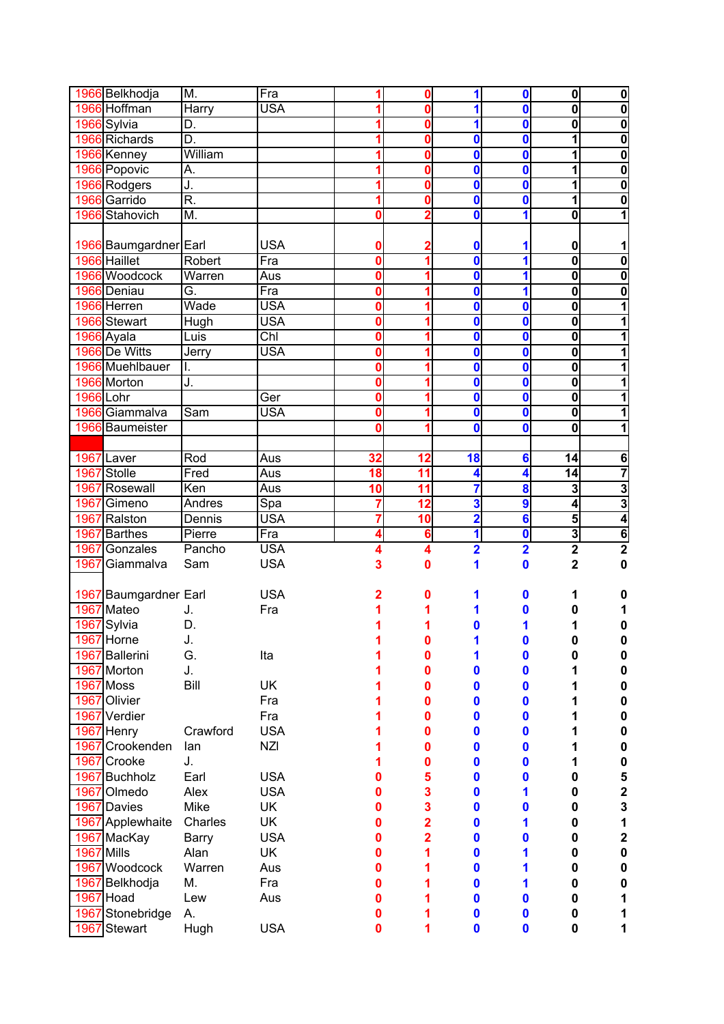|           | 1966 Belkhodja        | M.           | Fra                       | 1               | $\bf{0}$                | $\mathbf{1}$                 | $\mathbf 0$             | $\overline{\mathbf{0}}$          | $\mathbf{0}$                                                                                                              |
|-----------|-----------------------|--------------|---------------------------|-----------------|-------------------------|------------------------------|-------------------------|----------------------------------|---------------------------------------------------------------------------------------------------------------------------|
|           | 1966 Hoffman          | <b>Harry</b> | <b>USA</b>                |                 | 0                       | 1                            | $\overline{\mathbf{0}}$ | $\overline{\mathbf{0}}$          | $\overline{\mathbf{0}}$                                                                                                   |
|           | 1966 Sylvia           | D.           |                           | 1               | 0                       | $\overline{\mathbf{1}}$      | $\overline{\mathbf{0}}$ | $\overline{\mathbf{0}}$          | $\overline{\mathbf{0}}$                                                                                                   |
|           | 1966 Richards         | D.           |                           | 1               | 0                       | $\mathbf 0$                  | $\mathbf 0$             | $\mathbf{1}$                     | $\overline{\mathbf{0}}$                                                                                                   |
|           | 1966 Kenney           | William      |                           |                 | 0                       | $\mathbf 0$                  | $\bf{0}$                | 1                                | $\overline{\mathbf{0}}$                                                                                                   |
|           | 1966 Popovic          | A.           |                           |                 | 0                       | $\mathbf 0$                  | $\bf{0}$                | 1                                | $\overline{\mathbf{0}}$                                                                                                   |
|           | 1966 Rodgers          | J.           |                           | 1               | 0                       | $\mathbf{0}$                 | $\bf{0}$                | 1                                | $\overline{\mathbf{0}}$                                                                                                   |
|           | 1966 Garrido          | R.           |                           |                 | 0                       | $\overline{\mathbf{0}}$      | $\mathbf 0$             | $\overline{\mathbf{1}}$          | $\overline{\mathbf{0}}$                                                                                                   |
|           | 1966 Stahovich        | M.           |                           | 0               | $\overline{\mathbf{2}}$ | $\overline{\mathbf{0}}$      | 1                       | $\overline{\mathbf{0}}$          | 1                                                                                                                         |
|           |                       |              |                           |                 |                         |                              |                         |                                  |                                                                                                                           |
|           | 1966 Baumgardner Earl |              | <b>USA</b>                | 0               | 2                       | 0                            | 1                       | $\mathbf 0$                      | 1                                                                                                                         |
|           | 1966 Haillet          | Robert       | Fra                       | 0               | 1                       | $\mathbf 0$                  | 1                       | $\overline{\mathbf{0}}$          | $\overline{\mathbf{0}}$                                                                                                   |
|           | 1966 Woodcock         | Warren       | Aus                       | 0               | 1                       | $\mathbf 0$                  | 1                       | $\overline{\mathbf{0}}$          | $\overline{\mathbf{0}}$                                                                                                   |
|           | 1966 Deniau           | G.           | Fra                       | 0               | 1                       | $\mathbf{0}$                 | 1                       | $\overline{\mathbf{0}}$          | $\overline{\mathbf{0}}$                                                                                                   |
|           | 1966 Herren           | Wade         | <b>USA</b>                |                 |                         | $\overline{\mathbf{0}}$      |                         | $\overline{\mathbf{0}}$          |                                                                                                                           |
|           |                       |              |                           | 0               | 1                       |                              | $\mathbf{0}$            |                                  | 1                                                                                                                         |
|           | 1966 Stewart          | Hugh         | <b>USA</b>                | 0               | 1                       | $\mathbf{0}$                 | $\overline{\mathbf{0}}$ | $\overline{\mathbf{0}}$          | 1                                                                                                                         |
|           | 1966 Ayala            | Luis         | $\overline{\text{ChI}}$   | 0               | 1                       | $\mathbf 0$                  | $\mathbf 0$             | $\overline{\mathbf{0}}$          | 1                                                                                                                         |
|           | 1966 De Witts         | Jerry        | <b>USA</b>                | 0               | 1                       | $\mathbf{0}$                 | $\bf{0}$                | $\overline{\mathbf{0}}$          | 1                                                                                                                         |
|           | 1966 Muehlbauer       | I.           |                           | 0               | 1                       | $\mathbf{0}$                 | $\mathbf 0$             | $\overline{\mathbf{0}}$          | 1                                                                                                                         |
|           | 1966 Morton           | J.           |                           | 0               | 1                       | $\mathbf{0}$                 | $\overline{\mathbf{0}}$ | $\overline{\mathbf{0}}$          | 1                                                                                                                         |
| 1966 Lohr |                       |              | $\overline{\mathsf{Ger}}$ | 0               | 1                       | $\mathbf 0$                  | $\mathbf 0$             | $\overline{\mathbf{0}}$          | 1                                                                                                                         |
|           | 1966 Giammalva        | Sam          | <b>USA</b>                | 0               | 1                       | $\mathbf{0}$                 | $\bf{0}$                | $\overline{\mathbf{0}}$          | 1                                                                                                                         |
|           | 1966 Baumeister       |              |                           | Ω               | 1                       | $\mathbf 0$                  | $\bf{0}$                | $\mathbf 0$                      | 1                                                                                                                         |
|           |                       |              |                           |                 |                         |                              |                         |                                  |                                                                                                                           |
|           | 1967 Laver            | Rod          | Aus                       | 32              | 12                      | 18                           | $6\phantom{1}6$         | 14                               | $\bf 6$                                                                                                                   |
| 1967      | Stolle                | Fred         | Aus                       | $\overline{18}$ | $\overline{11}$         | $\overline{\mathbf{A}}$      | 4                       | 14                               | $\overline{7}$                                                                                                            |
| 1967      | Rosewall              | Ken          | Aus                       | $\overline{10}$ | $\overline{11}$         | 7                            | 8                       | 3                                |                                                                                                                           |
| 1967      | Gimeno                | Andres       | Spa                       | 7               | 12                      | $\overline{\mathbf{3}}$      | $\overline{9}$          | $\overline{\mathbf{A}}$          |                                                                                                                           |
|           |                       |              |                           |                 |                         |                              |                         |                                  |                                                                                                                           |
| 1967      | Ralston               | Dennis       | <b>USA</b>                | 7               | 10                      |                              | $6\phantom{a}$          | 5                                |                                                                                                                           |
| 1967      | Barthes               | Pierre       | Fra                       | 4               | $6\phantom{1}6$         | $\overline{\mathbf{2}}$<br>1 | $\mathbf 0$             |                                  |                                                                                                                           |
|           | 1967 Gonzales         | Pancho       | <b>USA</b>                | 4               | 4                       | $\overline{\mathbf{2}}$      | $\overline{\mathbf{2}}$ | $\overline{3}$<br>$\overline{2}$ |                                                                                                                           |
| 1967      | Giammalva             | Sam          | <b>USA</b>                | 3               | 0                       | 1                            | 0                       |                                  | $\mathbf 0$                                                                                                               |
|           |                       |              |                           |                 |                         |                              |                         | $\overline{\mathbf{2}}$          | <u> თ  ა  ა </u>                                                                                                          |
|           |                       |              |                           |                 |                         |                              | 0                       | 1                                |                                                                                                                           |
|           | 1967 Baumgardner Earl |              | <b>USA</b>                |                 |                         |                              |                         |                                  | 0                                                                                                                         |
|           | 1967 Mateo            | J.           | Fra                       |                 |                         |                              | 0                       | 0                                | 1                                                                                                                         |
|           | 1967 Sylvia           | D.           |                           |                 |                         | 0                            | 1                       | 1                                | $\mathbf 0$                                                                                                               |
|           | 1967 Horne            | J.           |                           |                 | 0                       | 1                            | $\mathbf 0$             | 0                                |                                                                                                                           |
| 1967      | Ballerini             | G.           | Ita                       |                 | 0                       | 1                            | 0                       | 0                                |                                                                                                                           |
|           | 1967 Morton           | J.           |                           |                 | 0                       | 0                            | $\mathbf{0}$            | 1                                |                                                                                                                           |
| 1967      | Moss                  | Bill         | <b>UK</b>                 |                 | 0                       | 0                            | $\mathbf{0}$            | 1                                | $\pmb{0}$                                                                                                                 |
|           | 1967 Olivier          |              | Fra                       |                 | 0                       | 0                            | $\mathbf{0}$            | 1                                | $\pmb{0}$                                                                                                                 |
|           | 1967 Verdier          |              | Fra                       |                 | 0                       | 0                            | 0                       | 1                                |                                                                                                                           |
|           | 1967 Henry            | Crawford     | <b>USA</b>                |                 | 0                       | 0                            | 0                       | 1                                |                                                                                                                           |
|           | 1967 Crookenden       | lan          | <b>NZI</b>                |                 | 0                       | 0                            | 0                       | 1                                | $\pmb{0}$                                                                                                                 |
|           | 1967 Crooke           | J.           |                           |                 | 0                       | 0                            | 0                       | 1                                | $\pmb{0}$                                                                                                                 |
| 1967      | <b>Buchholz</b>       | Earl         | <b>USA</b>                | 0               | 5                       | 0                            | 0                       | $\mathbf 0$                      |                                                                                                                           |
| 1967      | Olmedo                | Alex         | <b>USA</b>                | 0               | 3                       | 0                            | 1                       | $\mathbf 0$                      |                                                                                                                           |
| 1967      | Davies                | Mike         | <b>UK</b>                 | 0               | 3                       | 0                            | 0                       | 0                                |                                                                                                                           |
| 1967      | Applewhaite           | Charles      | UK                        | 0               | $\overline{\mathbf{2}}$ | 0                            | 1                       | 0                                |                                                                                                                           |
| 1967      | MacKay                | Barry        | <b>USA</b>                | 0               | $\overline{\mathbf{2}}$ | 0                            | 0                       | 0                                |                                                                                                                           |
| 1967      | Mills                 | Alan         | UK                        | 0               | 1                       | 0                            | 1                       | 0                                | $\mathbf{1}$                                                                                                              |
|           | 1967 Woodcock         | Warren       | Aus                       | 0               | 1                       | 0                            | 1                       | 0                                | $\pmb{0}$                                                                                                                 |
| 1967      | Belkhodja             | M.           | Fra                       | 0               | 1                       | 0                            | 1                       | 0                                | $\pmb{0}$                                                                                                                 |
| 1967      | Hoad                  | Lew          | Aus                       | 0               | 1                       | $\mathbf 0$                  | $\mathbf{0}$            | $\mathbf 0$                      | 1                                                                                                                         |
| 1967      | Stonebridge           | А.           | <b>USA</b>                | 0               | 1                       | $\mathbf 0$                  | $\boldsymbol{0}$        | 0                                | 0<br>$\pmb{0}$<br>$\pmb{0}$<br>$\pmb{0}$<br>$\pmb{0}$<br>5<br>$\mathbf 2$<br>$\mathbf 3$<br>$\mathbf 2$<br>$\pmb{0}$<br>1 |